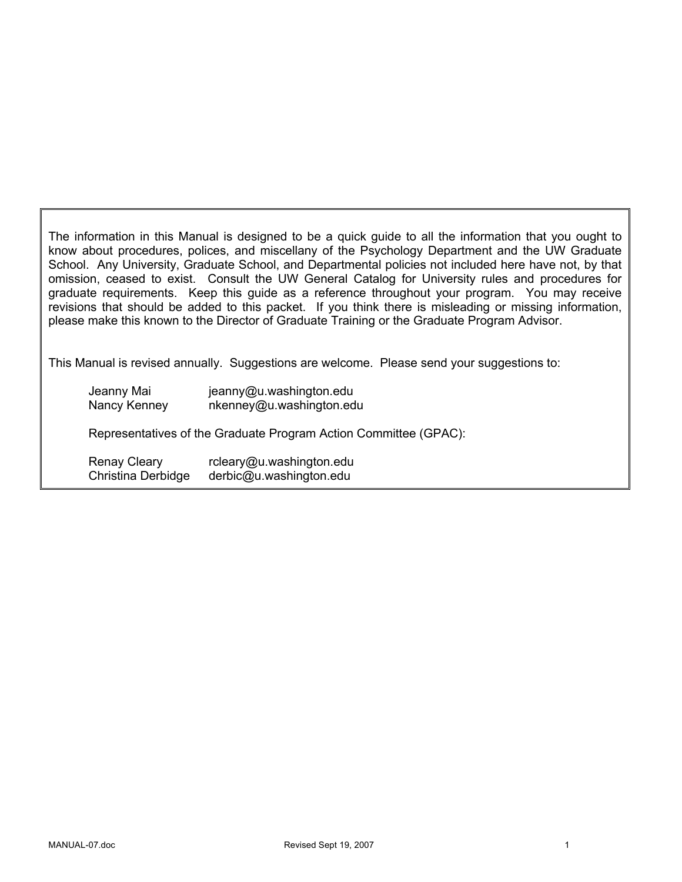The information in this Manual is designed to be a quick guide to all the information that you ought to know about procedures, polices, and miscellany of the Psychology Department and the UW Graduate School. Any University, Graduate School, and Departmental policies not included here have not, by that omission, ceased to exist. Consult the UW General Catalog for University rules and procedures for graduate requirements. Keep this guide as a reference throughout your program. You may receive revisions that should be added to this packet. If you think there is misleading or missing information, please make this known to the Director of Graduate Training or the Graduate Program Advisor.

This Manual is revised annually. Suggestions are welcome. Please send your suggestions to:

| Jeanny Mai                | jeanny@u.washington.edu                                          |
|---------------------------|------------------------------------------------------------------|
| Nancy Kenney              | nkenney@u.washington.edu                                         |
|                           | Representatives of the Graduate Program Action Committee (GPAC): |
| <b>Renay Cleary</b>       | rcleary@u.washington.edu                                         |
| <b>Christina Derbidge</b> | derbic@u.washington.edu                                          |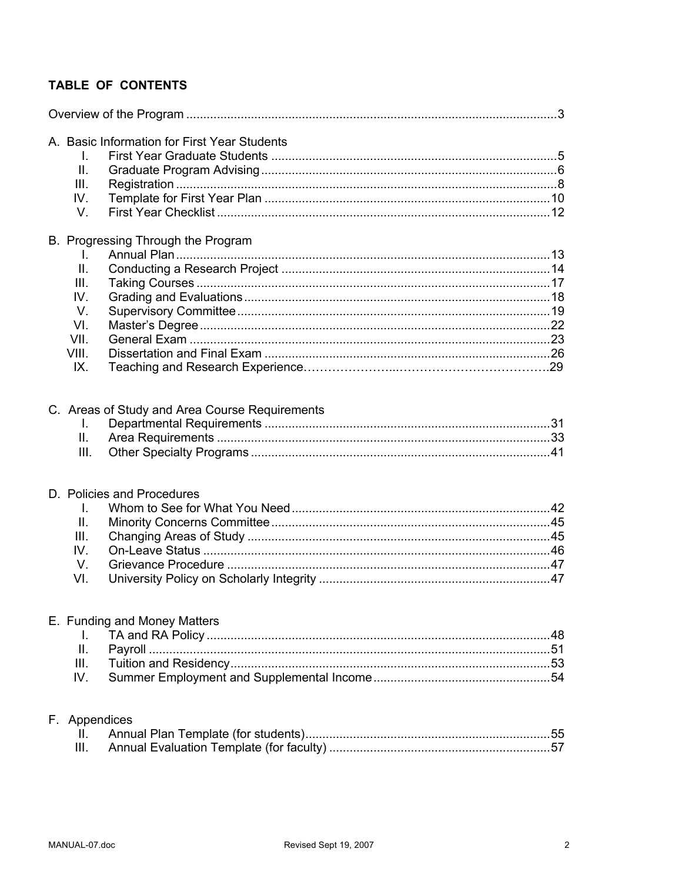# TABLE OF CONTENTS

| I.               | A. Basic Information for First Year Students   |  |
|------------------|------------------------------------------------|--|
| ΙΙ.              |                                                |  |
| III.             |                                                |  |
| IV.              |                                                |  |
| V.               |                                                |  |
|                  | B. Progressing Through the Program             |  |
| I.               |                                                |  |
| II.              |                                                |  |
| III.             |                                                |  |
| IV.              |                                                |  |
| V.               |                                                |  |
| VI.              |                                                |  |
| VII.             |                                                |  |
| VIII.            |                                                |  |
| IX.              |                                                |  |
| I.<br>Ш.<br>III. | C. Areas of Study and Area Course Requirements |  |
|                  | D. Policies and Procedures                     |  |
| I.               |                                                |  |
| $\mathbf{II}$ .  |                                                |  |
| III.             |                                                |  |
| IV.              |                                                |  |
| V.               |                                                |  |
| VI.              |                                                |  |
|                  | E. Funding and Money Matters                   |  |
| I.               |                                                |  |
| П.               |                                                |  |
| III.             |                                                |  |
| IV.              |                                                |  |
| F. Appendices    |                                                |  |
| Ш.               |                                                |  |
| III.             |                                                |  |
|                  |                                                |  |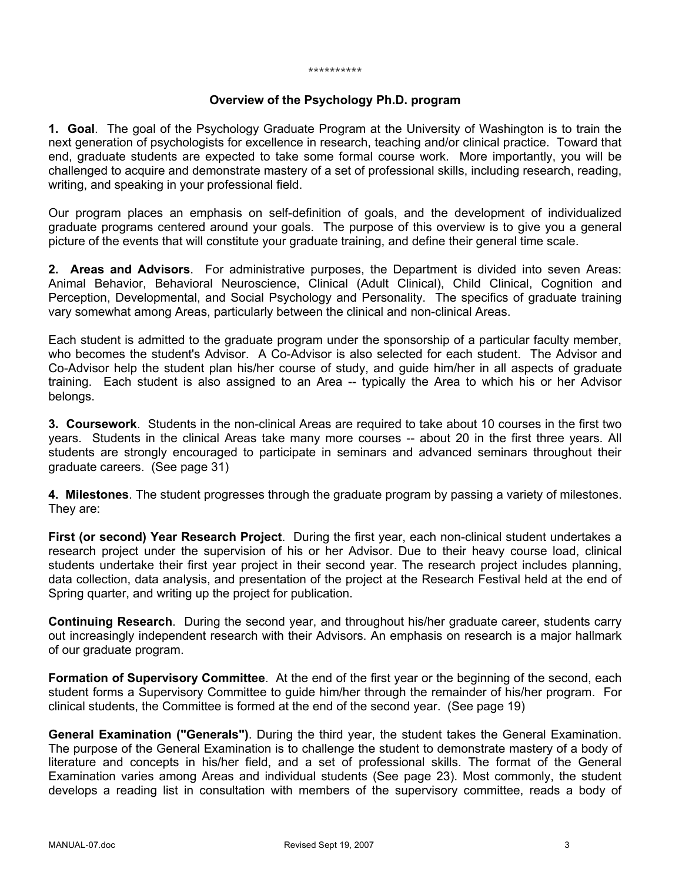#### \*\*\*\*\*\*\*\*\*\*

#### **Overview of the Psychology Ph.D. program**

**1. Goal**. The goal of the Psychology Graduate Program at the University of Washington is to train the next generation of psychologists for excellence in research, teaching and/or clinical practice. Toward that end, graduate students are expected to take some formal course work. More importantly, you will be challenged to acquire and demonstrate mastery of a set of professional skills, including research, reading, writing, and speaking in your professional field.

Our program places an emphasis on self-definition of goals, and the development of individualized graduate programs centered around your goals. The purpose of this overview is to give you a general picture of the events that will constitute your graduate training, and define their general time scale.

**2. Areas and Advisors**. For administrative purposes, the Department is divided into seven Areas: Animal Behavior, Behavioral Neuroscience, Clinical (Adult Clinical), Child Clinical, Cognition and Perception, Developmental, and Social Psychology and Personality. The specifics of graduate training vary somewhat among Areas, particularly between the clinical and non-clinical Areas.

Each student is admitted to the graduate program under the sponsorship of a particular faculty member, who becomes the student's Advisor. A Co-Advisor is also selected for each student. The Advisor and Co-Advisor help the student plan his/her course of study, and guide him/her in all aspects of graduate training. Each student is also assigned to an Area -- typically the Area to which his or her Advisor belongs.

**3. Coursework**. Students in the non-clinical Areas are required to take about 10 courses in the first two years. Students in the clinical Areas take many more courses -- about 20 in the first three years. All students are strongly encouraged to participate in seminars and advanced seminars throughout their graduate careers. (See page 31)

**4. Milestones**. The student progresses through the graduate program by passing a variety of milestones. They are:

**First (or second) Year Research Project**. During the first year, each non-clinical student undertakes a research project under the supervision of his or her Advisor. Due to their heavy course load, clinical students undertake their first year project in their second year. The research project includes planning, data collection, data analysis, and presentation of the project at the Research Festival held at the end of Spring quarter, and writing up the project for publication.

**Continuing Research**. During the second year, and throughout his/her graduate career, students carry out increasingly independent research with their Advisors. An emphasis on research is a major hallmark of our graduate program.

**Formation of Supervisory Committee**. At the end of the first year or the beginning of the second, each student forms a Supervisory Committee to guide him/her through the remainder of his/her program. For clinical students, the Committee is formed at the end of the second year. (See page 19)

**General Examination ("Generals")**. During the third year, the student takes the General Examination. The purpose of the General Examination is to challenge the student to demonstrate mastery of a body of literature and concepts in his/her field, and a set of professional skills. The format of the General Examination varies among Areas and individual students (See page 23). Most commonly, the student develops a reading list in consultation with members of the supervisory committee, reads a body of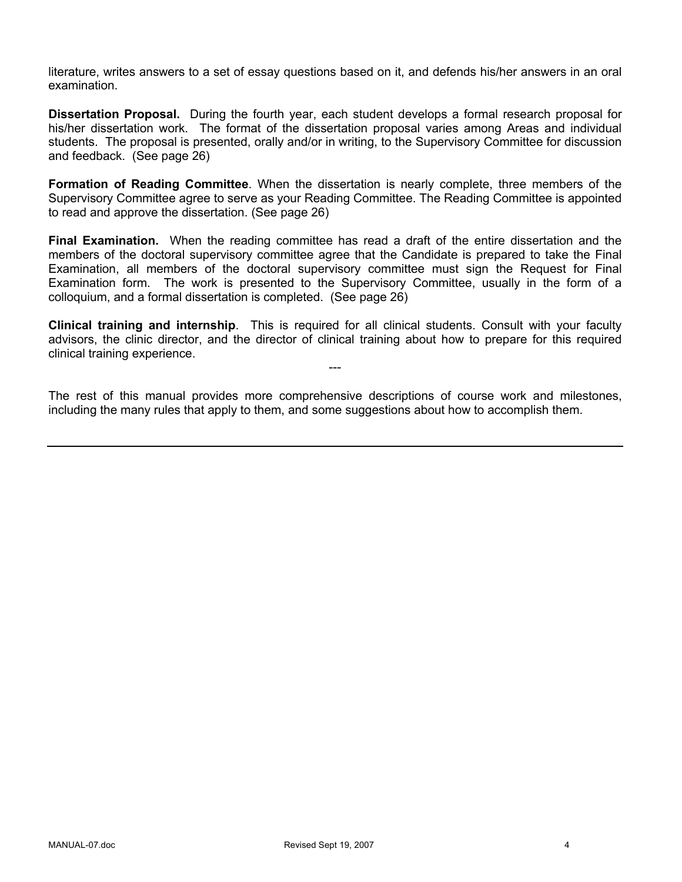literature, writes answers to a set of essay questions based on it, and defends his/her answers in an oral examination.

**Dissertation Proposal.** During the fourth year, each student develops a formal research proposal for his/her dissertation work. The format of the dissertation proposal varies among Areas and individual students. The proposal is presented, orally and/or in writing, to the Supervisory Committee for discussion and feedback. (See page 26)

**Formation of Reading Committee**. When the dissertation is nearly complete, three members of the Supervisory Committee agree to serve as your Reading Committee. The Reading Committee is appointed to read and approve the dissertation. (See page 26)

**Final Examination.** When the reading committee has read a draft of the entire dissertation and the members of the doctoral supervisory committee agree that the Candidate is prepared to take the Final Examination, all members of the doctoral supervisory committee must sign the Request for Final Examination form. The work is presented to the Supervisory Committee, usually in the form of a colloquium, and a formal dissertation is completed. (See page 26)

**Clinical training and internship**. This is required for all clinical students. Consult with your faculty advisors, the clinic director, and the director of clinical training about how to prepare for this required clinical training experience.

---

The rest of this manual provides more comprehensive descriptions of course work and milestones, including the many rules that apply to them, and some suggestions about how to accomplish them.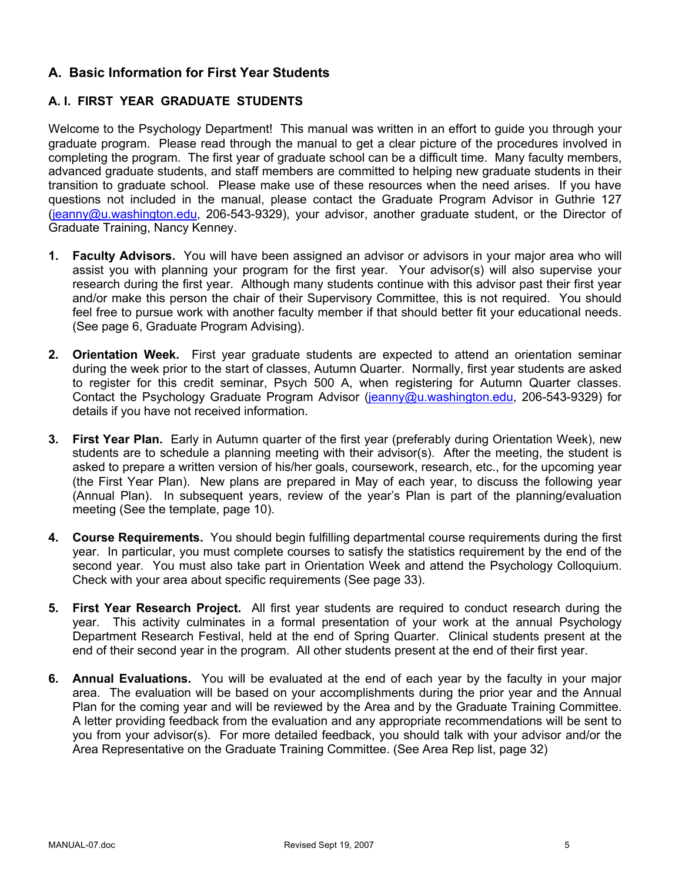# **A. Basic Information for First Year Students**

# **A. I. FIRST YEAR GRADUATE STUDENTS**

Welcome to the Psychology Department! This manual was written in an effort to guide you through your graduate program. Please read through the manual to get a clear picture of the procedures involved in completing the program. The first year of graduate school can be a difficult time. Many faculty members, advanced graduate students, and staff members are committed to helping new graduate students in their transition to graduate school. Please make use of these resources when the need arises. If you have questions not included in the manual, please contact the Graduate Program Advisor in Guthrie 127 (jeanny@u.washington.edu, 206-543-9329), your advisor, another graduate student, or the Director of Graduate Training, Nancy Kenney.

- **1. Faculty Advisors.** You will have been assigned an advisor or advisors in your major area who will assist you with planning your program for the first year. Your advisor(s) will also supervise your research during the first year. Although many students continue with this advisor past their first year and/or make this person the chair of their Supervisory Committee, this is not required. You should feel free to pursue work with another faculty member if that should better fit your educational needs. (See page 6, Graduate Program Advising).
- **2. Orientation Week.** First year graduate students are expected to attend an orientation seminar during the week prior to the start of classes, Autumn Quarter. Normally, first year students are asked to register for this credit seminar, Psych 500 A, when registering for Autumn Quarter classes. Contact the Psychology Graduate Program Advisor (jeanny@u.washington.edu, 206-543-9329) for details if you have not received information.
- **3. First Year Plan.** Early in Autumn quarter of the first year (preferably during Orientation Week), new students are to schedule a planning meeting with their advisor(s). After the meeting, the student is asked to prepare a written version of his/her goals, coursework, research, etc., for the upcoming year (the First Year Plan). New plans are prepared in May of each year, to discuss the following year (Annual Plan). In subsequent years, review of the year's Plan is part of the planning/evaluation meeting (See the template, page 10).
- **4. Course Requirements.** You should begin fulfilling departmental course requirements during the first year. In particular, you must complete courses to satisfy the statistics requirement by the end of the second year. You must also take part in Orientation Week and attend the Psychology Colloquium. Check with your area about specific requirements (See page 33).
- **5. First Year Research Project.** All first year students are required to conduct research during the year. This activity culminates in a formal presentation of your work at the annual Psychology Department Research Festival, held at the end of Spring Quarter. Clinical students present at the end of their second year in the program. All other students present at the end of their first year.
- **6. Annual Evaluations.** You will be evaluated at the end of each year by the faculty in your major area. The evaluation will be based on your accomplishments during the prior year and the Annual Plan for the coming year and will be reviewed by the Area and by the Graduate Training Committee. A letter providing feedback from the evaluation and any appropriate recommendations will be sent to you from your advisor(s). For more detailed feedback, you should talk with your advisor and/or the Area Representative on the Graduate Training Committee. (See Area Rep list, page 32)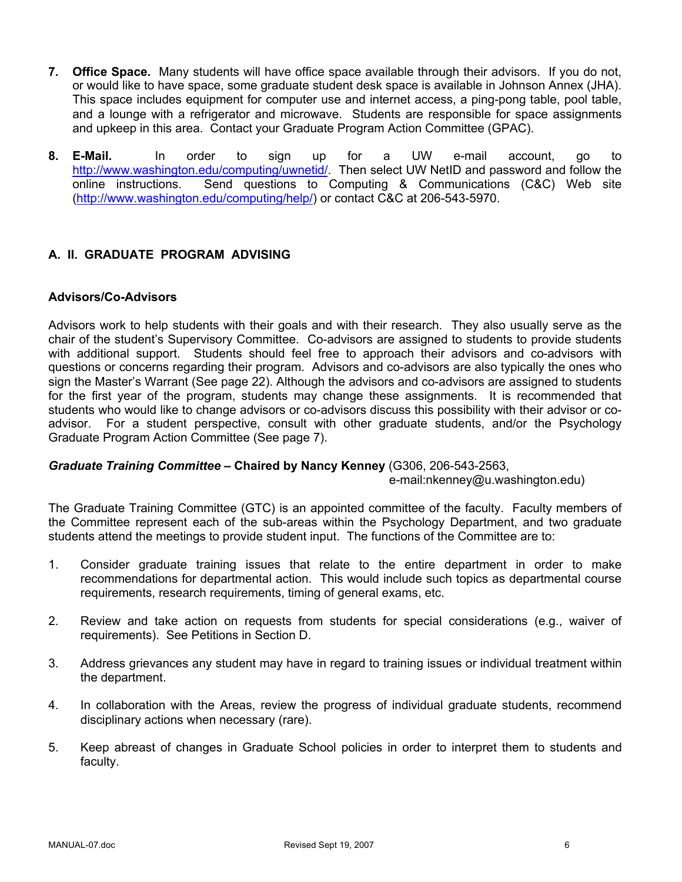- **7. Office Space.** Many students will have office space available through their advisors. If you do not, or would like to have space, some graduate student desk space is available in Johnson Annex (JHA). This space includes equipment for computer use and internet access, a ping-pong table, pool table, and a lounge with a refrigerator and microwave. Students are responsible for space assignments and upkeep in this area. Contact your Graduate Program Action Committee (GPAC).
- **8. E-Mail.** In order to sign up for a UW e-mail account, go to http://www.washington.edu/computing/uwnetid/. Then select UW NetID and password and follow the online instructions. Send questions to Computing & Communications (C&C) Web site (http://www.washington.edu/computing/help/) or contact C&C at 206-543-5970.

# **A. II. GRADUATE PROGRAM ADVISING**

### **Advisors/Co-Advisors**

Advisors work to help students with their goals and with their research. They also usually serve as the chair of the student's Supervisory Committee. Co-advisors are assigned to students to provide students with additional support. Students should feel free to approach their advisors and co-advisors with questions or concerns regarding their program. Advisors and co-advisors are also typically the ones who sign the Master's Warrant (See page 22). Although the advisors and co-advisors are assigned to students for the first year of the program, students may change these assignments. It is recommended that students who would like to change advisors or co-advisors discuss this possibility with their advisor or coadvisor. For a student perspective, consult with other graduate students, and/or the Psychology Graduate Program Action Committee (See page 7).

# *Graduate Training Committee –* **Chaired by Nancy Kenney** (G306, 206-543-2563,

#### e-mail:nkenney@u.washington.edu)

The Graduate Training Committee (GTC) is an appointed committee of the faculty. Faculty members of the Committee represent each of the sub-areas within the Psychology Department, and two graduate students attend the meetings to provide student input. The functions of the Committee are to:

- 1. Consider graduate training issues that relate to the entire department in order to make recommendations for departmental action. This would include such topics as departmental course requirements, research requirements, timing of general exams, etc.
- 2. Review and take action on requests from students for special considerations (e.g., waiver of requirements). See Petitions in Section D.
- 3. Address grievances any student may have in regard to training issues or individual treatment within the department.
- 4. In collaboration with the Areas, review the progress of individual graduate students, recommend disciplinary actions when necessary (rare).
- 5. Keep abreast of changes in Graduate School policies in order to interpret them to students and faculty.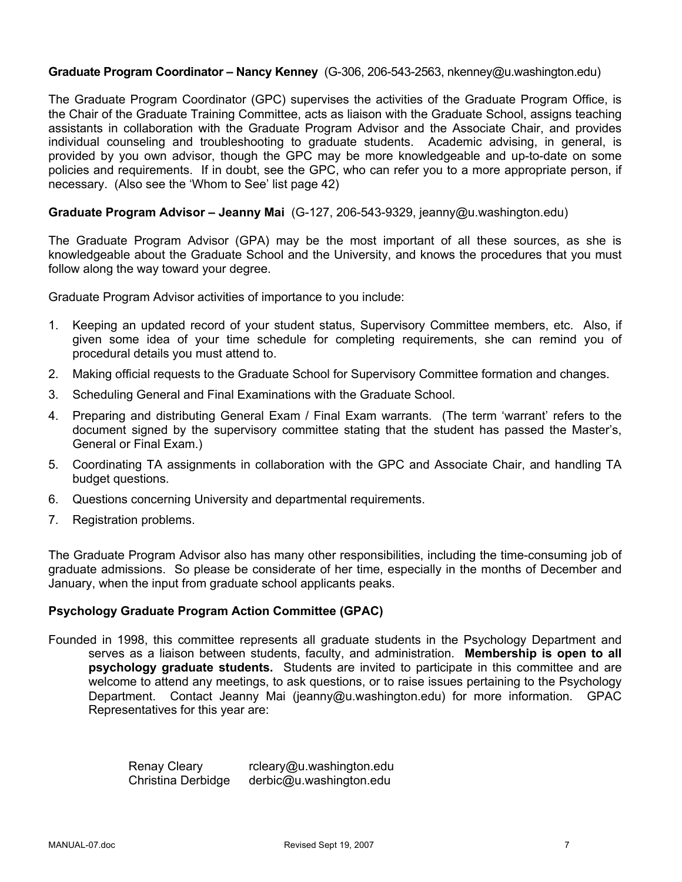#### **Graduate Program Coordinator – Nancy Kenney** (G-306, 206-543-2563, nkenney@u.washington.edu)

The Graduate Program Coordinator (GPC) supervises the activities of the Graduate Program Office, is the Chair of the Graduate Training Committee, acts as liaison with the Graduate School, assigns teaching assistants in collaboration with the Graduate Program Advisor and the Associate Chair, and provides individual counseling and troubleshooting to graduate students. Academic advising, in general, is provided by you own advisor, though the GPC may be more knowledgeable and up-to-date on some policies and requirements. If in doubt, see the GPC, who can refer you to a more appropriate person, if necessary. (Also see the 'Whom to See' list page 42)

#### **Graduate Program Advisor – Jeanny Mai** (G-127, 206-543-9329, jeanny@u.washington.edu)

The Graduate Program Advisor (GPA) may be the most important of all these sources, as she is knowledgeable about the Graduate School and the University, and knows the procedures that you must follow along the way toward your degree.

Graduate Program Advisor activities of importance to you include:

- 1. Keeping an updated record of your student status, Supervisory Committee members, etc. Also, if given some idea of your time schedule for completing requirements, she can remind you of procedural details you must attend to.
- 2. Making official requests to the Graduate School for Supervisory Committee formation and changes.
- 3. Scheduling General and Final Examinations with the Graduate School.
- 4. Preparing and distributing General Exam / Final Exam warrants. (The term 'warrant' refers to the document signed by the supervisory committee stating that the student has passed the Master's, General or Final Exam.)
- 5. Coordinating TA assignments in collaboration with the GPC and Associate Chair, and handling TA budget questions.
- 6. Questions concerning University and departmental requirements.
- 7. Registration problems.

The Graduate Program Advisor also has many other responsibilities, including the time-consuming job of graduate admissions. So please be considerate of her time, especially in the months of December and January, when the input from graduate school applicants peaks.

#### **Psychology Graduate Program Action Committee (GPAC)**

Founded in 1998, this committee represents all graduate students in the Psychology Department and serves as a liaison between students, faculty, and administration. **Membership is open to all psychology graduate students.** Students are invited to participate in this committee and are welcome to attend any meetings, to ask questions, or to raise issues pertaining to the Psychology Department. Contact Jeanny Mai (jeanny@u.washington.edu) for more information. GPAC Representatives for this year are:

> Renay Cleary rcleary@u.washington.edu Christina Derbidge derbic@u.washington.edu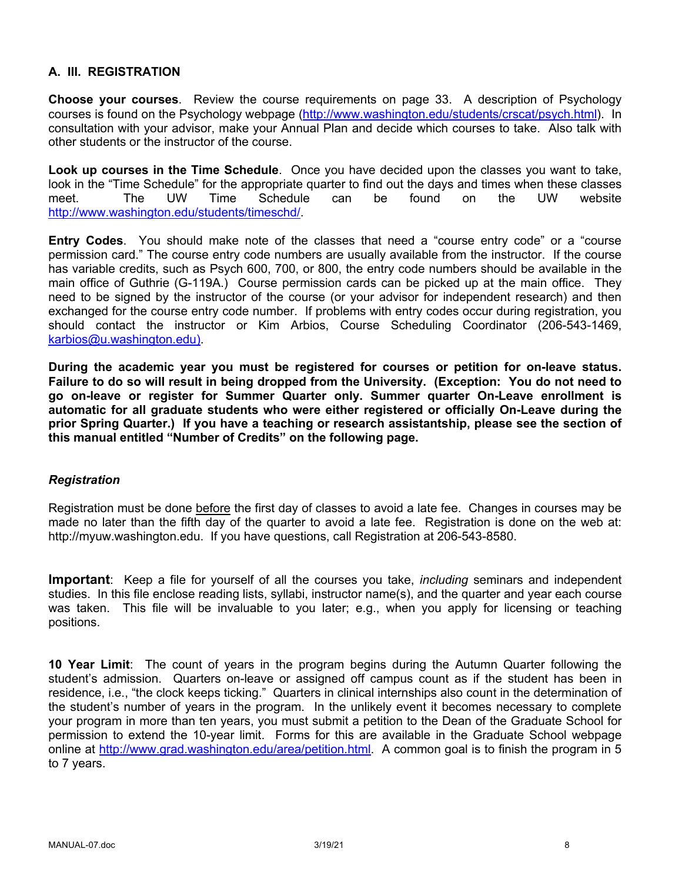### **A. III. REGISTRATION**

**Choose your courses**. Review the course requirements on page 33. A description of Psychology courses is found on the Psychology webpage (http://www.washington.edu/students/crscat/psych.html). In consultation with your advisor, make your Annual Plan and decide which courses to take. Also talk with other students or the instructor of the course.

**Look up courses in the Time Schedule**. Once you have decided upon the classes you want to take, look in the "Time Schedule" for the appropriate quarter to find out the days and times when these classes meet. The UW Time Schedule can be found on the UW website http://www.washington.edu/students/timeschd/.

**Entry Codes**. You should make note of the classes that need a "course entry code" or a "course permission card." The course entry code numbers are usually available from the instructor. If the course has variable credits, such as Psych 600, 700, or 800, the entry code numbers should be available in the main office of Guthrie (G-119A.) Course permission cards can be picked up at the main office. They need to be signed by the instructor of the course (or your advisor for independent research) and then exchanged for the course entry code number. If problems with entry codes occur during registration, you should contact the instructor or Kim Arbios, Course Scheduling Coordinator (206-543-1469, karbios@u.washington.edu).

**During the academic year you must be registered for courses or petition for on-leave status. Failure to do so will result in being dropped from the University. (Exception: You do not need to go on-leave or register for Summer Quarter only. Summer quarter On-Leave enrollment is automatic for all graduate students who were either registered or officially On-Leave during the prior Spring Quarter.) If you have a teaching or research assistantship, please see the section of this manual entitled "Number of Credits" on the following page.**

#### *Registration*

Registration must be done before the first day of classes to avoid a late fee. Changes in courses may be made no later than the fifth day of the quarter to avoid a late fee. Registration is done on the web at: http://myuw.washington.edu. If you have questions, call Registration at 206-543-8580.

**Important**: Keep a file for yourself of all the courses you take, *including* seminars and independent studies. In this file enclose reading lists, syllabi, instructor name(s), and the quarter and year each course was taken. This file will be invaluable to you later; e.g., when you apply for licensing or teaching positions.

**10 Year Limit**: The count of years in the program begins during the Autumn Quarter following the student's admission. Quarters on-leave or assigned off campus count as if the student has been in residence, i.e., "the clock keeps ticking." Quarters in clinical internships also count in the determination of the student's number of years in the program. In the unlikely event it becomes necessary to complete your program in more than ten years, you must submit a petition to the Dean of the Graduate School for permission to extend the 10-year limit. Forms for this are available in the Graduate School webpage online at http://www.grad.washington.edu/area/petition.html. A common goal is to finish the program in 5 to 7 years.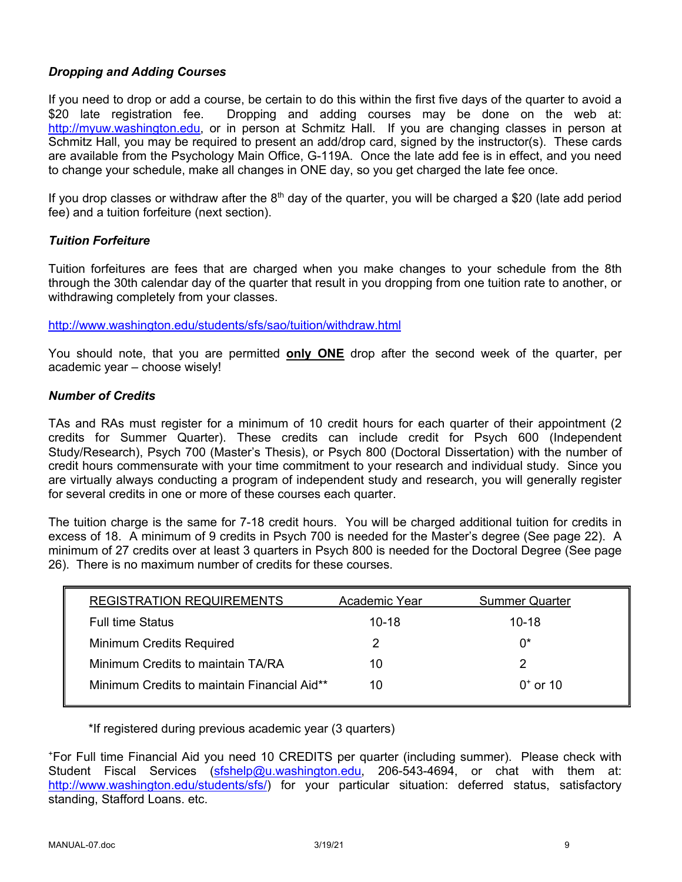### *Dropping and Adding Courses*

If you need to drop or add a course, be certain to do this within the first five days of the quarter to avoid a \$20 late registration fee. Dropping and adding courses may be done on the web at: http://myuw.washington.edu, or in person at Schmitz Hall. If you are changing classes in person at Schmitz Hall, you may be required to present an add/drop card, signed by the instructor(s). These cards are available from the Psychology Main Office, G-119A. Once the late add fee is in effect, and you need to change your schedule, make all changes in ONE day, so you get charged the late fee once.

If you drop classes or withdraw after the  $8<sup>th</sup>$  day of the quarter, you will be charged a \$20 (late add period fee) and a tuition forfeiture (next section).

#### *Tuition Forfeiture*

Tuition forfeitures are fees that are charged when you make changes to your schedule from the 8th through the 30th calendar day of the quarter that result in you dropping from one tuition rate to another, or withdrawing completely from your classes.

http://www.washington.edu/students/sfs/sao/tuition/withdraw.html

You should note, that you are permitted **only ONE** drop after the second week of the quarter, per academic year – choose wisely!

#### *Number of Credits*

TAs and RAs must register for a minimum of 10 credit hours for each quarter of their appointment (2 credits for Summer Quarter). These credits can include credit for Psych 600 (Independent Study/Research), Psych 700 (Master's Thesis), or Psych 800 (Doctoral Dissertation) with the number of credit hours commensurate with your time commitment to your research and individual study. Since you are virtually always conducting a program of independent study and research, you will generally register for several credits in one or more of these courses each quarter.

The tuition charge is the same for 7-18 credit hours. You will be charged additional tuition for credits in excess of 18. A minimum of 9 credits in Psych 700 is needed for the Master's degree (See page 22). A minimum of 27 credits over at least 3 quarters in Psych 800 is needed for the Doctoral Degree (See page 26). There is no maximum number of credits for these courses.

| <b>REGISTRATION REQUIREMENTS</b>            | Academic Year | <b>Summer Quarter</b> |
|---------------------------------------------|---------------|-----------------------|
| <b>Full time Status</b>                     | $10-18$       | $10 - 18$             |
| <b>Minimum Credits Required</b>             | 2             | ∩*                    |
| Minimum Credits to maintain TA/RA           | 10            |                       |
| Minimum Credits to maintain Financial Aid** | 10            | $0^*$ or 10           |

\*If registered during previous academic year (3 quarters)

+ For Full time Financial Aid you need 10 CREDITS per quarter (including summer). Please check with Student Fiscal Services (sfshelp@u.washington.edu, 206-543-4694, or chat with them at: http://www.washington.edu/students/sfs/) for your particular situation: deferred status, satisfactory standing, Stafford Loans. etc.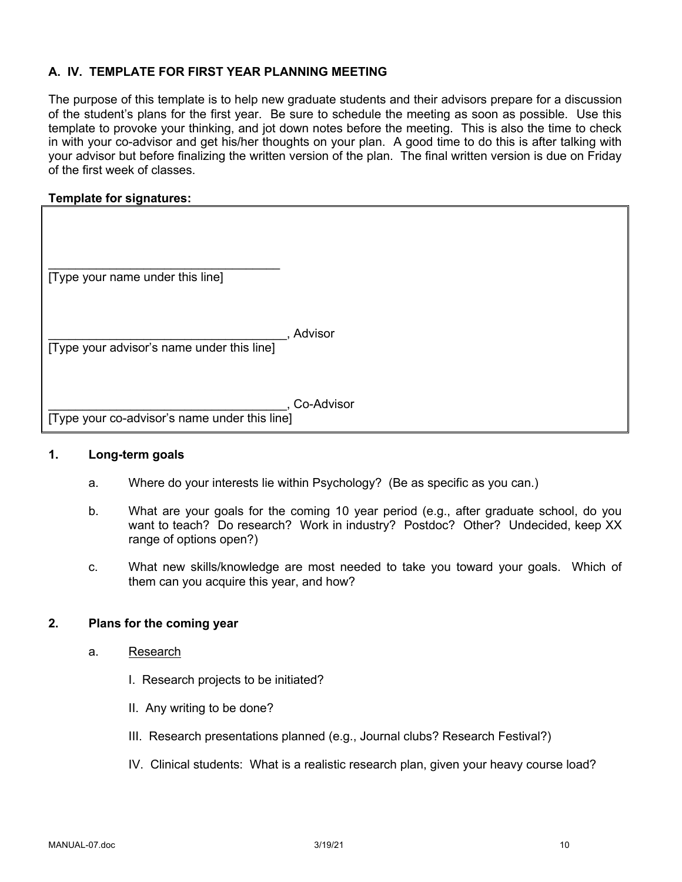### **A. IV. TEMPLATE FOR FIRST YEAR PLANNING MEETING**

The purpose of this template is to help new graduate students and their advisors prepare for a discussion of the student's plans for the first year. Be sure to schedule the meeting as soon as possible. Use this template to provoke your thinking, and jot down notes before the meeting. This is also the time to check in with your co-advisor and get his/her thoughts on your plan. A good time to do this is after talking with your advisor but before finalizing the written version of the plan. The final written version is due on Friday of the first week of classes.

#### **Template for signatures:**

| [Type your name under this line]              |            |
|-----------------------------------------------|------------|
| [Type your advisor's name under this line]    | Advisor    |
| [Type your co-advisor's name under this line] | Co-Advisor |

#### **1. Long-term goals**

- a. Where do your interests lie within Psychology? (Be as specific as you can.)
- b. What are your goals for the coming 10 year period (e.g., after graduate school, do you want to teach? Do research? Work in industry? Postdoc? Other? Undecided, keep XX range of options open?)
- c. What new skills/knowledge are most needed to take you toward your goals. Which of them can you acquire this year, and how?

#### **2. Plans for the coming year**

- a. Research
	- I. Research projects to be initiated?
	- II. Any writing to be done?
	- III. Research presentations planned (e.g., Journal clubs? Research Festival?)
	- IV. Clinical students: What is a realistic research plan, given your heavy course load?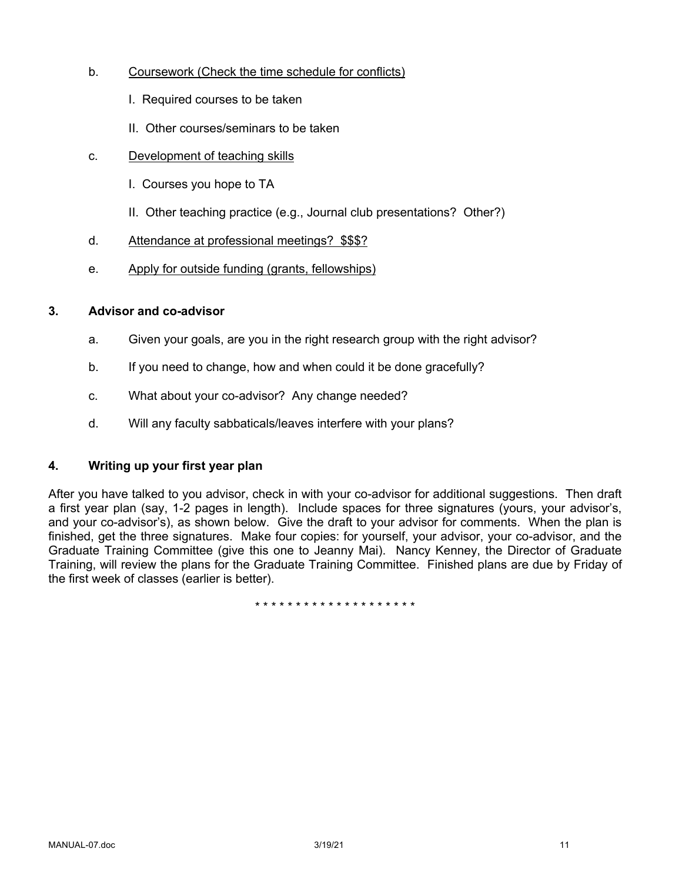- b. Coursework (Check the time schedule for conflicts)
	- I. Required courses to be taken
	- II. Other courses/seminars to be taken
- c. Development of teaching skills
	- I. Courses you hope to TA
	- II. Other teaching practice (e.g., Journal club presentations? Other?)
- d. Attendance at professional meetings? \$\$\$?
- e. Apply for outside funding (grants, fellowships)

### **3. Advisor and co-advisor**

- a. Given your goals, are you in the right research group with the right advisor?
- b. If you need to change, how and when could it be done gracefully?
- c. What about your co-advisor? Any change needed?
- d. Will any faculty sabbaticals/leaves interfere with your plans?

## **4. Writing up your first year plan**

After you have talked to you advisor, check in with your co-advisor for additional suggestions. Then draft a first year plan (say, 1-2 pages in length). Include spaces for three signatures (yours, your advisor's, and your co-advisor's), as shown below. Give the draft to your advisor for comments. When the plan is finished, get the three signatures. Make four copies: for yourself, your advisor, your co-advisor, and the Graduate Training Committee (give this one to Jeanny Mai). Nancy Kenney, the Director of Graduate Training, will review the plans for the Graduate Training Committee. Finished plans are due by Friday of the first week of classes (earlier is better).

\* \* \* \* \* \* \* \* \* \* \* \* \* \* \* \* \* \* \* \*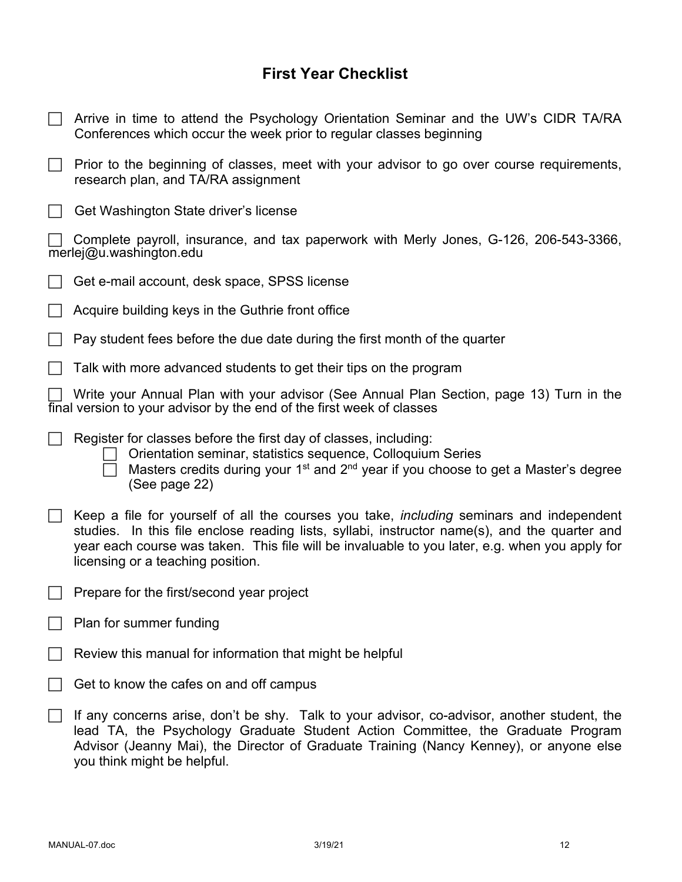# **First Year Checklist**

| Arrive in time to attend the Psychology Orientation Seminar and the UW's CIDR TA/RA<br>Conferences which occur the week prior to regular classes beginning                                                                                                                                                                              |
|-----------------------------------------------------------------------------------------------------------------------------------------------------------------------------------------------------------------------------------------------------------------------------------------------------------------------------------------|
| Prior to the beginning of classes, meet with your advisor to go over course requirements,<br>research plan, and TA/RA assignment                                                                                                                                                                                                        |
| Get Washington State driver's license                                                                                                                                                                                                                                                                                                   |
| Complete payroll, insurance, and tax paperwork with Merly Jones, G-126, 206-543-3366,<br>merlej@u.washington.edu                                                                                                                                                                                                                        |
| Get e-mail account, desk space, SPSS license                                                                                                                                                                                                                                                                                            |
| Acquire building keys in the Guthrie front office                                                                                                                                                                                                                                                                                       |
| Pay student fees before the due date during the first month of the quarter                                                                                                                                                                                                                                                              |
| Talk with more advanced students to get their tips on the program                                                                                                                                                                                                                                                                       |
| Write your Annual Plan with your advisor (See Annual Plan Section, page 13) Turn in the<br>final version to your advisor by the end of the first week of classes                                                                                                                                                                        |
| Register for classes before the first day of classes, including:<br>Orientation seminar, statistics sequence, Colloquium Series<br>Masters credits during your 1 <sup>st</sup> and 2 <sup>nd</sup> year if you choose to get a Master's degree<br>(See page 22)                                                                         |
| Keep a file for yourself of all the courses you take, <i>including</i> seminars and independent<br>studies. In this file enclose reading lists, syllabi, instructor name(s), and the quarter and<br>year each course was taken. This file will be invaluable to you later, e.g. when you apply for<br>licensing or a teaching position. |
| Prepare for the first/second year project                                                                                                                                                                                                                                                                                               |
| Plan for summer funding                                                                                                                                                                                                                                                                                                                 |
| Review this manual for information that might be helpful                                                                                                                                                                                                                                                                                |
| Get to know the cafes on and off campus                                                                                                                                                                                                                                                                                                 |
| If any concerns arise, don't be shy. Talk to your advisor, co-advisor, another student, the<br>lead TA, the Psychology Graduate Student Action Committee, the Graduate Program<br>Advisor (Jeanny Mai), the Director of Graduate Training (Nancy Kenney), or anyone else<br>you think might be helpful.                                 |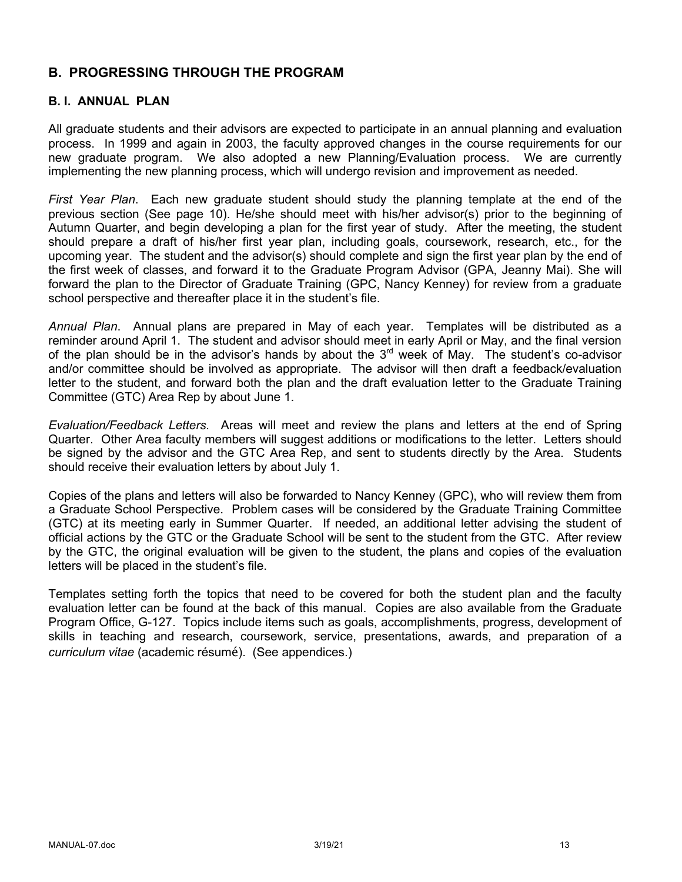# **B. PROGRESSING THROUGH THE PROGRAM**

### **B. I. ANNUAL PLAN**

All graduate students and their advisors are expected to participate in an annual planning and evaluation process. In 1999 and again in 2003, the faculty approved changes in the course requirements for our new graduate program. We also adopted a new Planning/Evaluation process. We are currently implementing the new planning process, which will undergo revision and improvement as needed.

*First Year Plan*. Each new graduate student should study the planning template at the end of the previous section (See page 10). He/she should meet with his/her advisor(s) prior to the beginning of Autumn Quarter, and begin developing a plan for the first year of study. After the meeting, the student should prepare a draft of his/her first year plan, including goals, coursework, research, etc., for the upcoming year. The student and the advisor(s) should complete and sign the first year plan by the end of the first week of classes, and forward it to the Graduate Program Advisor (GPA, Jeanny Mai). She will forward the plan to the Director of Graduate Training (GPC, Nancy Kenney) for review from a graduate school perspective and thereafter place it in the student's file.

*Annual Plan*. Annual plans are prepared in May of each year. Templates will be distributed as a reminder around April 1. The student and advisor should meet in early April or May, and the final version of the plan should be in the advisor's hands by about the  $3<sup>rd</sup>$  week of May. The student's co-advisor and/or committee should be involved as appropriate. The advisor will then draft a feedback/evaluation letter to the student, and forward both the plan and the draft evaluation letter to the Graduate Training Committee (GTC) Area Rep by about June 1.

*Evaluation/Feedback Letters.* Areas will meet and review the plans and letters at the end of Spring Quarter. Other Area faculty members will suggest additions or modifications to the letter. Letters should be signed by the advisor and the GTC Area Rep, and sent to students directly by the Area. Students should receive their evaluation letters by about July 1.

Copies of the plans and letters will also be forwarded to Nancy Kenney (GPC), who will review them from a Graduate School Perspective. Problem cases will be considered by the Graduate Training Committee (GTC) at its meeting early in Summer Quarter. If needed, an additional letter advising the student of official actions by the GTC or the Graduate School will be sent to the student from the GTC. After review by the GTC, the original evaluation will be given to the student, the plans and copies of the evaluation letters will be placed in the student's file.

Templates setting forth the topics that need to be covered for both the student plan and the faculty evaluation letter can be found at the back of this manual. Copies are also available from the Graduate Program Office, G-127. Topics include items such as goals, accomplishments, progress, development of skills in teaching and research, coursework, service, presentations, awards, and preparation of a *curriculum vitae* (academic résumé). (See appendices.)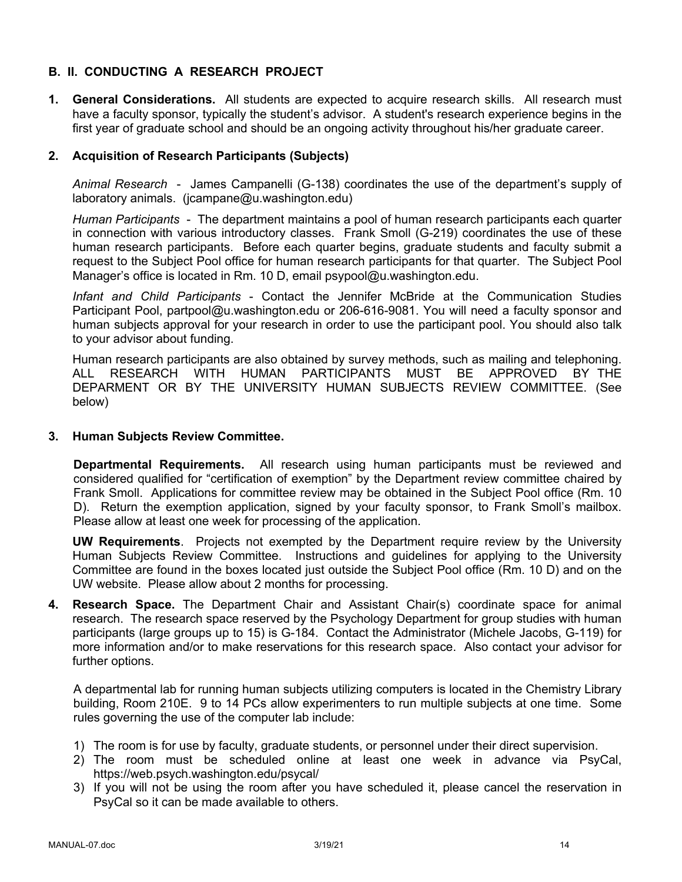# **B. II. CONDUCTING A RESEARCH PROJECT**

**1. General Considerations.** All students are expected to acquire research skills. All research must have a faculty sponsor, typically the student's advisor. A student's research experience begins in the first year of graduate school and should be an ongoing activity throughout his/her graduate career.

### **2. Acquisition of Research Participants (Subjects)**

*Animal Research* - James Campanelli (G-138) coordinates the use of the department's supply of laboratory animals. (jcampane@u.washington.edu)

*Human Participants* - The department maintains a pool of human research participants each quarter in connection with various introductory classes. Frank Smoll (G-219) coordinates the use of these human research participants. Before each quarter begins, graduate students and faculty submit a request to the Subject Pool office for human research participants for that quarter. The Subject Pool Manager's office is located in Rm. 10 D, email psypool@u.washington.edu.

*Infant and Child Participants* - Contact the Jennifer McBride at the Communication Studies Participant Pool, partpool@u.washington.edu or 206-616-9081. You will need a faculty sponsor and human subjects approval for your research in order to use the participant pool. You should also talk to your advisor about funding.

Human research participants are also obtained by survey methods, such as mailing and telephoning. ALL RESEARCH WITH HUMAN PARTICIPANTS MUST BE APPROVED BY THE DEPARMENT OR BY THE UNIVERSITY HUMAN SUBJECTS REVIEW COMMITTEE. (See below)

#### **3. Human Subjects Review Committee.**

**Departmental Requirements.** All research using human participants must be reviewed and considered qualified for "certification of exemption" by the Department review committee chaired by Frank Smoll. Applications for committee review may be obtained in the Subject Pool office (Rm. 10 D). Return the exemption application, signed by your faculty sponsor, to Frank Smoll's mailbox. Please allow at least one week for processing of the application.

**UW Requirements**. Projects not exempted by the Department require review by the University Human Subjects Review Committee. Instructions and guidelines for applying to the University Committee are found in the boxes located just outside the Subject Pool office (Rm. 10 D) and on the UW website. Please allow about 2 months for processing.

**4. Research Space.** The Department Chair and Assistant Chair(s) coordinate space for animal research. The research space reserved by the Psychology Department for group studies with human participants (large groups up to 15) is G-184. Contact the Administrator (Michele Jacobs, G-119) for more information and/or to make reservations for this research space. Also contact your advisor for further options.

A departmental lab for running human subjects utilizing computers is located in the Chemistry Library building, Room 210E. 9 to 14 PCs allow experimenters to run multiple subjects at one time. Some rules governing the use of the computer lab include:

- 1) The room is for use by faculty, graduate students, or personnel under their direct supervision.
- 2) The room must be scheduled online at least one week in advance via PsyCal, https://web.psych.washington.edu/psycal/
- 3) If you will not be using the room after you have scheduled it, please cancel the reservation in PsyCal so it can be made available to others.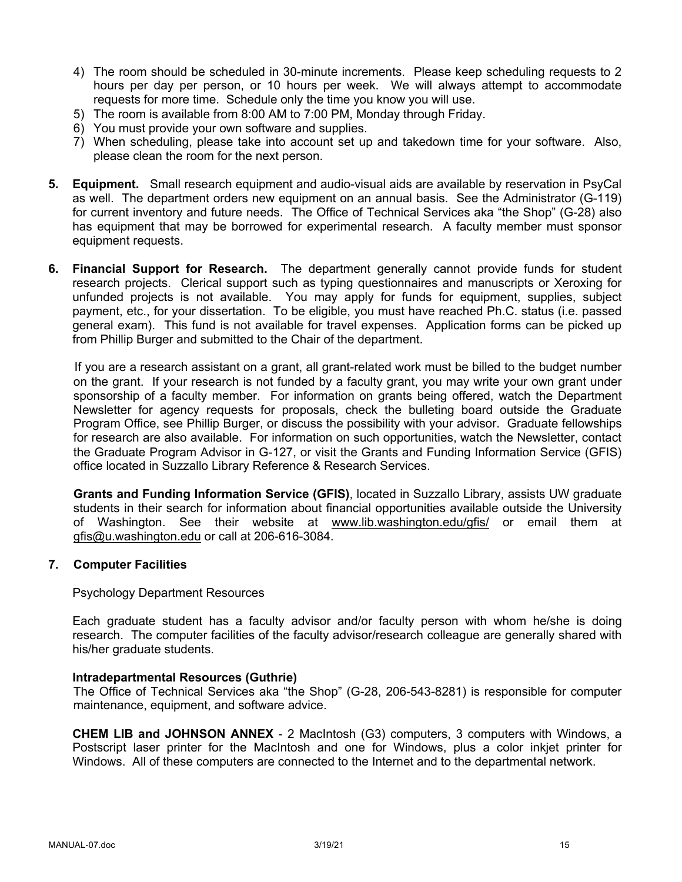- 4) The room should be scheduled in 30-minute increments. Please keep scheduling requests to 2 hours per day per person, or 10 hours per week. We will always attempt to accommodate requests for more time. Schedule only the time you know you will use.
- 5) The room is available from 8:00 AM to 7:00 PM, Monday through Friday.
- 6) You must provide your own software and supplies.
- 7) When scheduling, please take into account set up and takedown time for your software. Also, please clean the room for the next person.
- **5. Equipment.** Small research equipment and audio-visual aids are available by reservation in PsyCal as well. The department orders new equipment on an annual basis. See the Administrator (G-119) for current inventory and future needs. The Office of Technical Services aka "the Shop" (G-28) also has equipment that may be borrowed for experimental research. A faculty member must sponsor equipment requests.
- **6. Financial Support for Research.** The department generally cannot provide funds for student research projects. Clerical support such as typing questionnaires and manuscripts or Xeroxing for unfunded projects is not available. You may apply for funds for equipment, supplies, subject payment, etc., for your dissertation. To be eligible, you must have reached Ph.C. status (i.e. passed general exam). This fund is not available for travel expenses. Application forms can be picked up from Phillip Burger and submitted to the Chair of the department.

If you are a research assistant on a grant, all grant-related work must be billed to the budget number on the grant. If your research is not funded by a faculty grant, you may write your own grant under sponsorship of a faculty member. For information on grants being offered, watch the Department Newsletter for agency requests for proposals, check the bulleting board outside the Graduate Program Office, see Phillip Burger, or discuss the possibility with your advisor. Graduate fellowships for research are also available. For information on such opportunities, watch the Newsletter, contact the Graduate Program Advisor in G-127, or visit the Grants and Funding Information Service (GFIS) office located in Suzzallo Library Reference & Research Services.

**Grants and Funding Information Service (GFIS)**, located in Suzzallo Library, assists UW graduate students in their search for information about financial opportunities available outside the University of Washington. See their website at www.lib.washington.edu/gfis/ or email them at gfis@u.washington.edu or call at 206-616-3084.

#### **7. Computer Facilities**

Psychology Department Resources

Each graduate student has a faculty advisor and/or faculty person with whom he/she is doing research. The computer facilities of the faculty advisor/research colleague are generally shared with his/her graduate students.

#### **Intradepartmental Resources (Guthrie)**

The Office of Technical Services aka "the Shop" (G-28, 206-543-8281) is responsible for computer maintenance, equipment, and software advice.

**CHEM LIB and JOHNSON ANNEX** - 2 MacIntosh (G3) computers, 3 computers with Windows, a Postscript laser printer for the MacIntosh and one for Windows, plus a color inkjet printer for Windows. All of these computers are connected to the Internet and to the departmental network.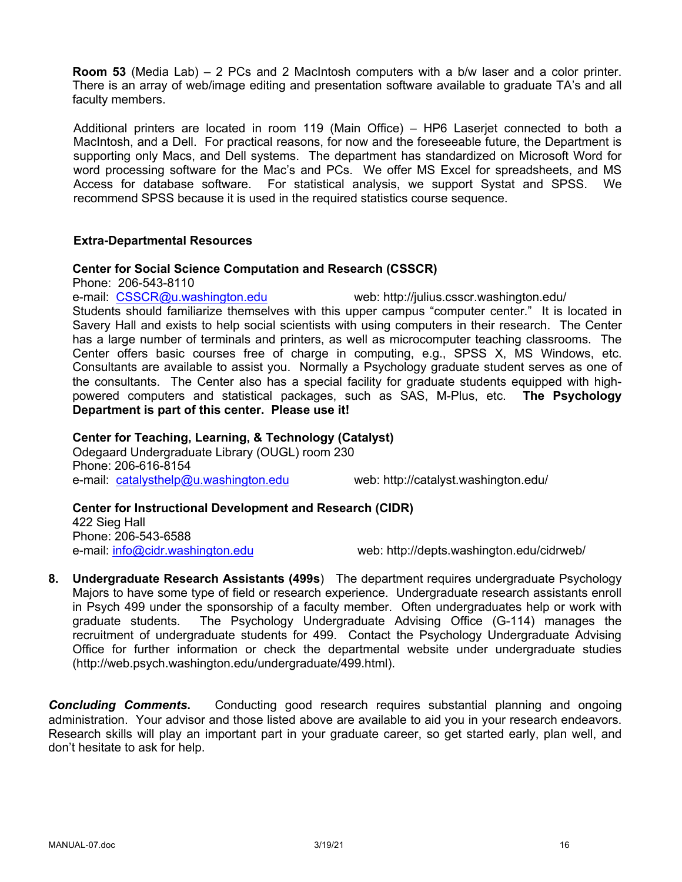**Room 53** (Media Lab) – 2 PCs and 2 MacIntosh computers with a b/w laser and a color printer. There is an array of web/image editing and presentation software available to graduate TA's and all faculty members.

Additional printers are located in room 119 (Main Office) – HP6 Laserjet connected to both a MacIntosh, and a Dell. For practical reasons, for now and the foreseeable future, the Department is supporting only Macs, and Dell systems. The department has standardized on Microsoft Word for word processing software for the Mac's and PCs. We offer MS Excel for spreadsheets, and MS Access for database software. For statistical analysis, we support Systat and SPSS. We recommend SPSS because it is used in the required statistics course sequence.

#### **Extra-Departmental Resources**

#### **Center for Social Science Computation and Research (CSSCR)**

Phone: 206-543-8110

e-mail: CSSCR@u.washington.edu web: http://julius.csscr.washington.edu/ Students should familiarize themselves with this upper campus "computer center." It is located in Savery Hall and exists to help social scientists with using computers in their research. The Center has a large number of terminals and printers, as well as microcomputer teaching classrooms. The Center offers basic courses free of charge in computing, e.g., SPSS X, MS Windows, etc. Consultants are available to assist you. Normally a Psychology graduate student serves as one of the consultants. The Center also has a special facility for graduate students equipped with highpowered computers and statistical packages, such as SAS, M-Plus, etc. **The Psychology Department is part of this center. Please use it!**

#### **Center for Teaching, Learning, & Technology (Catalyst)**

Odegaard Undergraduate Library (OUGL) room 230 Phone: 206-616-8154 e-mail: catalysthelp@u.washington.edu web: http://catalyst.washington.edu/

**Center for Instructional Development and Research (CIDR)** 422 Sieg Hall Phone: 206-543-6588 e-mail: info@cidr.washington.edu web: http://depts.washington.edu/cidrweb/

**8. Undergraduate Research Assistants (499s**) The department requires undergraduate Psychology Majors to have some type of field or research experience. Undergraduate research assistants enroll in Psych 499 under the sponsorship of a faculty member. Often undergraduates help or work with graduate students. The Psychology Undergraduate Advising Office (G-114) manages the recruitment of undergraduate students for 499. Contact the Psychology Undergraduate Advising Office for further information or check the departmental website under undergraduate studies (http://web.psych.washington.edu/undergraduate/499.html).

**Concluding Comments.** Conducting good research requires substantial planning and ongoing administration. Your advisor and those listed above are available to aid you in your research endeavors. Research skills will play an important part in your graduate career, so get started early, plan well, and don't hesitate to ask for help.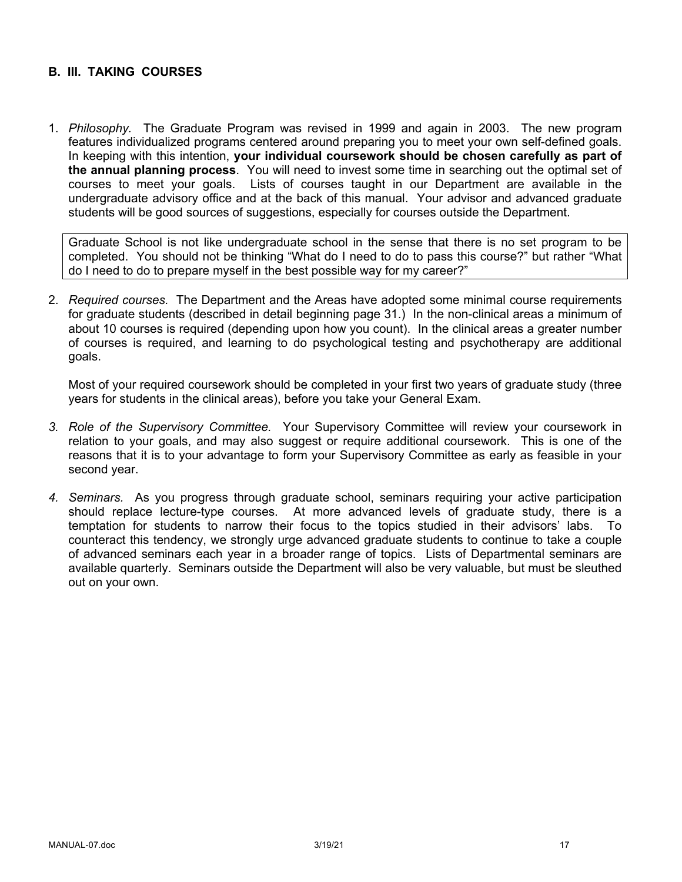### **B. III. TAKING COURSES**

1. *Philosophy.* The Graduate Program was revised in 1999 and again in 2003. The new program features individualized programs centered around preparing you to meet your own self-defined goals. In keeping with this intention, **your individual coursework should be chosen carefully as part of the annual planning process**. You will need to invest some time in searching out the optimal set of courses to meet your goals. Lists of courses taught in our Department are available in the undergraduate advisory office and at the back of this manual. Your advisor and advanced graduate students will be good sources of suggestions, especially for courses outside the Department.

Graduate School is not like undergraduate school in the sense that there is no set program to be completed. You should not be thinking "What do I need to do to pass this course?" but rather "What do I need to do to prepare myself in the best possible way for my career?"

2. *Required courses.* The Department and the Areas have adopted some minimal course requirements for graduate students (described in detail beginning page 31.) In the non-clinical areas a minimum of about 10 courses is required (depending upon how you count). In the clinical areas a greater number of courses is required, and learning to do psychological testing and psychotherapy are additional goals.

Most of your required coursework should be completed in your first two years of graduate study (three years for students in the clinical areas), before you take your General Exam.

- *3. Role of the Supervisory Committee.* Your Supervisory Committee will review your coursework in relation to your goals, and may also suggest or require additional coursework. This is one of the reasons that it is to your advantage to form your Supervisory Committee as early as feasible in your second year.
- *4. Seminars.* As you progress through graduate school, seminars requiring your active participation should replace lecture-type courses. At more advanced levels of graduate study, there is a temptation for students to narrow their focus to the topics studied in their advisors' labs. To counteract this tendency, we strongly urge advanced graduate students to continue to take a couple of advanced seminars each year in a broader range of topics. Lists of Departmental seminars are available quarterly. Seminars outside the Department will also be very valuable, but must be sleuthed out on your own.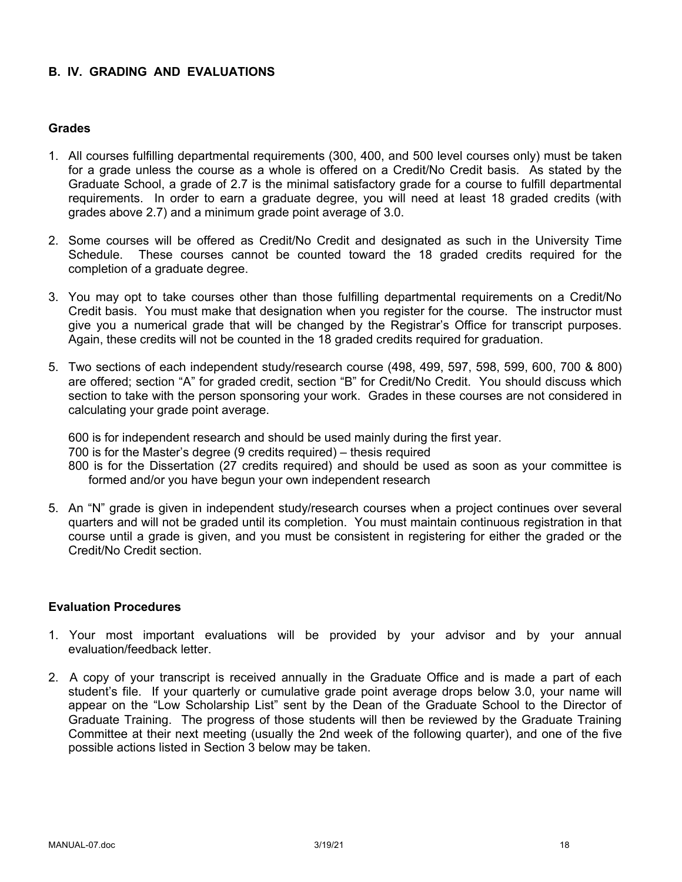### **B. IV. GRADING AND EVALUATIONS**

### **Grades**

- 1. All courses fulfilling departmental requirements (300, 400, and 500 level courses only) must be taken for a grade unless the course as a whole is offered on a Credit/No Credit basis. As stated by the Graduate School, a grade of 2.7 is the minimal satisfactory grade for a course to fulfill departmental requirements. In order to earn a graduate degree, you will need at least 18 graded credits (with grades above 2.7) and a minimum grade point average of 3.0.
- 2. Some courses will be offered as Credit/No Credit and designated as such in the University Time Schedule. These courses cannot be counted toward the 18 graded credits required for the completion of a graduate degree.
- 3. You may opt to take courses other than those fulfilling departmental requirements on a Credit/No Credit basis. You must make that designation when you register for the course. The instructor must give you a numerical grade that will be changed by the Registrar's Office for transcript purposes. Again, these credits will not be counted in the 18 graded credits required for graduation.
- 5. Two sections of each independent study/research course (498, 499, 597, 598, 599, 600, 700 & 800) are offered; section "A" for graded credit, section "B" for Credit/No Credit. You should discuss which section to take with the person sponsoring your work. Grades in these courses are not considered in calculating your grade point average.

600 is for independent research and should be used mainly during the first year. 700 is for the Master's degree (9 credits required) – thesis required 800 is for the Dissertation (27 credits required) and should be used as soon as your committee is formed and/or you have begun your own independent research

5. An "N" grade is given in independent study/research courses when a project continues over several quarters and will not be graded until its completion. You must maintain continuous registration in that course until a grade is given, and you must be consistent in registering for either the graded or the Credit/No Credit section.

#### **Evaluation Procedures**

- 1. Your most important evaluations will be provided by your advisor and by your annual evaluation/feedback letter.
- 2. A copy of your transcript is received annually in the Graduate Office and is made a part of each student's file. If your quarterly or cumulative grade point average drops below 3.0, your name will appear on the "Low Scholarship List" sent by the Dean of the Graduate School to the Director of Graduate Training. The progress of those students will then be reviewed by the Graduate Training Committee at their next meeting (usually the 2nd week of the following quarter), and one of the five possible actions listed in Section 3 below may be taken.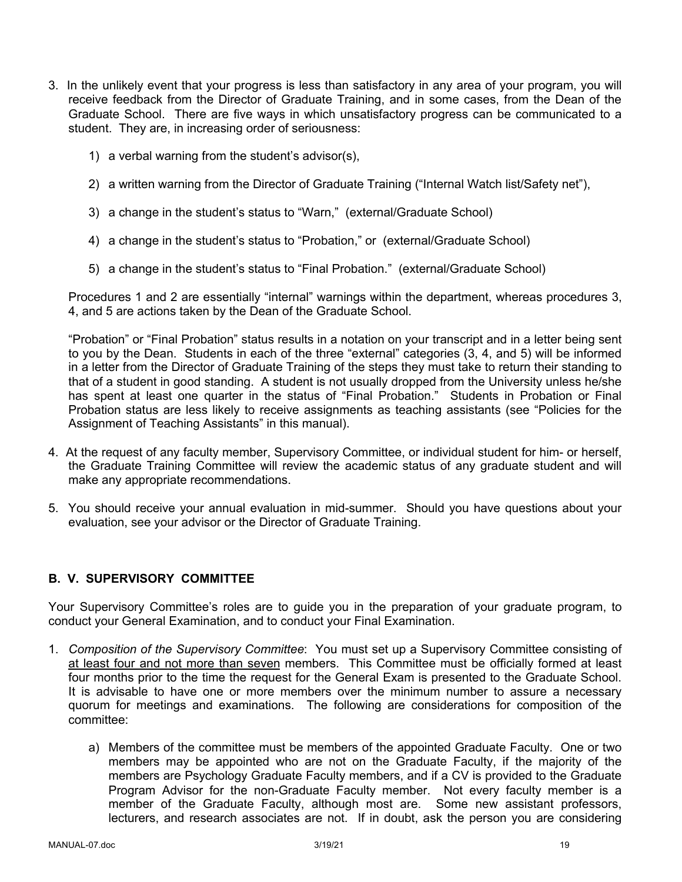- 3. In the unlikely event that your progress is less than satisfactory in any area of your program, you will receive feedback from the Director of Graduate Training, and in some cases, from the Dean of the Graduate School. There are five ways in which unsatisfactory progress can be communicated to a student. They are, in increasing order of seriousness:
	- 1) a verbal warning from the student's advisor(s),
	- 2) a written warning from the Director of Graduate Training ("Internal Watch list/Safety net"),
	- 3) a change in the student's status to "Warn," (external/Graduate School)
	- 4) a change in the student's status to "Probation," or (external/Graduate School)
	- 5) a change in the student's status to "Final Probation." (external/Graduate School)

Procedures 1 and 2 are essentially "internal" warnings within the department, whereas procedures 3, 4, and 5 are actions taken by the Dean of the Graduate School.

"Probation" or "Final Probation" status results in a notation on your transcript and in a letter being sent to you by the Dean. Students in each of the three "external" categories (3, 4, and 5) will be informed in a letter from the Director of Graduate Training of the steps they must take to return their standing to that of a student in good standing. A student is not usually dropped from the University unless he/she has spent at least one quarter in the status of "Final Probation." Students in Probation or Final Probation status are less likely to receive assignments as teaching assistants (see "Policies for the Assignment of Teaching Assistants" in this manual).

- 4. At the request of any faculty member, Supervisory Committee, or individual student for him- or herself, the Graduate Training Committee will review the academic status of any graduate student and will make any appropriate recommendations.
- 5. You should receive your annual evaluation in mid-summer. Should you have questions about your evaluation, see your advisor or the Director of Graduate Training.

# **B. V. SUPERVISORY COMMITTEE**

Your Supervisory Committee's roles are to guide you in the preparation of your graduate program, to conduct your General Examination, and to conduct your Final Examination.

- 1. *Composition of the Supervisory Committee*: You must set up a Supervisory Committee consisting of at least four and not more than seven members. This Committee must be officially formed at least four months prior to the time the request for the General Exam is presented to the Graduate School. It is advisable to have one or more members over the minimum number to assure a necessary quorum for meetings and examinations. The following are considerations for composition of the committee:
	- a) Members of the committee must be members of the appointed Graduate Faculty. One or two members may be appointed who are not on the Graduate Faculty, if the majority of the members are Psychology Graduate Faculty members, and if a CV is provided to the Graduate Program Advisor for the non-Graduate Faculty member. Not every faculty member is a member of the Graduate Faculty, although most are. Some new assistant professors, lecturers, and research associates are not. If in doubt, ask the person you are considering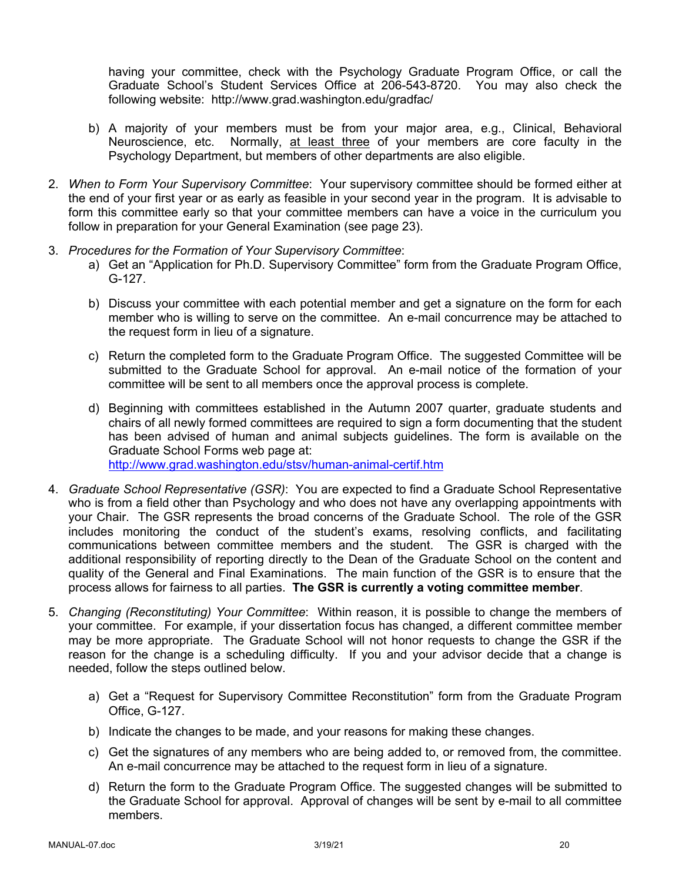having your committee, check with the Psychology Graduate Program Office, or call the Graduate School's Student Services Office at 206-543-8720. You may also check the following website: http://www.grad.washington.edu/gradfac/

- b) A majority of your members must be from your major area, e.g., Clinical, Behavioral Neuroscience, etc. Normally, at least three of your members are core faculty in the Psychology Department, but members of other departments are also eligible.
- 2. *When to Form Your Supervisory Committee*: Your supervisory committee should be formed either at the end of your first year or as early as feasible in your second year in the program. It is advisable to form this committee early so that your committee members can have a voice in the curriculum you follow in preparation for your General Examination (see page 23).
- 3. *Procedures for the Formation of Your Supervisory Committee*:
	- a) Get an "Application for Ph.D. Supervisory Committee" form from the Graduate Program Office, G-127.
	- b) Discuss your committee with each potential member and get a signature on the form for each member who is willing to serve on the committee. An e-mail concurrence may be attached to the request form in lieu of a signature.
	- c) Return the completed form to the Graduate Program Office. The suggested Committee will be submitted to the Graduate School for approval. An e-mail notice of the formation of your committee will be sent to all members once the approval process is complete.
	- d) Beginning with committees established in the Autumn 2007 quarter, graduate students and chairs of all newly formed committees are required to sign a form documenting that the student has been advised of human and animal subjects guidelines. The form is available on the Graduate School Forms web page at: http://www.grad.washington.edu/stsv/human-animal-certif.htm
- 4. *Graduate School Representative (GSR)*: You are expected to find a Graduate School Representative who is from a field other than Psychology and who does not have any overlapping appointments with your Chair. The GSR represents the broad concerns of the Graduate School. The role of the GSR includes monitoring the conduct of the student's exams, resolving conflicts, and facilitating communications between committee members and the student. The GSR is charged with the additional responsibility of reporting directly to the Dean of the Graduate School on the content and quality of the General and Final Examinations. The main function of the GSR is to ensure that the process allows for fairness to all parties. **The GSR is currently a voting committee member**.
- 5. *Changing (Reconstituting) Your Committee*: Within reason, it is possible to change the members of your committee. For example, if your dissertation focus has changed, a different committee member may be more appropriate. The Graduate School will not honor requests to change the GSR if the reason for the change is a scheduling difficulty. If you and your advisor decide that a change is needed, follow the steps outlined below.
	- a) Get a "Request for Supervisory Committee Reconstitution" form from the Graduate Program Office, G-127.
	- b) Indicate the changes to be made, and your reasons for making these changes.
	- c) Get the signatures of any members who are being added to, or removed from, the committee. An e-mail concurrence may be attached to the request form in lieu of a signature.
	- d) Return the form to the Graduate Program Office. The suggested changes will be submitted to the Graduate School for approval. Approval of changes will be sent by e-mail to all committee members.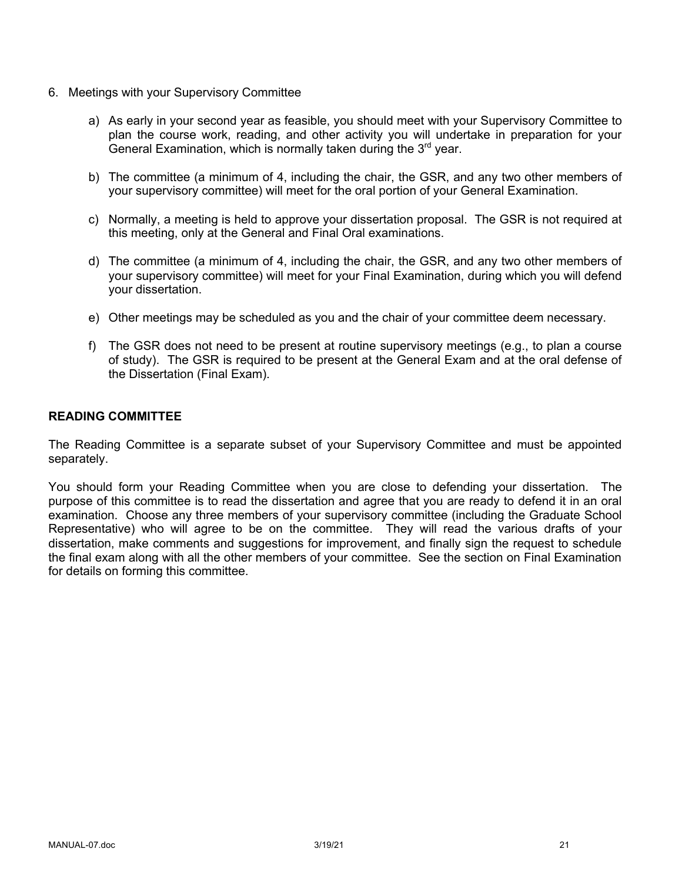- 6. Meetings with your Supervisory Committee
	- a) As early in your second year as feasible, you should meet with your Supervisory Committee to plan the course work, reading, and other activity you will undertake in preparation for your General Examination, which is normally taken during the  $3<sup>rd</sup>$  year.
	- b) The committee (a minimum of 4, including the chair, the GSR, and any two other members of your supervisory committee) will meet for the oral portion of your General Examination.
	- c) Normally, a meeting is held to approve your dissertation proposal. The GSR is not required at this meeting, only at the General and Final Oral examinations.
	- d) The committee (a minimum of 4, including the chair, the GSR, and any two other members of your supervisory committee) will meet for your Final Examination, during which you will defend your dissertation.
	- e) Other meetings may be scheduled as you and the chair of your committee deem necessary.
	- f) The GSR does not need to be present at routine supervisory meetings (e.g., to plan a course of study). The GSR is required to be present at the General Exam and at the oral defense of the Dissertation (Final Exam).

#### **READING COMMITTEE**

The Reading Committee is a separate subset of your Supervisory Committee and must be appointed separately.

You should form your Reading Committee when you are close to defending your dissertation. The purpose of this committee is to read the dissertation and agree that you are ready to defend it in an oral examination. Choose any three members of your supervisory committee (including the Graduate School Representative) who will agree to be on the committee. They will read the various drafts of your dissertation, make comments and suggestions for improvement, and finally sign the request to schedule the final exam along with all the other members of your committee. See the section on Final Examination for details on forming this committee.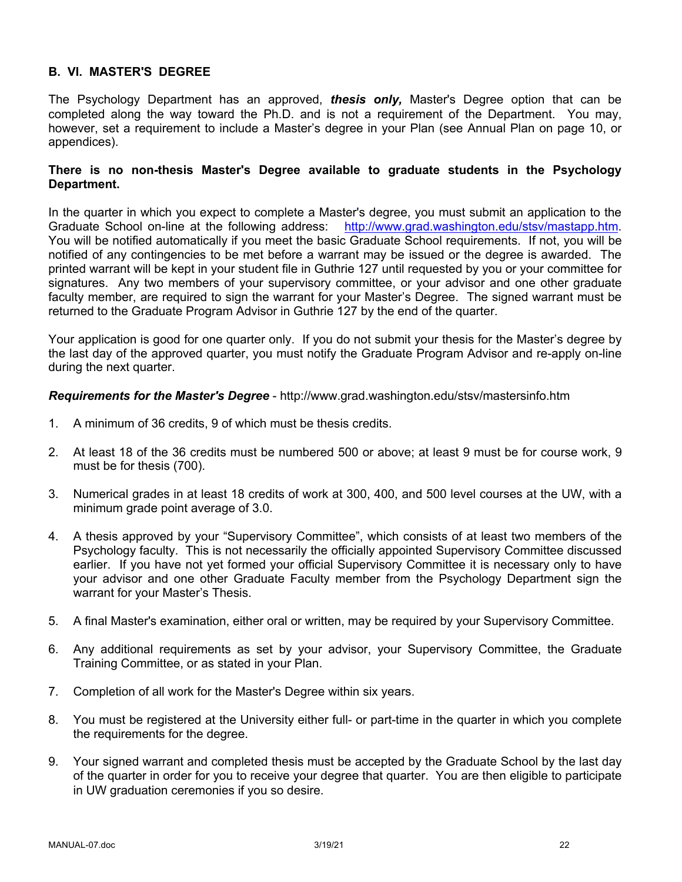### **B. VI. MASTER'S DEGREE**

The Psychology Department has an approved, *thesis only,* Master's Degree option that can be completed along the way toward the Ph.D. and is not a requirement of the Department. You may, however, set a requirement to include a Master's degree in your Plan (see Annual Plan on page 10, or appendices).

#### **There is no non-thesis Master's Degree available to graduate students in the Psychology Department.**

In the quarter in which you expect to complete a Master's degree, you must submit an application to the Graduate School on-line at the following address: http://www.grad.washington.edu/stsv/mastapp.htm. You will be notified automatically if you meet the basic Graduate School requirements. If not, you will be notified of any contingencies to be met before a warrant may be issued or the degree is awarded. The printed warrant will be kept in your student file in Guthrie 127 until requested by you or your committee for signatures. Any two members of your supervisory committee, or your advisor and one other graduate faculty member, are required to sign the warrant for your Master's Degree. The signed warrant must be returned to the Graduate Program Advisor in Guthrie 127 by the end of the quarter.

Your application is good for one quarter only. If you do not submit your thesis for the Master's degree by the last day of the approved quarter, you must notify the Graduate Program Advisor and re-apply on-line during the next quarter.

*Requirements for the Master's Degree* - http://www.grad.washington.edu/stsv/mastersinfo.htm

- 1. A minimum of 36 credits, 9 of which must be thesis credits.
- 2. At least 18 of the 36 credits must be numbered 500 or above; at least 9 must be for course work, 9 must be for thesis (700).
- 3. Numerical grades in at least 18 credits of work at 300, 400, and 500 level courses at the UW, with a minimum grade point average of 3.0.
- 4. A thesis approved by your "Supervisory Committee", which consists of at least two members of the Psychology faculty. This is not necessarily the officially appointed Supervisory Committee discussed earlier. If you have not yet formed your official Supervisory Committee it is necessary only to have your advisor and one other Graduate Faculty member from the Psychology Department sign the warrant for your Master's Thesis.
- 5. A final Master's examination, either oral or written, may be required by your Supervisory Committee.
- 6. Any additional requirements as set by your advisor, your Supervisory Committee, the Graduate Training Committee, or as stated in your Plan.
- 7. Completion of all work for the Master's Degree within six years.
- 8. You must be registered at the University either full- or part-time in the quarter in which you complete the requirements for the degree.
- 9. Your signed warrant and completed thesis must be accepted by the Graduate School by the last day of the quarter in order for you to receive your degree that quarter. You are then eligible to participate in UW graduation ceremonies if you so desire.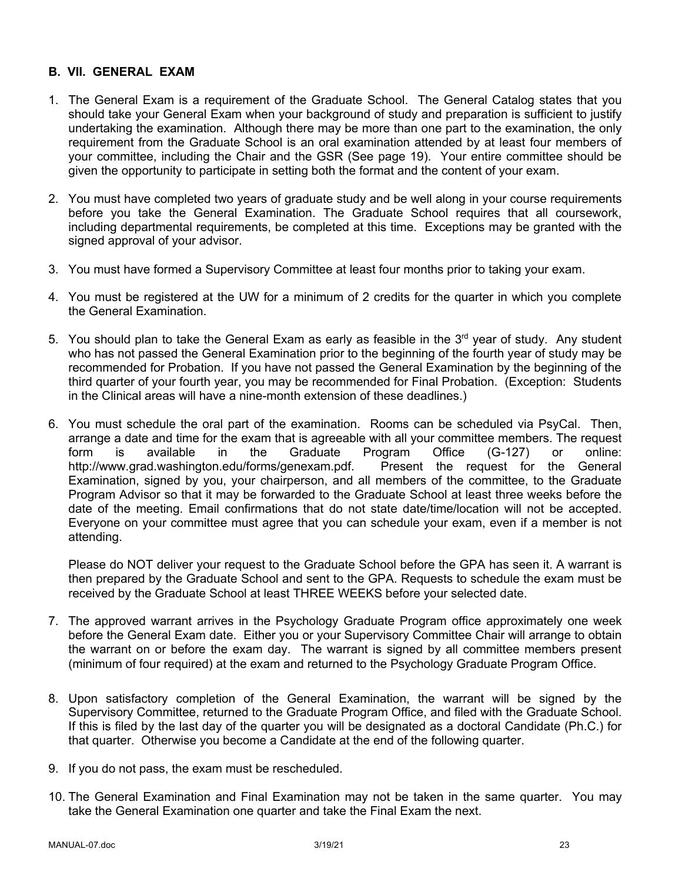### **B. VII. GENERAL EXAM**

- 1. The General Exam is a requirement of the Graduate School. The General Catalog states that you should take your General Exam when your background of study and preparation is sufficient to justify undertaking the examination. Although there may be more than one part to the examination, the only requirement from the Graduate School is an oral examination attended by at least four members of your committee, including the Chair and the GSR (See page 19). Your entire committee should be given the opportunity to participate in setting both the format and the content of your exam.
- 2. You must have completed two years of graduate study and be well along in your course requirements before you take the General Examination. The Graduate School requires that all coursework, including departmental requirements, be completed at this time. Exceptions may be granted with the signed approval of your advisor.
- 3. You must have formed a Supervisory Committee at least four months prior to taking your exam.
- 4. You must be registered at the UW for a minimum of 2 credits for the quarter in which you complete the General Examination.
- 5. You should plan to take the General Exam as early as feasible in the  $3<sup>rd</sup>$  year of study. Any student who has not passed the General Examination prior to the beginning of the fourth year of study may be recommended for Probation. If you have not passed the General Examination by the beginning of the third quarter of your fourth year, you may be recommended for Final Probation. (Exception: Students in the Clinical areas will have a nine-month extension of these deadlines.)
- 6. You must schedule the oral part of the examination. Rooms can be scheduled via PsyCal. Then, arrange a date and time for the exam that is agreeable with all your committee members. The request form is available in the Graduate Program Office (G-127) or online: http://www.grad.washington.edu/forms/genexam.pdf. Present the request for the General Examination, signed by you, your chairperson, and all members of the committee, to the Graduate Program Advisor so that it may be forwarded to the Graduate School at least three weeks before the date of the meeting. Email confirmations that do not state date/time/location will not be accepted. Everyone on your committee must agree that you can schedule your exam, even if a member is not attending.

Please do NOT deliver your request to the Graduate School before the GPA has seen it. A warrant is then prepared by the Graduate School and sent to the GPA. Requests to schedule the exam must be received by the Graduate School at least THREE WEEKS before your selected date.

- 7. The approved warrant arrives in the Psychology Graduate Program office approximately one week before the General Exam date. Either you or your Supervisory Committee Chair will arrange to obtain the warrant on or before the exam day. The warrant is signed by all committee members present (minimum of four required) at the exam and returned to the Psychology Graduate Program Office.
- 8. Upon satisfactory completion of the General Examination, the warrant will be signed by the Supervisory Committee, returned to the Graduate Program Office, and filed with the Graduate School. If this is filed by the last day of the quarter you will be designated as a doctoral Candidate (Ph.C.) for that quarter. Otherwise you become a Candidate at the end of the following quarter.
- 9. If you do not pass, the exam must be rescheduled.
- 10. The General Examination and Final Examination may not be taken in the same quarter. You may take the General Examination one quarter and take the Final Exam the next.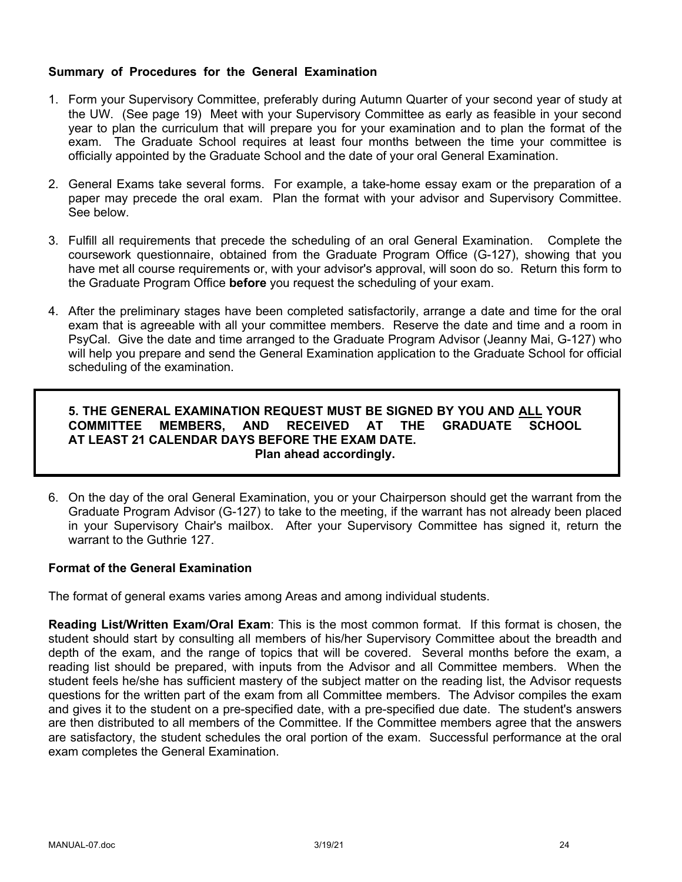### **Summary of Procedures for the General Examination**

- 1. Form your Supervisory Committee, preferably during Autumn Quarter of your second year of study at the UW. (See page 19) Meet with your Supervisory Committee as early as feasible in your second year to plan the curriculum that will prepare you for your examination and to plan the format of the exam. The Graduate School requires at least four months between the time your committee is officially appointed by the Graduate School and the date of your oral General Examination.
- 2. General Exams take several forms. For example, a take-home essay exam or the preparation of a paper may precede the oral exam. Plan the format with your advisor and Supervisory Committee. See below.
- 3. Fulfill all requirements that precede the scheduling of an oral General Examination. Complete the coursework questionnaire, obtained from the Graduate Program Office (G-127), showing that you have met all course requirements or, with your advisor's approval, will soon do so. Return this form to the Graduate Program Office **before** you request the scheduling of your exam.
- 4. After the preliminary stages have been completed satisfactorily, arrange a date and time for the oral exam that is agreeable with all your committee members. Reserve the date and time and a room in PsyCal. Give the date and time arranged to the Graduate Program Advisor (Jeanny Mai, G-127) who will help you prepare and send the General Examination application to the Graduate School for official scheduling of the examination.

### **5. THE GENERAL EXAMINATION REQUEST MUST BE SIGNED BY YOU AND ALL YOUR COMMITTEE MEMBERS, AND RECEIVED AT THE GRADUATE SCHOOL AT LEAST 21 CALENDAR DAYS BEFORE THE EXAM DATE. Plan ahead accordingly.**

6. On the day of the oral General Examination, you or your Chairperson should get the warrant from the Graduate Program Advisor (G-127) to take to the meeting, if the warrant has not already been placed in your Supervisory Chair's mailbox. After your Supervisory Committee has signed it, return the warrant to the Guthrie 127.

### **Format of the General Examination**

The format of general exams varies among Areas and among individual students.

**Reading List/Written Exam/Oral Exam**: This is the most common format. If this format is chosen, the student should start by consulting all members of his/her Supervisory Committee about the breadth and depth of the exam, and the range of topics that will be covered. Several months before the exam, a reading list should be prepared, with inputs from the Advisor and all Committee members. When the student feels he/she has sufficient mastery of the subject matter on the reading list, the Advisor requests questions for the written part of the exam from all Committee members. The Advisor compiles the exam and gives it to the student on a pre-specified date, with a pre-specified due date. The student's answers are then distributed to all members of the Committee. If the Committee members agree that the answers are satisfactory, the student schedules the oral portion of the exam. Successful performance at the oral exam completes the General Examination.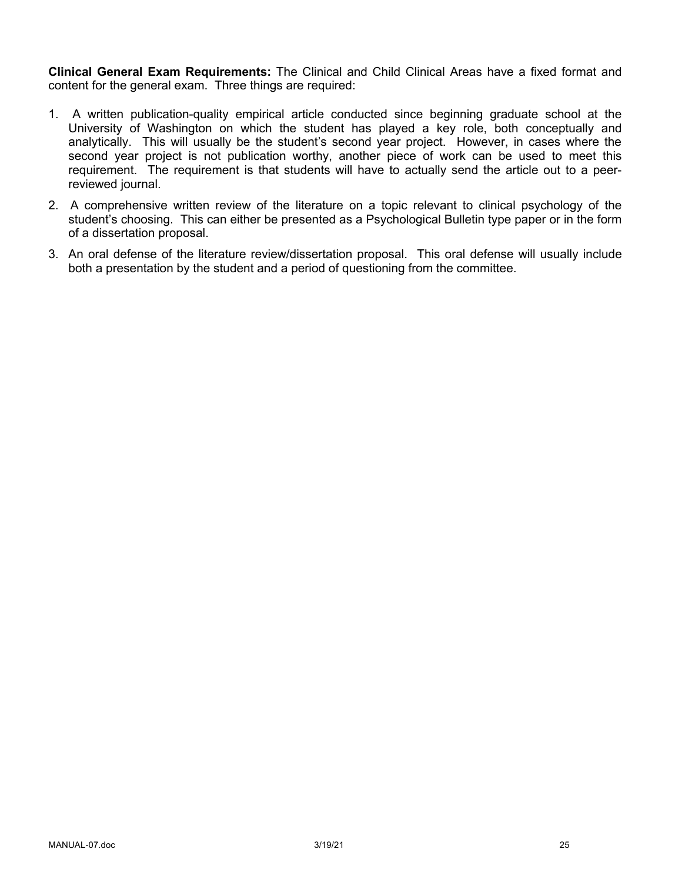**Clinical General Exam Requirements:** The Clinical and Child Clinical Areas have a fixed format and content for the general exam. Three things are required:

- 1. A written publication-quality empirical article conducted since beginning graduate school at the University of Washington on which the student has played a key role, both conceptually and analytically. This will usually be the student's second year project. However, in cases where the second year project is not publication worthy, another piece of work can be used to meet this requirement. The requirement is that students will have to actually send the article out to a peerreviewed journal.
- 2. A comprehensive written review of the literature on a topic relevant to clinical psychology of the student's choosing. This can either be presented as a Psychological Bulletin type paper or in the form of a dissertation proposal.
- 3. An oral defense of the literature review/dissertation proposal. This oral defense will usually include both a presentation by the student and a period of questioning from the committee.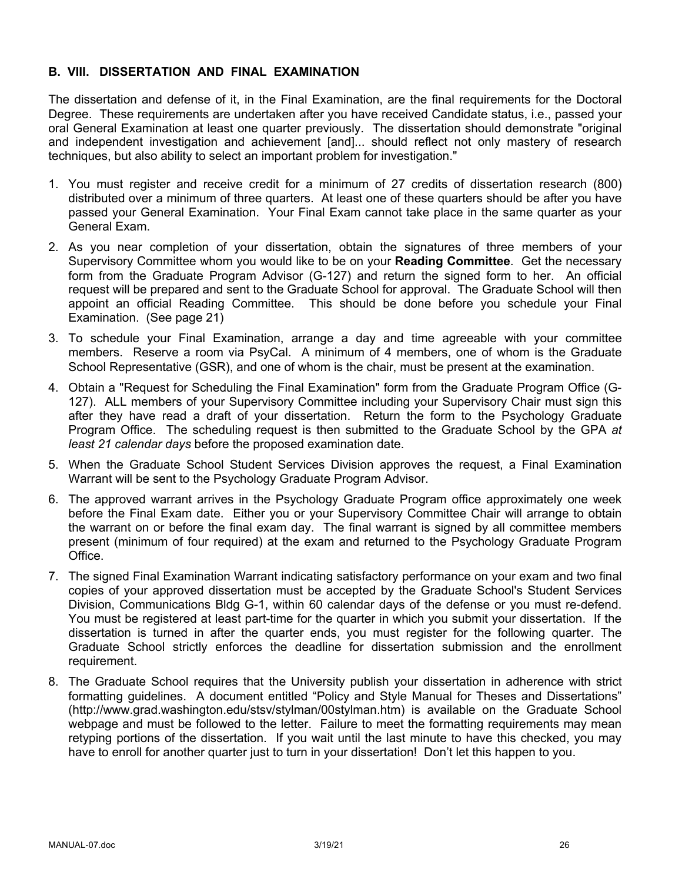#### **B. VIII. DISSERTATION AND FINAL EXAMINATION**

The dissertation and defense of it, in the Final Examination, are the final requirements for the Doctoral Degree. These requirements are undertaken after you have received Candidate status, i.e., passed your oral General Examination at least one quarter previously. The dissertation should demonstrate "original and independent investigation and achievement [and]... should reflect not only mastery of research techniques, but also ability to select an important problem for investigation."

- 1. You must register and receive credit for a minimum of 27 credits of dissertation research (800) distributed over a minimum of three quarters. At least one of these quarters should be after you have passed your General Examination. Your Final Exam cannot take place in the same quarter as your General Exam.
- 2. As you near completion of your dissertation, obtain the signatures of three members of your Supervisory Committee whom you would like to be on your **Reading Committee**. Get the necessary form from the Graduate Program Advisor (G-127) and return the signed form to her. An official request will be prepared and sent to the Graduate School for approval. The Graduate School will then appoint an official Reading Committee. This should be done before you schedule your Final Examination. (See page 21)
- 3. To schedule your Final Examination, arrange a day and time agreeable with your committee members. Reserve a room via PsyCal. A minimum of 4 members, one of whom is the Graduate School Representative (GSR), and one of whom is the chair, must be present at the examination.
- 4. Obtain a "Request for Scheduling the Final Examination" form from the Graduate Program Office (G-127). ALL members of your Supervisory Committee including your Supervisory Chair must sign this after they have read a draft of your dissertation. Return the form to the Psychology Graduate Program Office. The scheduling request is then submitted to the Graduate School by the GPA *at least 21 calendar days* before the proposed examination date.
- 5. When the Graduate School Student Services Division approves the request, a Final Examination Warrant will be sent to the Psychology Graduate Program Advisor.
- 6. The approved warrant arrives in the Psychology Graduate Program office approximately one week before the Final Exam date. Either you or your Supervisory Committee Chair will arrange to obtain the warrant on or before the final exam day. The final warrant is signed by all committee members present (minimum of four required) at the exam and returned to the Psychology Graduate Program Office.
- 7. The signed Final Examination Warrant indicating satisfactory performance on your exam and two final copies of your approved dissertation must be accepted by the Graduate School's Student Services Division, Communications Bldg G-1, within 60 calendar days of the defense or you must re-defend. You must be registered at least part-time for the quarter in which you submit your dissertation. If the dissertation is turned in after the quarter ends, you must register for the following quarter. The Graduate School strictly enforces the deadline for dissertation submission and the enrollment requirement.
- 8. The Graduate School requires that the University publish your dissertation in adherence with strict formatting guidelines. A document entitled "Policy and Style Manual for Theses and Dissertations" (http://www.grad.washington.edu/stsv/stylman/00stylman.htm) is available on the Graduate School webpage and must be followed to the letter. Failure to meet the formatting requirements may mean retyping portions of the dissertation. If you wait until the last minute to have this checked, you may have to enroll for another quarter just to turn in your dissertation! Don't let this happen to you.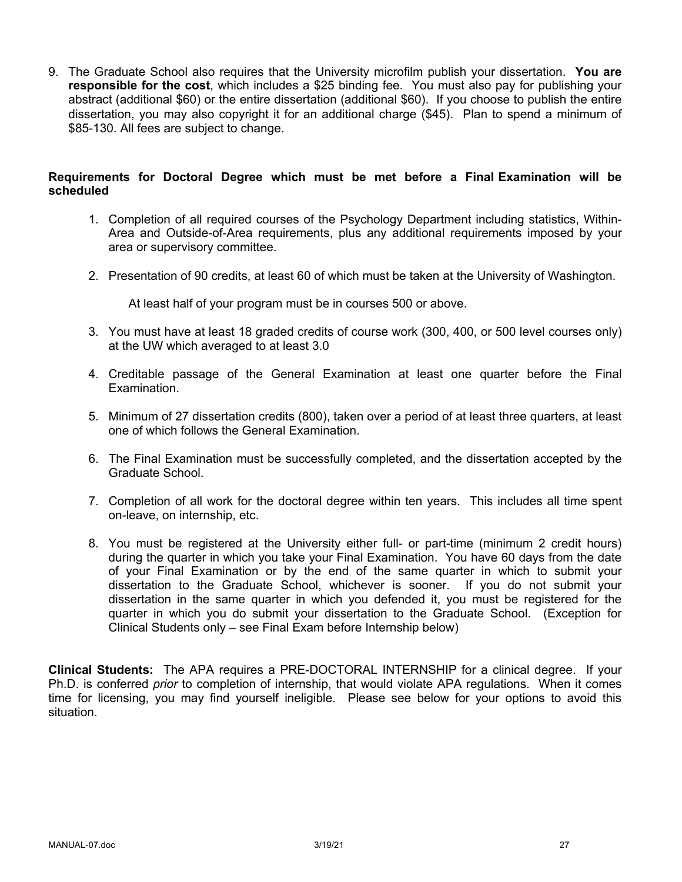9. The Graduate School also requires that the University microfilm publish your dissertation. **You are responsible for the cost**, which includes a \$25 binding fee. You must also pay for publishing your abstract (additional \$60) or the entire dissertation (additional \$60). If you choose to publish the entire dissertation, you may also copyright it for an additional charge (\$45). Plan to spend a minimum of \$85-130. All fees are subject to change.

#### **Requirements for Doctoral Degree which must be met before a Final Examination will be scheduled**

- 1. Completion of all required courses of the Psychology Department including statistics, Within-Area and Outside-of-Area requirements, plus any additional requirements imposed by your area or supervisory committee.
- 2. Presentation of 90 credits, at least 60 of which must be taken at the University of Washington.

At least half of your program must be in courses 500 or above.

- 3. You must have at least 18 graded credits of course work (300, 400, or 500 level courses only) at the UW which averaged to at least 3.0
- 4. Creditable passage of the General Examination at least one quarter before the Final Examination.
- 5. Minimum of 27 dissertation credits (800), taken over a period of at least three quarters, at least one of which follows the General Examination.
- 6. The Final Examination must be successfully completed, and the dissertation accepted by the Graduate School.
- 7. Completion of all work for the doctoral degree within ten years. This includes all time spent on-leave, on internship, etc.
- 8. You must be registered at the University either full- or part-time (minimum 2 credit hours) during the quarter in which you take your Final Examination. You have 60 days from the date of your Final Examination or by the end of the same quarter in which to submit your dissertation to the Graduate School, whichever is sooner. If you do not submit your dissertation in the same quarter in which you defended it, you must be registered for the quarter in which you do submit your dissertation to the Graduate School. (Exception for Clinical Students only – see Final Exam before Internship below)

**Clinical Students:** The APA requires a PRE-DOCTORAL INTERNSHIP for a clinical degree. If your Ph.D. is conferred *prior* to completion of internship, that would violate APA regulations. When it comes time for licensing, you may find yourself ineligible. Please see below for your options to avoid this situation.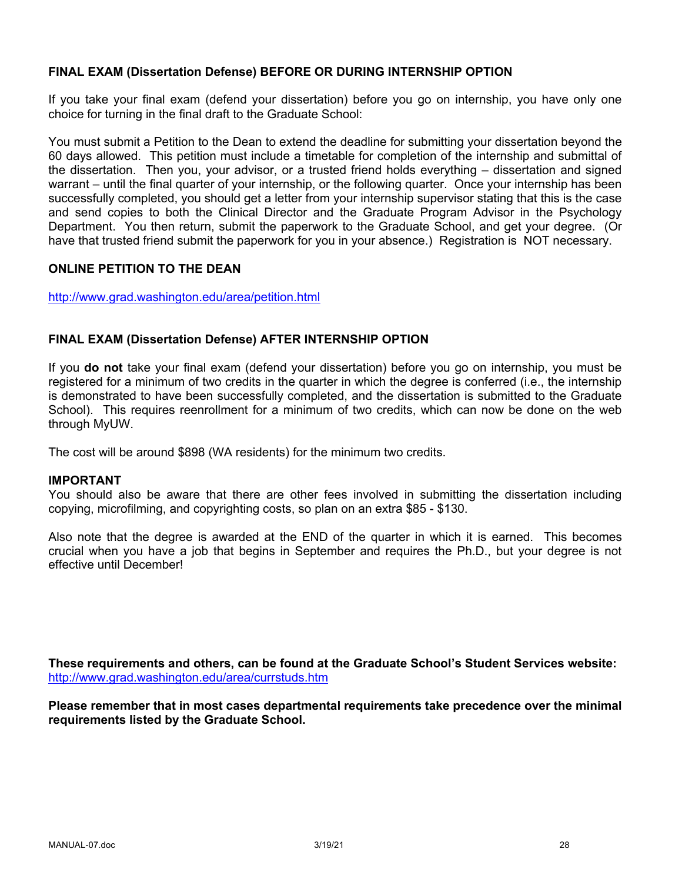### **FINAL EXAM (Dissertation Defense) BEFORE OR DURING INTERNSHIP OPTION**

If you take your final exam (defend your dissertation) before you go on internship, you have only one choice for turning in the final draft to the Graduate School:

You must submit a Petition to the Dean to extend the deadline for submitting your dissertation beyond the 60 days allowed. This petition must include a timetable for completion of the internship and submittal of the dissertation. Then you, your advisor, or a trusted friend holds everything – dissertation and signed warrant – until the final quarter of your internship, or the following quarter. Once your internship has been successfully completed, you should get a letter from your internship supervisor stating that this is the case and send copies to both the Clinical Director and the Graduate Program Advisor in the Psychology Department. You then return, submit the paperwork to the Graduate School, and get your degree. (Or have that trusted friend submit the paperwork for you in your absence.) Registration is NOT necessary.

#### **ONLINE PETITION TO THE DEAN**

http://www.grad.washington.edu/area/petition.html

#### **FINAL EXAM (Dissertation Defense) AFTER INTERNSHIP OPTION**

If you **do not** take your final exam (defend your dissertation) before you go on internship, you must be registered for a minimum of two credits in the quarter in which the degree is conferred (i.e., the internship is demonstrated to have been successfully completed, and the dissertation is submitted to the Graduate School). This requires reenrollment for a minimum of two credits, which can now be done on the web through MyUW.

The cost will be around \$898 (WA residents) for the minimum two credits.

#### **IMPORTANT**

You should also be aware that there are other fees involved in submitting the dissertation including copying, microfilming, and copyrighting costs, so plan on an extra \$85 - \$130.

Also note that the degree is awarded at the END of the quarter in which it is earned. This becomes crucial when you have a job that begins in September and requires the Ph.D., but your degree is not effective until December!

**These requirements and others, can be found at the Graduate School's Student Services website:** http://www.grad.washington.edu/area/currstuds.htm

**Please remember that in most cases departmental requirements take precedence over the minimal requirements listed by the Graduate School.**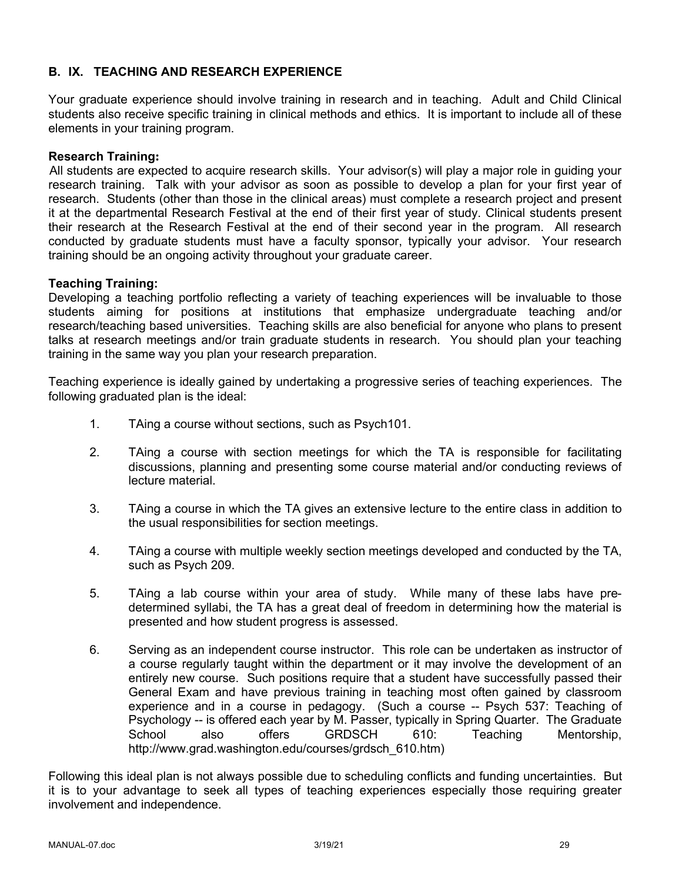# **B. IX. TEACHING AND RESEARCH EXPERIENCE**

Your graduate experience should involve training in research and in teaching. Adult and Child Clinical students also receive specific training in clinical methods and ethics. It is important to include all of these elements in your training program.

#### **Research Training:**

All students are expected to acquire research skills. Your advisor(s) will play a major role in guiding your research training. Talk with your advisor as soon as possible to develop a plan for your first year of research. Students (other than those in the clinical areas) must complete a research project and present it at the departmental Research Festival at the end of their first year of study. Clinical students present their research at the Research Festival at the end of their second year in the program. All research conducted by graduate students must have a faculty sponsor, typically your advisor. Your research training should be an ongoing activity throughout your graduate career.

#### **Teaching Training:**

Developing a teaching portfolio reflecting a variety of teaching experiences will be invaluable to those students aiming for positions at institutions that emphasize undergraduate teaching and/or research/teaching based universities. Teaching skills are also beneficial for anyone who plans to present talks at research meetings and/or train graduate students in research. You should plan your teaching training in the same way you plan your research preparation.

Teaching experience is ideally gained by undertaking a progressive series of teaching experiences. The following graduated plan is the ideal:

- 1. TAing a course without sections, such as Psych101.
- 2. TAing a course with section meetings for which the TA is responsible for facilitating discussions, planning and presenting some course material and/or conducting reviews of lecture material.
- 3. TAing a course in which the TA gives an extensive lecture to the entire class in addition to the usual responsibilities for section meetings.
- 4. TAing a course with multiple weekly section meetings developed and conducted by the TA, such as Psych 209.
- 5. TAing a lab course within your area of study. While many of these labs have predetermined syllabi, the TA has a great deal of freedom in determining how the material is presented and how student progress is assessed.
- 6. Serving as an independent course instructor. This role can be undertaken as instructor of a course regularly taught within the department or it may involve the development of an entirely new course. Such positions require that a student have successfully passed their General Exam and have previous training in teaching most often gained by classroom experience and in a course in pedagogy. (Such a course -- Psych 537: Teaching of Psychology -- is offered each year by M. Passer, typically in Spring Quarter. The Graduate School also offers GRDSCH 610: Teaching Mentorship, http://www.grad.washington.edu/courses/grdsch\_610.htm)

Following this ideal plan is not always possible due to scheduling conflicts and funding uncertainties. But it is to your advantage to seek all types of teaching experiences especially those requiring greater involvement and independence.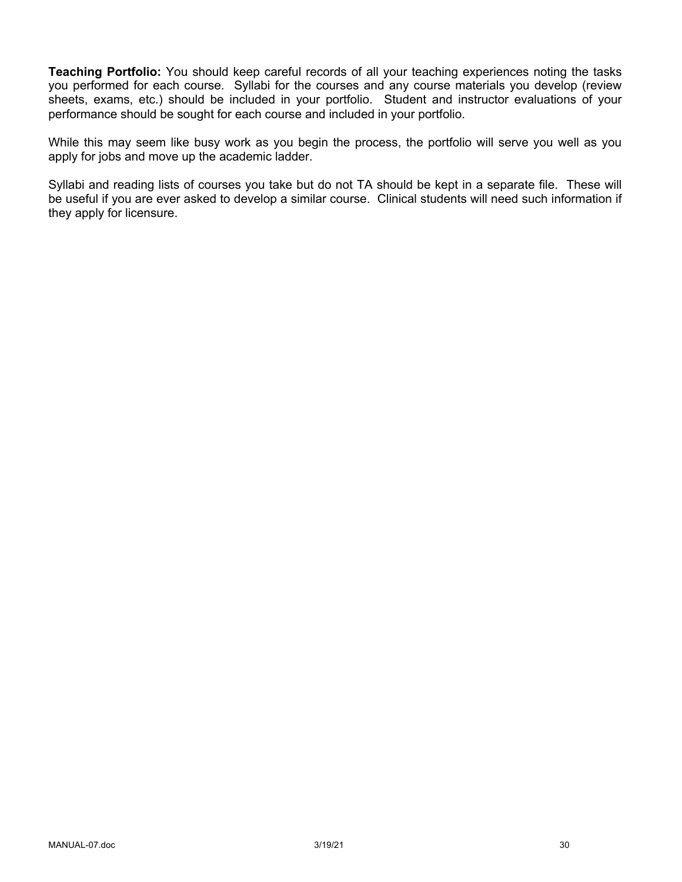**Teaching Portfolio:** You should keep careful records of all your teaching experiences noting the tasks you performed for each course. Syllabi for the courses and any course materials you develop (review sheets, exams, etc.) should be included in your portfolio. Student and instructor evaluations of your performance should be sought for each course and included in your portfolio.

While this may seem like busy work as you begin the process, the portfolio will serve you well as you apply for jobs and move up the academic ladder.

Syllabi and reading lists of courses you take but do not TA should be kept in a separate file. These will be useful if you are ever asked to develop a similar course. Clinical students will need such information if they apply for licensure.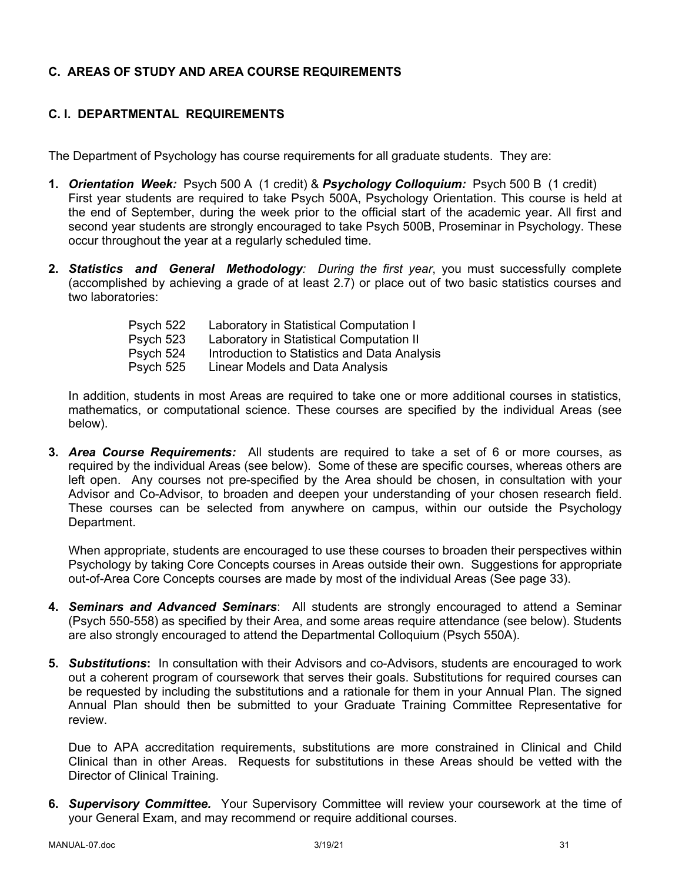# **C. AREAS OF STUDY AND AREA COURSE REQUIREMENTS**

# **C. I. DEPARTMENTAL REQUIREMENTS**

The Department of Psychology has course requirements for all graduate students. They are:

- **1.** *Orientation Week:* Psych 500 A (1 credit) & *Psychology Colloquium:* Psych 500 B (1 credit) First year students are required to take Psych 500A, Psychology Orientation. This course is held at the end of September, during the week prior to the official start of the academic year. All first and second year students are strongly encouraged to take Psych 500B, Proseminar in Psychology. These occur throughout the year at a regularly scheduled time.
- **2.** *Statistics and General Methodology: During the first year*, you must successfully complete (accomplished by achieving a grade of at least 2.7) or place out of two basic statistics courses and two laboratories:

| Psych 522 | Laboratory in Statistical Computation I      |
|-----------|----------------------------------------------|
| Psych 523 | Laboratory in Statistical Computation II     |
| Psych 524 | Introduction to Statistics and Data Analysis |
| Psych 525 | Linear Models and Data Analysis              |

In addition, students in most Areas are required to take one or more additional courses in statistics, mathematics, or computational science. These courses are specified by the individual Areas (see below).

**3.** *Area Course Requirements:* All students are required to take a set of 6 or more courses, as required by the individual Areas (see below). Some of these are specific courses, whereas others are left open. Any courses not pre-specified by the Area should be chosen, in consultation with your Advisor and Co-Advisor, to broaden and deepen your understanding of your chosen research field. These courses can be selected from anywhere on campus, within our outside the Psychology Department.

When appropriate, students are encouraged to use these courses to broaden their perspectives within Psychology by taking Core Concepts courses in Areas outside their own. Suggestions for appropriate out-of-Area Core Concepts courses are made by most of the individual Areas (See page 33).

- **4.** *Seminars and Advanced Seminars*: All students are strongly encouraged to attend a Seminar (Psych 550-558) as specified by their Area, and some areas require attendance (see below). Students are also strongly encouraged to attend the Departmental Colloquium (Psych 550A).
- **5.** *Substitutions***:** In consultation with their Advisors and co-Advisors, students are encouraged to work out a coherent program of coursework that serves their goals. Substitutions for required courses can be requested by including the substitutions and a rationale for them in your Annual Plan. The signed Annual Plan should then be submitted to your Graduate Training Committee Representative for review.

Due to APA accreditation requirements, substitutions are more constrained in Clinical and Child Clinical than in other Areas. Requests for substitutions in these Areas should be vetted with the Director of Clinical Training.

**6.** *Supervisory Committee.* Your Supervisory Committee will review your coursework at the time of your General Exam, and may recommend or require additional courses.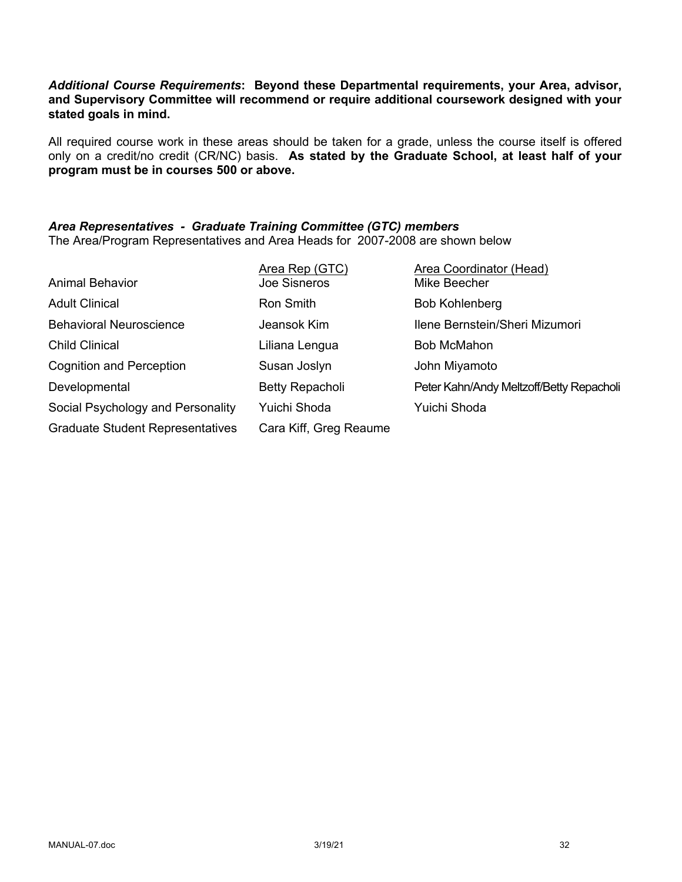#### *Additional Course Requirements***: Beyond these Departmental requirements, your Area, advisor, and Supervisory Committee will recommend or require additional coursework designed with your stated goals in mind.**

All required course work in these areas should be taken for a grade, unless the course itself is offered only on a credit/no credit (CR/NC) basis. **As stated by the Graduate School, at least half of your program must be in courses 500 or above.**

# *Area Representatives - Graduate Training Committee (GTC) members*

The Area/Program Representatives and Area Heads for 2007-2008 are shown below

|                                         | Area Rep (GTC)         | Area Coordinator (Head)                  |
|-----------------------------------------|------------------------|------------------------------------------|
| <b>Animal Behavior</b>                  | Joe Sisneros           | Mike Beecher                             |
| <b>Adult Clinical</b>                   | Ron Smith              | <b>Bob Kohlenberg</b>                    |
| <b>Behavioral Neuroscience</b>          | Jeansok Kim            | Ilene Bernstein/Sheri Mizumori           |
| <b>Child Clinical</b>                   | Liliana Lengua         | <b>Bob McMahon</b>                       |
| <b>Cognition and Perception</b>         | Susan Joslyn           | John Miyamoto                            |
| Developmental                           | Betty Repacholi        | Peter Kahn/Andy Meltzoff/Betty Repacholi |
| Social Psychology and Personality       | Yuichi Shoda           | Yuichi Shoda                             |
| <b>Graduate Student Representatives</b> | Cara Kiff, Greg Reaume |                                          |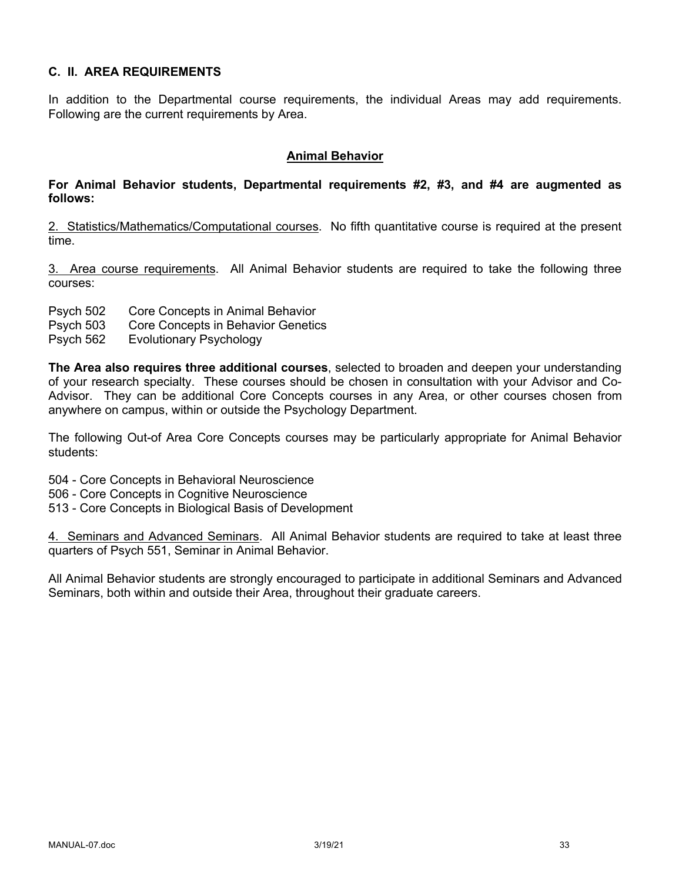### **C. II. AREA REQUIREMENTS**

In addition to the Departmental course requirements, the individual Areas may add requirements. Following are the current requirements by Area.

#### **Animal Behavior**

#### **For Animal Behavior students, Departmental requirements #2, #3, and #4 are augmented as follows:**

2. Statistics/Mathematics/Computational courses. No fifth quantitative course is required at the present time.

3. Area course requirements. All Animal Behavior students are required to take the following three courses:

- Psych 502 Core Concepts in Animal Behavior
- Psych 503 Core Concepts in Behavior Genetics
- Psych 562 Evolutionary Psychology

**The Area also requires three additional courses**, selected to broaden and deepen your understanding of your research specialty. These courses should be chosen in consultation with your Advisor and Co-Advisor. They can be additional Core Concepts courses in any Area, or other courses chosen from anywhere on campus, within or outside the Psychology Department.

The following Out-of Area Core Concepts courses may be particularly appropriate for Animal Behavior students:

504 - Core Concepts in Behavioral Neuroscience

- 506 Core Concepts in Cognitive Neuroscience
- 513 Core Concepts in Biological Basis of Development

4. Seminars and Advanced Seminars. All Animal Behavior students are required to take at least three quarters of Psych 551, Seminar in Animal Behavior.

All Animal Behavior students are strongly encouraged to participate in additional Seminars and Advanced Seminars, both within and outside their Area, throughout their graduate careers.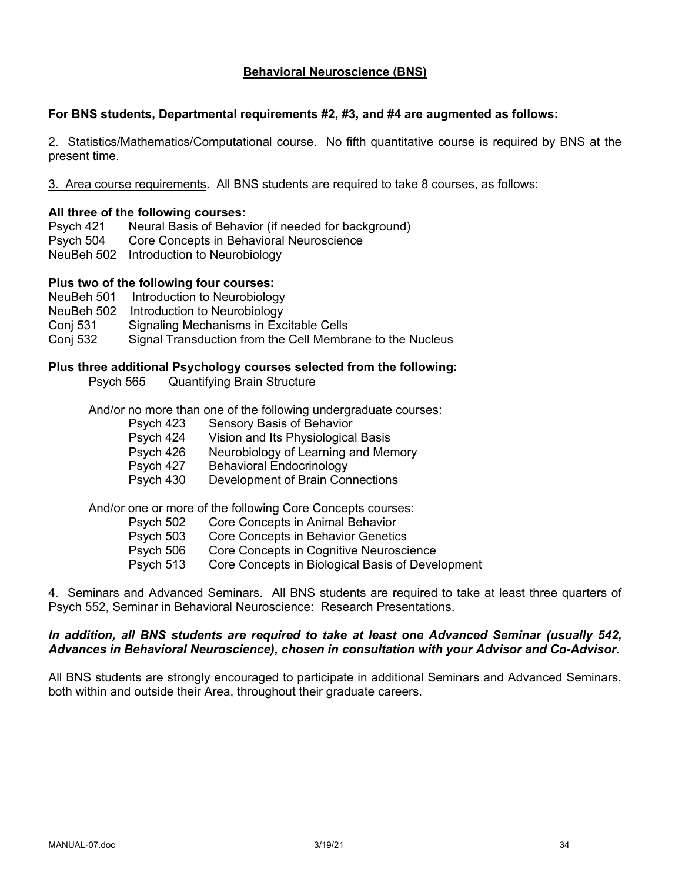### **Behavioral Neuroscience (BNS)**

#### **For BNS students, Departmental requirements #2, #3, and #4 are augmented as follows:**

2. Statistics/Mathematics/Computational course. No fifth quantitative course is required by BNS at the present time.

3. Area course requirements. All BNS students are required to take 8 courses, as follows:

#### **All three of the following courses:**

Psych 421 Neural Basis of Behavior (if needed for background) Psych 504 Core Concepts in Behavioral Neuroscience NeuBeh 502 Introduction to Neurobiology

#### **Plus two of the following four courses:**

- NeuBeh 501 Introduction to Neurobiology
- NeuBeh 502 Introduction to Neurobiology
- Conj 531 Signaling Mechanisms in Excitable Cells
- Conj 532 Signal Transduction from the Cell Membrane to the Nucleus

#### **Plus three additional Psychology courses selected from the following:**

Psych 565 Quantifying Brain Structure

And/or no more than one of the following undergraduate courses:

- Psych 423 Sensory Basis of Behavior
- Psych 424 Vision and Its Physiological Basis
- Psych 426 Neurobiology of Learning and Memory
- Psych 427 Behavioral Endocrinology
- Psych 430 Development of Brain Connections

And/or one or more of the following Core Concepts courses:

- Psych 502 Core Concepts in Animal Behavior
- Psych 503 Core Concepts in Behavior Genetics
- Psych 506 Core Concepts in Cognitive Neuroscience
- Psych 513 Core Concepts in Biological Basis of Development

4. Seminars and Advanced Seminars. All BNS students are required to take at least three quarters of Psych 552, Seminar in Behavioral Neuroscience: Research Presentations.

#### *In addition, all BNS students are required to take at least one Advanced Seminar (usually 542, Advances in Behavioral Neuroscience), chosen in consultation with your Advisor and Co-Advisor.*

All BNS students are strongly encouraged to participate in additional Seminars and Advanced Seminars, both within and outside their Area, throughout their graduate careers.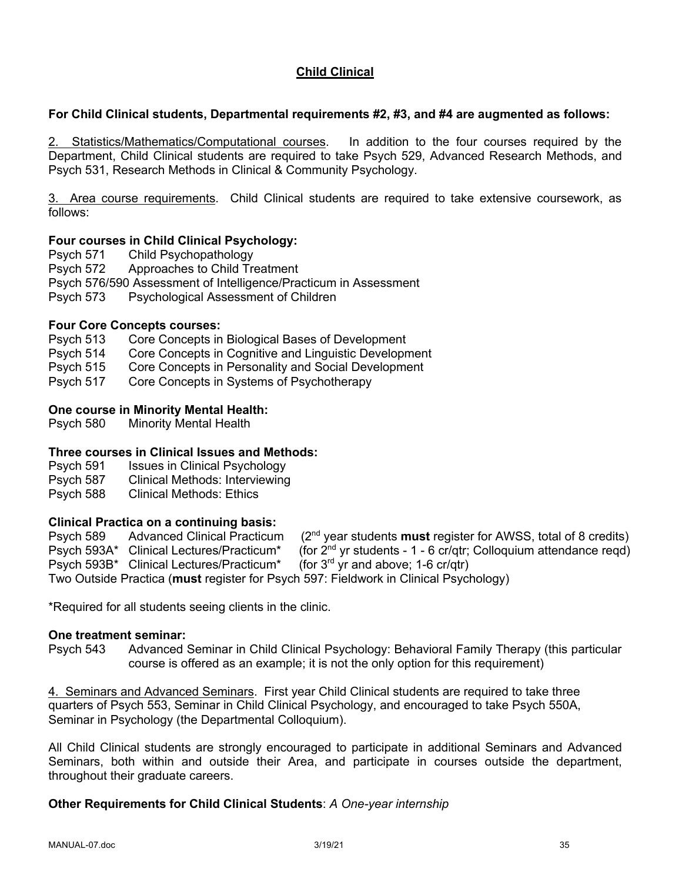# **Child Clinical**

### **For Child Clinical students, Departmental requirements #2, #3, and #4 are augmented as follows:**

2. Statistics/Mathematics/Computational courses. In addition to the four courses required by the Department, Child Clinical students are required to take Psych 529, Advanced Research Methods, and Psych 531, Research Methods in Clinical & Community Psychology.

3. Area course requirements. Child Clinical students are required to take extensive coursework, as follows:

#### **Four courses in Child Clinical Psychology:**

Psych 571 Child Psychopathology

Psych 572 Approaches to Child Treatment

- Psych 576/590 Assessment of Intelligence/Practicum in Assessment
- Psych 573 Psychological Assessment of Children

#### **Four Core Concepts courses:**

- Psych 513 Core Concepts in Biological Bases of Development
- Psych 514 Core Concepts in Cognitive and Linguistic Development
- Psych 515 Core Concepts in Personality and Social Development
- Psych 517 Core Concepts in Systems of Psychotherapy

### **One course in Minority Mental Health:**

Psych 580 Minority Mental Health

### **Three courses in Clinical Issues and Methods:**

- Psych 591 Issues in Clinical Psychology
- Psych 587 Clinical Methods: Interviewing
- Psych 588 Clinical Methods: Ethics

### **Clinical Practica on a continuing basis:**

| Psych 589 | Advanced Clinical Practicum              | $(2nd$ year students <b>must</b> register for AWSS, total of 8 credits)              |
|-----------|------------------------------------------|--------------------------------------------------------------------------------------|
|           | Psych 593A* Clinical Lectures/Practicum* | (for $2^{nd}$ yr students - 1 - 6 cr/qtr; Colloquium attendance regd)                |
|           | Psych 593B* Clinical Lectures/Practicum* | (for $3^{\text{rd}}$ yr and above; 1-6 cr/gtr)                                       |
|           |                                          | Two Outside Practica (must register for Psych 597: Fieldwork in Clinical Psychology) |

\*Required for all students seeing clients in the clinic.

#### **One treatment seminar:**

Psych 543 Advanced Seminar in Child Clinical Psychology: Behavioral Family Therapy (this particular course is offered as an example; it is not the only option for this requirement)

4. Seminars and Advanced Seminars. First year Child Clinical students are required to take three quarters of Psych 553, Seminar in Child Clinical Psychology, and encouraged to take Psych 550A, Seminar in Psychology (the Departmental Colloquium).

All Child Clinical students are strongly encouraged to participate in additional Seminars and Advanced Seminars, both within and outside their Area, and participate in courses outside the department, throughout their graduate careers.

#### **Other Requirements for Child Clinical Students**: *A One-year internship*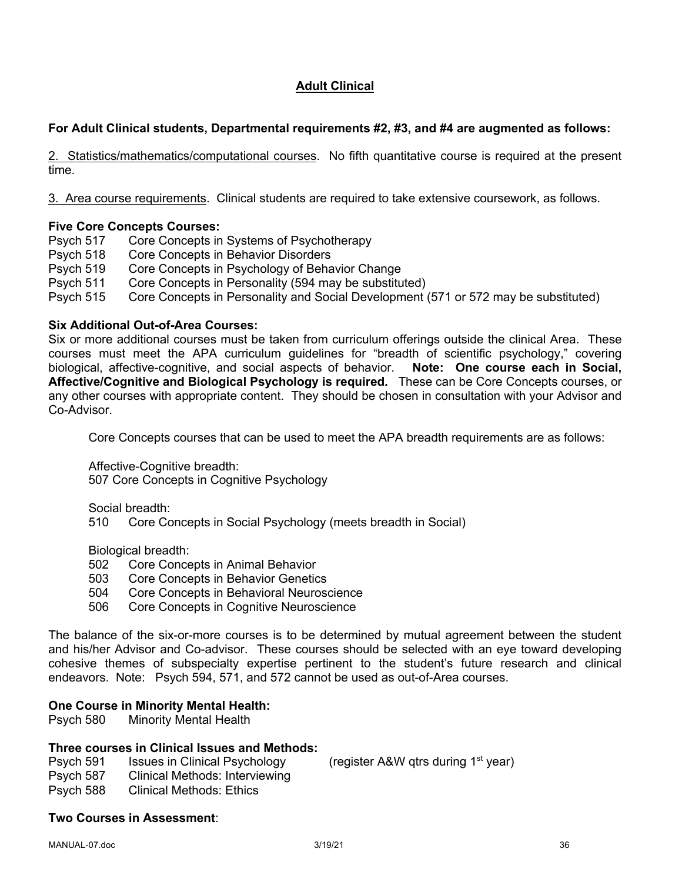# **Adult Clinical**

# **For Adult Clinical students, Departmental requirements #2, #3, and #4 are augmented as follows:**

2. Statistics/mathematics/computational courses. No fifth quantitative course is required at the present time.

3. Area course requirements. Clinical students are required to take extensive coursework, as follows.

### **Five Core Concepts Courses:**

Psych 517 Core Concepts in Systems of Psychotherapy

- Psych 518 Core Concepts in Behavior Disorders
- Psych 519 Core Concepts in Psychology of Behavior Change
- Psych 511 Core Concepts in Personality (594 may be substituted)
- Psych 515 Core Concepts in Personality and Social Development (571 or 572 may be substituted)

#### **Six Additional Out-of-Area Courses:**

Six or more additional courses must be taken from curriculum offerings outside the clinical Area. These courses must meet the APA curriculum guidelines for "breadth of scientific psychology," covering biological, affective-cognitive, and social aspects of behavior. **Note: One course each in Social, Affective/Cognitive and Biological Psychology is required***.* These can be Core Concepts courses, or any other courses with appropriate content. They should be chosen in consultation with your Advisor and Co-Advisor.

Core Concepts courses that can be used to meet the APA breadth requirements are as follows:

Affective-Cognitive breadth:

507 Core Concepts in Cognitive Psychology

Social breadth:

510 Core Concepts in Social Psychology (meets breadth in Social)

Biological breadth:

- 502 Core Concepts in Animal Behavior
- 503 Core Concepts in Behavior Genetics
- 504 Core Concepts in Behavioral Neuroscience
- 506 Core Concepts in Cognitive Neuroscience

The balance of the six-or-more courses is to be determined by mutual agreement between the student and his/her Advisor and Co-advisor. These courses should be selected with an eye toward developing cohesive themes of subspecialty expertise pertinent to the student's future research and clinical endeavors. Note: Psych 594, 571, and 572 cannot be used as out-of-Area courses.

#### **One Course in Minority Mental Health:**

Psych 580 Minority Mental Health

### **Three courses in Clinical Issues and Methods:**

Psych 591 Issues in Clinical Psychology (register A&W gtrs during 1<sup>st</sup> year)

- Psych 587 Clinical Methods: Interviewing
- Psych 588 Clinical Methods: Ethics

### **Two Courses in Assessment**: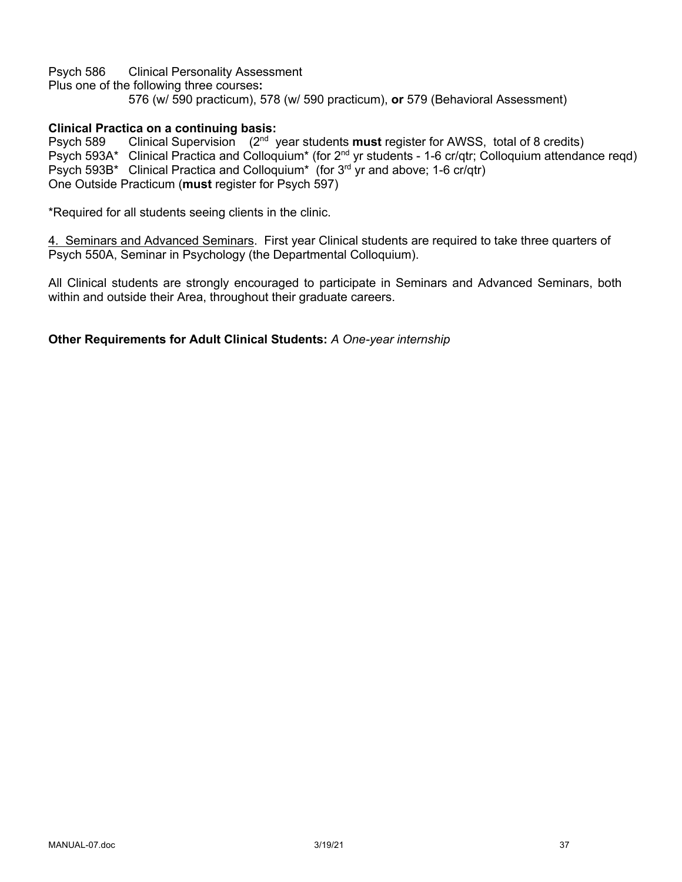Psych 586 Clinical Personality Assessment Plus one of the following three courses**:**  576 (w/ 590 practicum), 578 (w/ 590 practicum), **or** 579 (Behavioral Assessment)

### **Clinical Practica on a continuing basis:**

Psych 589 Clinical Supervision (2nd year students **must** register for AWSS, total of 8 credits) Psych 593A\* Clinical Practica and Colloquium\* (for 2nd yr students - 1-6 cr/qtr; Colloquium attendance reqd) Psych 593B\* Clinical Practica and Colloquium<sup>\*</sup> (for  $3^{rd}$  yr and above; 1-6 cr/qtr) One Outside Practicum (**must** register for Psych 597)

\*Required for all students seeing clients in the clinic.

4. Seminars and Advanced Seminars. First year Clinical students are required to take three quarters of Psych 550A, Seminar in Psychology (the Departmental Colloquium).

All Clinical students are strongly encouraged to participate in Seminars and Advanced Seminars, both within and outside their Area, throughout their graduate careers.

**Other Requirements for Adult Clinical Students:** *A One-year internship*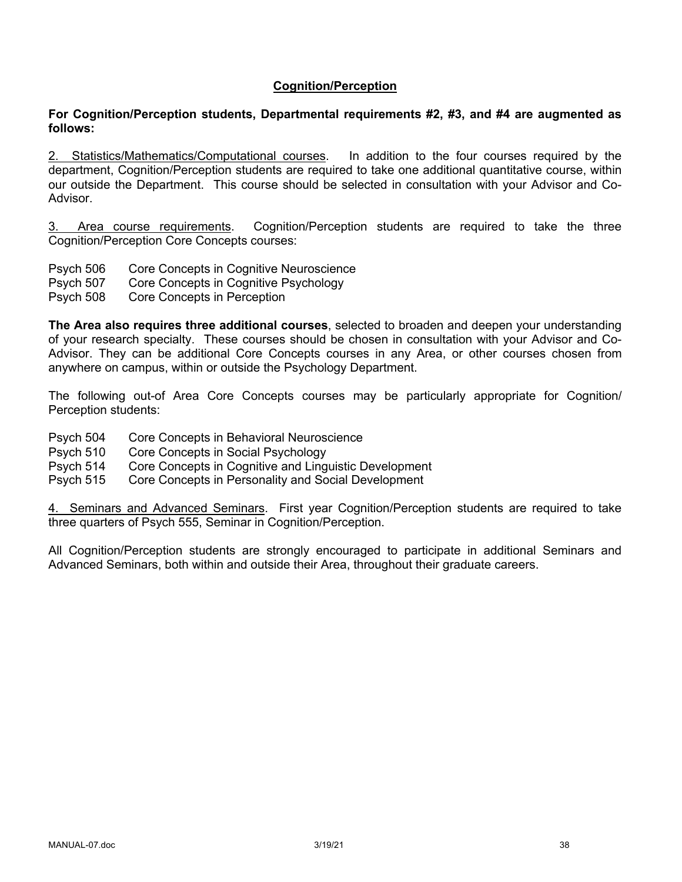### **Cognition/Perception**

#### **For Cognition/Perception students, Departmental requirements #2, #3, and #4 are augmented as follows:**

2. Statistics/Mathematics/Computational courses. In addition to the four courses required by the department, Cognition/Perception students are required to take one additional quantitative course, within our outside the Department. This course should be selected in consultation with your Advisor and Co-Advisor.

3. Area course requirements. Cognition/Perception students are required to take the three Cognition/Perception Core Concepts courses:

- Psych 506 Core Concepts in Cognitive Neuroscience
- Psych 507 Core Concepts in Cognitive Psychology
- Psych 508 Core Concepts in Perception

**The Area also requires three additional courses**, selected to broaden and deepen your understanding of your research specialty. These courses should be chosen in consultation with your Advisor and Co-Advisor. They can be additional Core Concepts courses in any Area, or other courses chosen from anywhere on campus, within or outside the Psychology Department.

The following out-of Area Core Concepts courses may be particularly appropriate for Cognition/ Perception students:

- Psych 504 Core Concepts in Behavioral Neuroscience
- Psych 510 Core Concepts in Social Psychology
- Psych 514 Core Concepts in Cognitive and Linguistic Development
- Psych 515 Core Concepts in Personality and Social Development

4. Seminars and Advanced Seminars. First year Cognition/Perception students are required to take three quarters of Psych 555, Seminar in Cognition/Perception.

All Cognition/Perception students are strongly encouraged to participate in additional Seminars and Advanced Seminars, both within and outside their Area, throughout their graduate careers.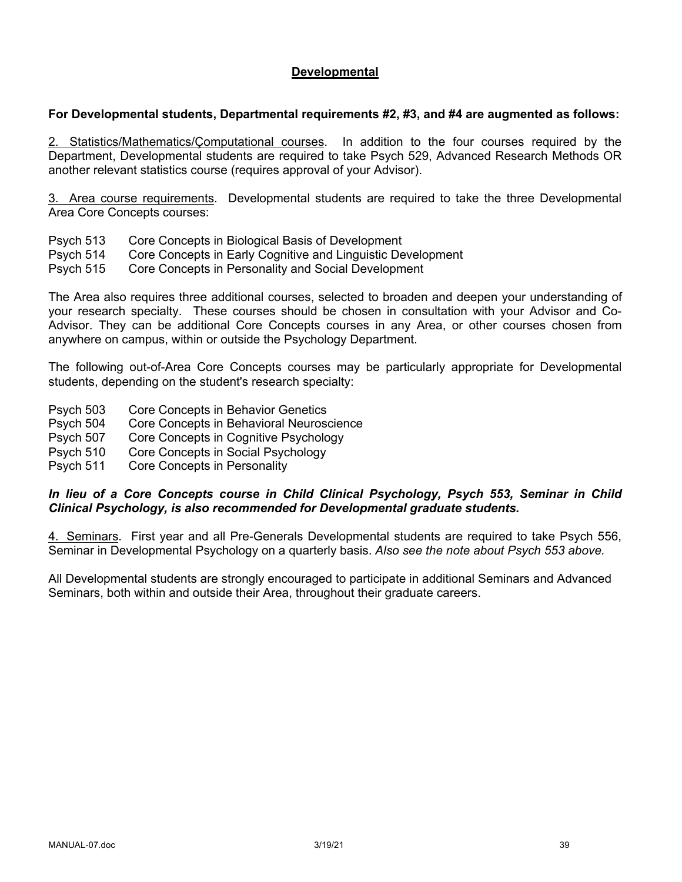### **Developmental**

#### **For Developmental students, Departmental requirements #2, #3, and #4 are augmented as follows:**

2. Statistics/Mathematics/Çomputational courses. In addition to the four courses required by the Department, Developmental students are required to take Psych 529, Advanced Research Methods OR another relevant statistics course (requires approval of your Advisor).

3. Area course requirements. Developmental students are required to take the three Developmental Area Core Concepts courses:

- Psych 513 Core Concepts in Biological Basis of Development
- Psych 514 Core Concepts in Early Cognitive and Linguistic Development

Psych 515 Core Concepts in Personality and Social Development

The Area also requires three additional courses, selected to broaden and deepen your understanding of your research specialty. These courses should be chosen in consultation with your Advisor and Co-Advisor. They can be additional Core Concepts courses in any Area, or other courses chosen from anywhere on campus, within or outside the Psychology Department.

The following out-of-Area Core Concepts courses may be particularly appropriate for Developmental students, depending on the student's research specialty:

- Psych 503 Core Concepts in Behavior Genetics
- Psych 504 Core Concepts in Behavioral Neuroscience
- Psych 507 Core Concepts in Cognitive Psychology
- Psych 510 Core Concepts in Social Psychology
- Psych 511 Core Concepts in Personality

#### *In lieu of a Core Concepts course in Child Clinical Psychology, Psych 553, Seminar in Child Clinical Psychology, is also recommended for Developmental graduate students.*

4. Seminars. First year and all Pre-Generals Developmental students are required to take Psych 556, Seminar in Developmental Psychology on a quarterly basis. *Also see the note about Psych 553 above.* 

All Developmental students are strongly encouraged to participate in additional Seminars and Advanced Seminars, both within and outside their Area, throughout their graduate careers.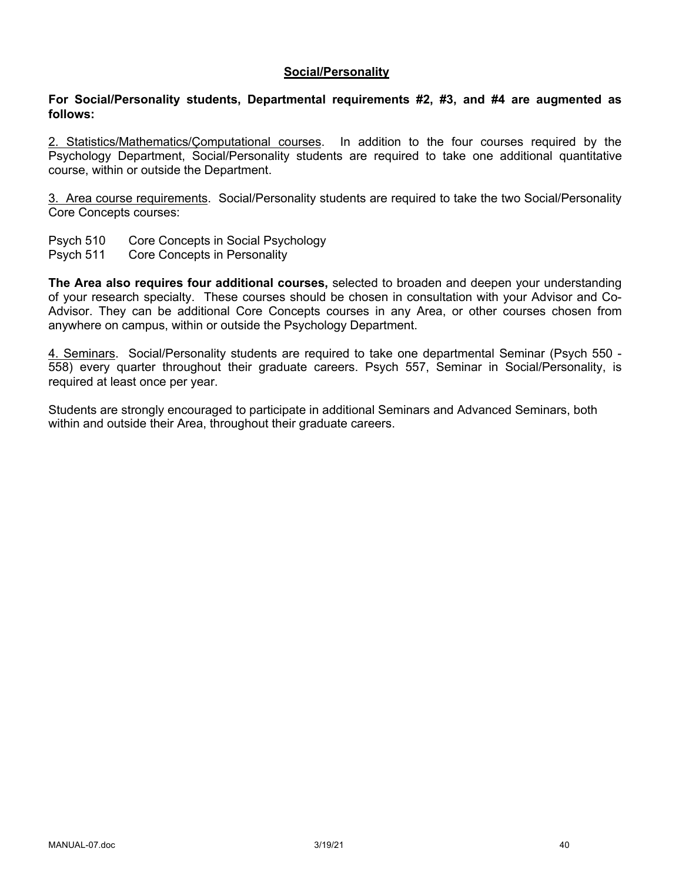#### **Social/Personality**

#### **For Social/Personality students, Departmental requirements #2, #3, and #4 are augmented as follows:**

2. Statistics/Mathematics/Çomputational courses. In addition to the four courses required by the Psychology Department, Social/Personality students are required to take one additional quantitative course, within or outside the Department.

3. Area course requirements. Social/Personality students are required to take the two Social/Personality Core Concepts courses:

- Psych 510 Core Concepts in Social Psychology
- Psych 511 Core Concepts in Personality

**The Area also requires four additional courses,** selected to broaden and deepen your understanding of your research specialty. These courses should be chosen in consultation with your Advisor and Co-Advisor. They can be additional Core Concepts courses in any Area, or other courses chosen from anywhere on campus, within or outside the Psychology Department.

4. Seminars. Social/Personality students are required to take one departmental Seminar (Psych 550 - 558) every quarter throughout their graduate careers. Psych 557, Seminar in Social/Personality, is required at least once per year.

Students are strongly encouraged to participate in additional Seminars and Advanced Seminars, both within and outside their Area, throughout their graduate careers.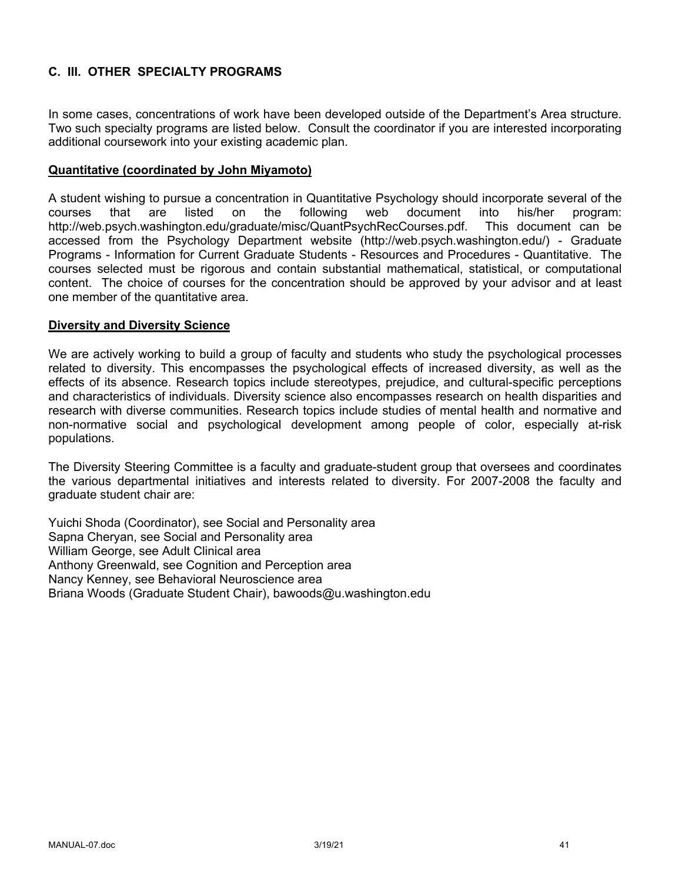# **C. III. OTHER SPECIALTY PROGRAMS**

In some cases, concentrations of work have been developed outside of the Department's Area structure. Two such specialty programs are listed below. Consult the coordinator if you are interested incorporating additional coursework into your existing academic plan.

#### **Quantitative (coordinated by John Miyamoto)**

A student wishing to pursue a concentration in Quantitative Psychology should incorporate several of the courses that are listed on the following web document into his/her program: http://web.psych.washington.edu/graduate/misc/QuantPsychRecCourses.pdf. This document can be accessed from the Psychology Department website (http://web.psych.washington.edu/) - Graduate Programs - Information for Current Graduate Students - Resources and Procedures - Quantitative. The courses selected must be rigorous and contain substantial mathematical, statistical, or computational content. The choice of courses for the concentration should be approved by your advisor and at least one member of the quantitative area.

#### **Diversity and Diversity Science**

We are actively working to build a group of faculty and students who study the psychological processes related to diversity. This encompasses the psychological effects of increased diversity, as well as the effects of its absence. Research topics include stereotypes, prejudice, and cultural-specific perceptions and characteristics of individuals. Diversity science also encompasses research on health disparities and research with diverse communities. Research topics include studies of mental health and normative and non-normative social and psychological development among people of color, especially at-risk populations.

The Diversity Steering Committee is a faculty and graduate-student group that oversees and coordinates the various departmental initiatives and interests related to diversity. For 2007-2008 the faculty and graduate student chair are:

Yuichi Shoda (Coordinator), see Social and Personality area Sapna Cheryan, see Social and Personality area William George, see Adult Clinical area Anthony Greenwald, see Cognition and Perception area Nancy Kenney, see Behavioral Neuroscience area Briana Woods (Graduate Student Chair), bawoods@u.washington.edu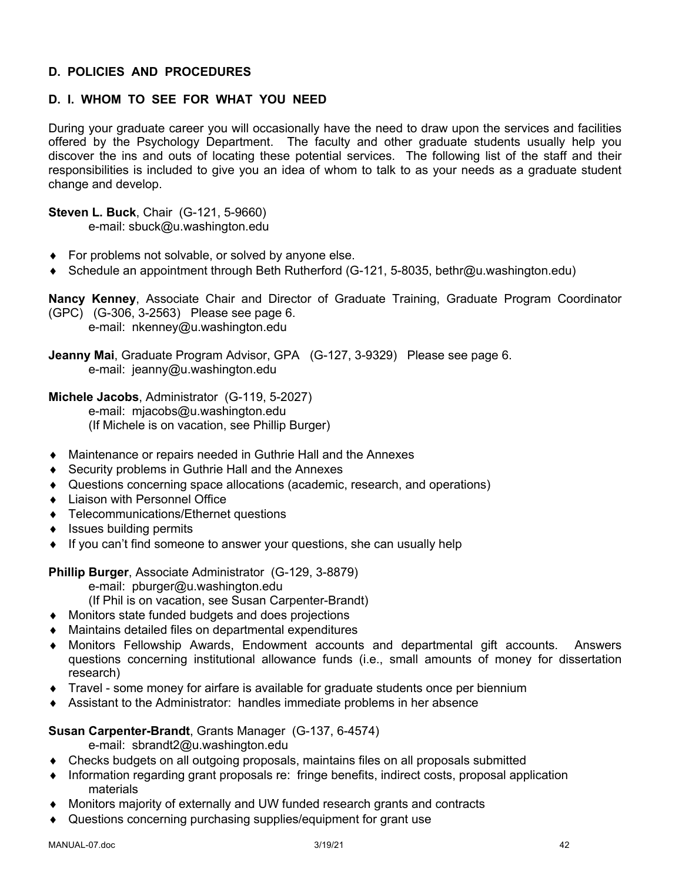## **D. POLICIES AND PROCEDURES**

# **D. I. WHOM TO SEE FOR WHAT YOU NEED**

During your graduate career you will occasionally have the need to draw upon the services and facilities offered by the Psychology Department. The faculty and other graduate students usually help you discover the ins and outs of locating these potential services. The following list of the staff and their responsibilities is included to give you an idea of whom to talk to as your needs as a graduate student change and develop.

**Steven L. Buck**, Chair (G-121, 5-9660) e-mail: sbuck@u.washington.edu

- $\bullet$  For problems not solvable, or solved by anyone else.
- ◆ Schedule an appointment through Beth Rutherford (G-121, 5-8035, bethr@u.washington.edu)

**Nancy Kenney**, Associate Chair and Director of Graduate Training, Graduate Program Coordinator (GPC) (G-306, 3-2563) Please see page 6. e-mail: nkenney@u.washington.edu

**Jeanny Mai**, Graduate Program Advisor, GPA (G-127, 3-9329) Please see page 6. e-mail: jeanny@u.washington.edu

**Michele Jacobs**, Administrator (G-119, 5-2027)

e-mail: mjacobs@u.washington.edu (If Michele is on vacation, see Phillip Burger)

- Maintenance or repairs needed in Guthrie Hall and the Annexes
- $\triangle$  Security problems in Guthrie Hall and the Annexes
- Questions concerning space allocations (academic, research, and operations)
- Liaison with Personnel Office
- ◆ Telecommunications/Ethernet questions
- $\bullet$  Issues building permits
- $\bullet$  If you can't find someone to answer your questions, she can usually help

**Phillip Burger**, Associate Administrator (G-129, 3-8879)

e-mail: pburger@u.washington.edu

(If Phil is on vacation, see Susan Carpenter-Brandt)

- Monitors state funded budgets and does projections
- $\bullet$  Maintains detailed files on departmental expenditures
- Monitors Fellowship Awards, Endowment accounts and departmental gift accounts. Answers questions concerning institutional allowance funds (i.e., small amounts of money for dissertation research)
- $\bullet$  Travel some money for airfare is available for graduate students once per biennium
- Assistant to the Administrator: handles immediate problems in her absence

#### **Susan Carpenter-Brandt**, Grants Manager (G-137, 6-4574)

e-mail: sbrandt2@u.washington.edu

- Checks budgets on all outgoing proposals, maintains files on all proposals submitted
- Information regarding grant proposals re: fringe benefits, indirect costs, proposal application materials
- Monitors majority of externally and UW funded research grants and contracts
- Questions concerning purchasing supplies/equipment for grant use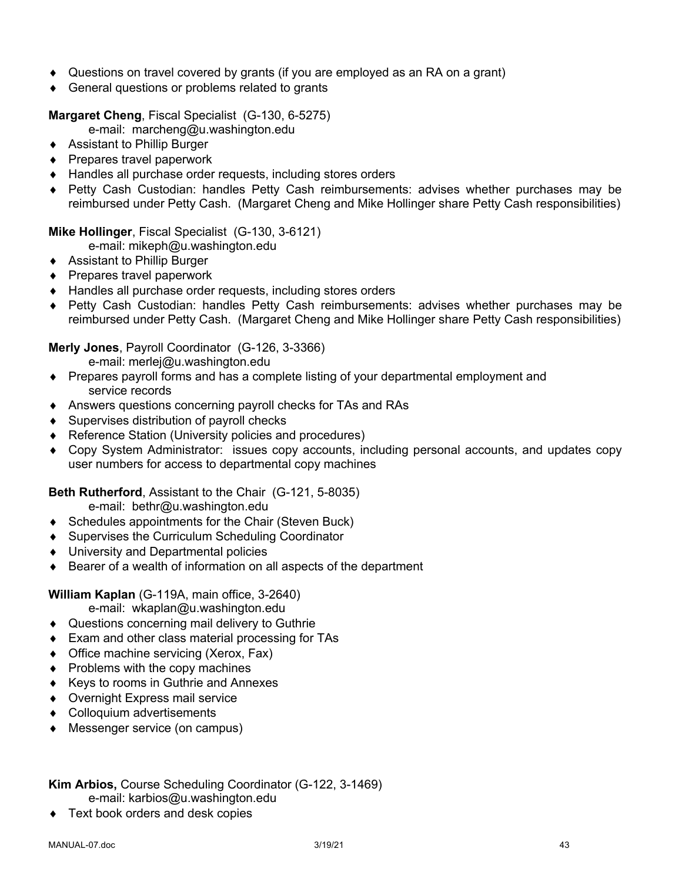- Questions on travel covered by grants (if you are employed as an RA on a grant)
- $\triangleleft$  General questions or problems related to grants

**Margaret Cheng**, Fiscal Specialist (G-130, 6-5275)

e-mail: marcheng@u.washington.edu

- ◆ Assistant to Phillip Burger
- $\triangle$  Prepares travel paperwork
- $\triangleleft$  Handles all purchase order requests, including stores orders
- ◆ Petty Cash Custodian: handles Petty Cash reimbursements: advises whether purchases may be reimbursed under Petty Cash. (Margaret Cheng and Mike Hollinger share Petty Cash responsibilities)

**Mike Hollinger**, Fiscal Specialist (G-130, 3-6121)

e-mail: mikeph@u.washington.edu

- ◆ Assistant to Phillip Burger
- $\triangle$  Prepares travel paperwork
- ◆ Handles all purchase order requests, including stores orders
- ◆ Petty Cash Custodian: handles Petty Cash reimbursements: advises whether purchases may be reimbursed under Petty Cash. (Margaret Cheng and Mike Hollinger share Petty Cash responsibilities)

#### **Merly Jones**, Payroll Coordinator (G-126, 3-3366)

e-mail: merlej@u.washington.edu

- Prepares payroll forms and has a complete listing of your departmental employment and service records
- Answers questions concerning payroll checks for TAs and RAs
- $\triangleleft$  Supervises distribution of payroll checks
- ◆ Reference Station (University policies and procedures)
- Copy System Administrator: issues copy accounts, including personal accounts, and updates copy user numbers for access to departmental copy machines

**Beth Rutherford**, Assistant to the Chair (G-121, 5-8035)

e-mail: bethr@u.washington.edu

- $\bullet$  Schedules appointments for the Chair (Steven Buck)
- ◆ Supervises the Curriculum Scheduling Coordinator
- ◆ University and Departmental policies
- $\bullet$  Bearer of a wealth of information on all aspects of the department

**William Kaplan** (G-119A, main office, 3-2640)

e-mail: wkaplan@u.washington.edu

- ◆ Questions concerning mail delivery to Guthrie
- $\bullet$  Exam and other class material processing for TAs
- $\bullet$  Office machine servicing (Xerox, Fax)
- $\bullet$  Problems with the copy machines
- ◆ Keys to rooms in Guthrie and Annexes
- ◆ Overnight Express mail service
- Colloquium advertisements
- ◆ Messenger service (on campus)

# **Kim Arbios,** Course Scheduling Coordinator (G-122, 3-1469)

- e-mail: karbios@u.washington.edu
- $\triangleleft$  Text book orders and desk copies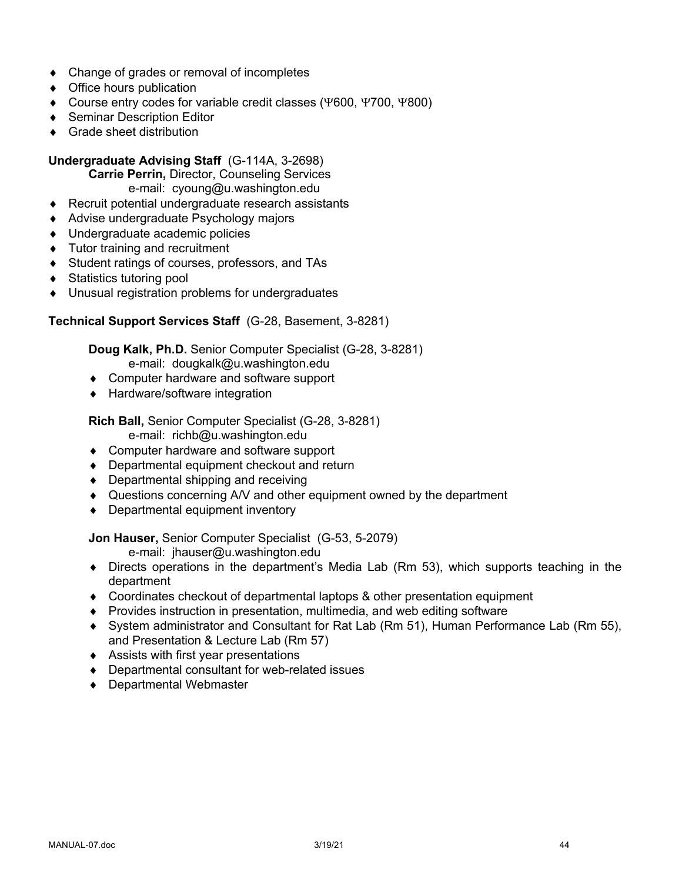- $\bullet$  Change of grades or removal of incompletes
- $\triangleleft$  Office hours publication
- $\bullet$  Course entry codes for variable credit classes (Y600, Y700, Y800)
- ◆ Seminar Description Editor
- $\triangleleft$  Grade sheet distribution

### **Undergraduate Advising Staff** (G-114A, 3-2698)

**Carrie Perrin,** Director, Counseling Services e-mail: cyoung@u.washington.edu

- $\triangle$  Recruit potential undergraduate research assistants
- ◆ Advise undergraduate Psychology majors
- ◆ Undergraduate academic policies
- $\bullet$  Tutor training and recruitment
- ◆ Student ratings of courses, professors, and TAs
- ◆ Statistics tutoring pool
- $\bullet$  Unusual registration problems for undergraduates

#### **Technical Support Services Staff** (G-28, Basement, 3-8281)

**Doug Kalk, Ph.D.** Senior Computer Specialist (G-28, 3-8281) e-mail: dougkalk@u.washington.edu

- Computer hardware and software support
- ◆ Hardware/software integration

# **Rich Ball,** Senior Computer Specialist (G-28, 3-8281)

e-mail: richb@u.washington.edu

- ◆ Computer hardware and software support
- $\bullet$  Departmental equipment checkout and return
- $\bullet$  Departmental shipping and receiving
- ◆ Questions concerning A/V and other equipment owned by the department
- $\bullet$  Departmental equipment inventory

**Jon Hauser,** Senior Computer Specialist (G-53, 5-2079)

e-mail: jhauser@u.washington.edu

- $\bullet$  Directs operations in the department's Media Lab (Rm 53), which supports teaching in the department
- Coordinates checkout of departmental laptops & other presentation equipment
- ◆ Provides instruction in presentation, multimedia, and web editing software
- ¨ System administrator and Consultant for Rat Lab (Rm 51), Human Performance Lab (Rm 55), and Presentation & Lecture Lab (Rm 57)
- $\triangleleft$  Assists with first year presentations
- $\bullet$  Departmental consultant for web-related issues
- ◆ Departmental Webmaster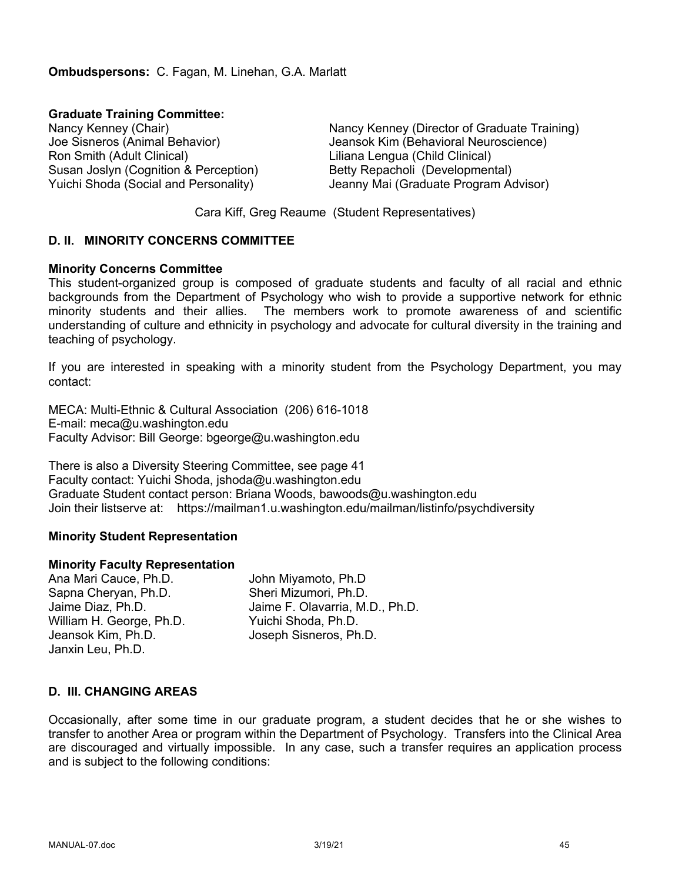**Graduate Training Committee:**

Ron Smith (Adult Clinical) Liliana Lengua (Child Clinical) Susan Joslyn (Cognition & Perception) Betty Repacholi (Developmental)

Nancy Kenney (Chair) Nancy Kenney (Director of Graduate Training) Joe Sisneros (Animal Behavior) Jeansok Kim (Behavioral Neuroscience) Yuichi Shoda (Social and Personality) Jeanny Mai (Graduate Program Advisor)

Cara Kiff, Greg Reaume (Student Representatives)

### **D. II. MINORITY CONCERNS COMMITTEE**

#### **Minority Concerns Committee**

This student-organized group is composed of graduate students and faculty of all racial and ethnic backgrounds from the Department of Psychology who wish to provide a supportive network for ethnic minority students and their allies. The members work to promote awareness of and scientific understanding of culture and ethnicity in psychology and advocate for cultural diversity in the training and teaching of psychology.

If you are interested in speaking with a minority student from the Psychology Department, you may contact:

MECA: Multi-Ethnic & Cultural Association (206) 616-1018 E-mail: meca@u.washington.edu Faculty Advisor: Bill George: bgeorge@u.washington.edu

There is also a Diversity Steering Committee, see page 41 Faculty contact: Yuichi Shoda, jshoda@u.washington.edu Graduate Student contact person: Briana Woods, bawoods@u.washington.edu Join their listserve at: https://mailman1.u.washington.edu/mailman/listinfo/psychdiversity

#### **Minority Student Representation**

#### **Minority Faculty Representation**

Ana Mari Cauce, Ph.D. John Miyamoto, Ph.D Sapna Cheryan, Ph.D. Sheri Mizumori, Ph.D. Jaime Diaz, Ph.D. Jaime F. Olavarria, M.D., Ph.D. William H. George, Ph.D. Yuichi Shoda, Ph.D. Jeansok Kim, Ph.D. Joseph Sisneros, Ph.D. Janxin Leu, Ph.D.

### **D. III. CHANGING AREAS**

Occasionally, after some time in our graduate program, a student decides that he or she wishes to transfer to another Area or program within the Department of Psychology. Transfers into the Clinical Area are discouraged and virtually impossible. In any case, such a transfer requires an application process and is subject to the following conditions: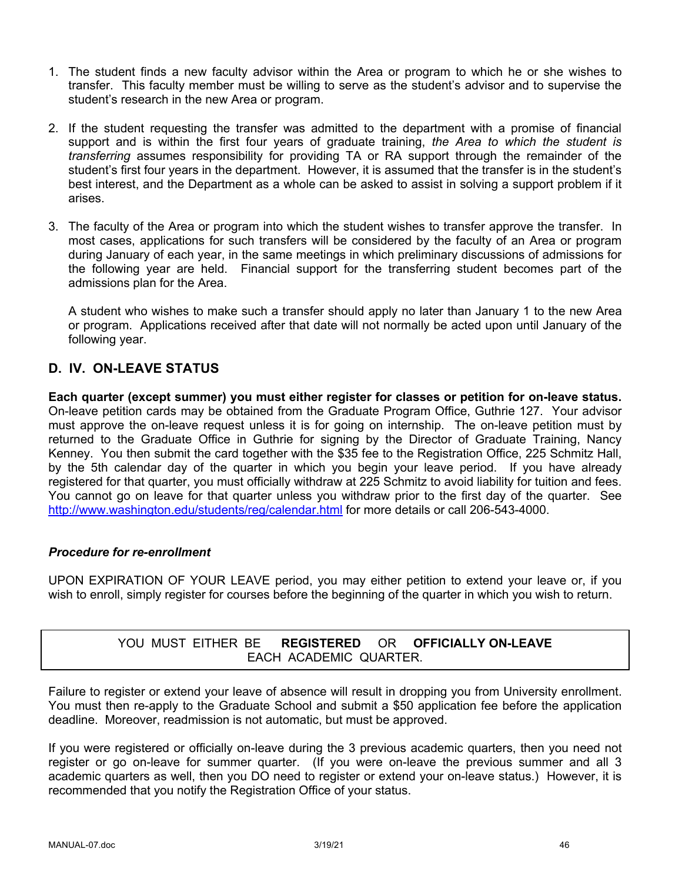- 1. The student finds a new faculty advisor within the Area or program to which he or she wishes to transfer. This faculty member must be willing to serve as the student's advisor and to supervise the student's research in the new Area or program.
- 2. If the student requesting the transfer was admitted to the department with a promise of financial support and is within the first four years of graduate training, *the Area to which the student is transferring* assumes responsibility for providing TA or RA support through the remainder of the student's first four years in the department. However, it is assumed that the transfer is in the student's best interest, and the Department as a whole can be asked to assist in solving a support problem if it arises.
- 3. The faculty of the Area or program into which the student wishes to transfer approve the transfer. In most cases, applications for such transfers will be considered by the faculty of an Area or program during January of each year, in the same meetings in which preliminary discussions of admissions for the following year are held. Financial support for the transferring student becomes part of the admissions plan for the Area.

A student who wishes to make such a transfer should apply no later than January 1 to the new Area or program. Applications received after that date will not normally be acted upon until January of the following year.

# **D. IV. ON-LEAVE STATUS**

**Each quarter (except summer) you must either register for classes or petition for on-leave status.** On-leave petition cards may be obtained from the Graduate Program Office, Guthrie 127. Your advisor must approve the on-leave request unless it is for going on internship. The on-leave petition must by returned to the Graduate Office in Guthrie for signing by the Director of Graduate Training, Nancy Kenney. You then submit the card together with the \$35 fee to the Registration Office, 225 Schmitz Hall, by the 5th calendar day of the quarter in which you begin your leave period. If you have already registered for that quarter, you must officially withdraw at 225 Schmitz to avoid liability for tuition and fees. You cannot go on leave for that quarter unless you withdraw prior to the first day of the quarter. See http://www.washington.edu/students/reg/calendar.html for more details or call 206-543-4000.

### *Procedure for re-enrollment*

UPON EXPIRATION OF YOUR LEAVE period, you may either petition to extend your leave or, if you wish to enroll, simply register for courses before the beginning of the quarter in which you wish to return.

# YOU MUST EITHER BE **REGISTERED** OR **OFFICIALLY ON-LEAVE** EACH ACADEMIC QUARTER.

Failure to register or extend your leave of absence will result in dropping you from University enrollment. You must then re-apply to the Graduate School and submit a \$50 application fee before the application deadline. Moreover, readmission is not automatic, but must be approved.

If you were registered or officially on-leave during the 3 previous academic quarters, then you need not register or go on-leave for summer quarter. (If you were on-leave the previous summer and all 3 academic quarters as well, then you DO need to register or extend your on-leave status.) However, it is recommended that you notify the Registration Office of your status.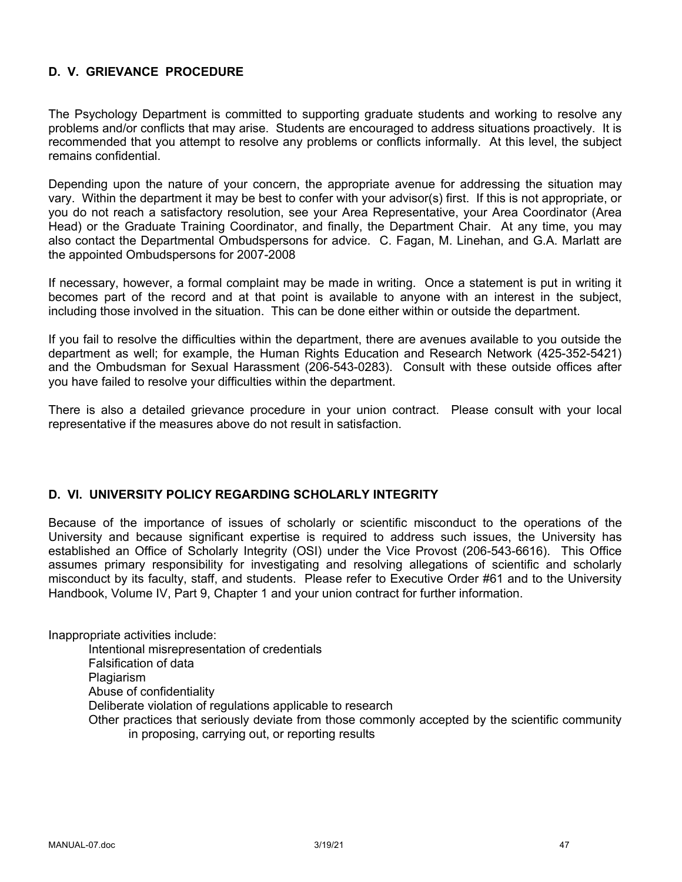# **D. V. GRIEVANCE PROCEDURE**

The Psychology Department is committed to supporting graduate students and working to resolve any problems and/or conflicts that may arise. Students are encouraged to address situations proactively. It is recommended that you attempt to resolve any problems or conflicts informally. At this level, the subject remains confidential.

Depending upon the nature of your concern, the appropriate avenue for addressing the situation may vary. Within the department it may be best to confer with your advisor(s) first. If this is not appropriate, or you do not reach a satisfactory resolution, see your Area Representative, your Area Coordinator (Area Head) or the Graduate Training Coordinator, and finally, the Department Chair. At any time, you may also contact the Departmental Ombudspersons for advice. C. Fagan, M. Linehan, and G.A. Marlatt are the appointed Ombudspersons for 2007-2008

If necessary, however, a formal complaint may be made in writing. Once a statement is put in writing it becomes part of the record and at that point is available to anyone with an interest in the subject, including those involved in the situation. This can be done either within or outside the department.

If you fail to resolve the difficulties within the department, there are avenues available to you outside the department as well; for example, the Human Rights Education and Research Network (425-352-5421) and the Ombudsman for Sexual Harassment (206-543-0283). Consult with these outside offices after you have failed to resolve your difficulties within the department.

There is also a detailed grievance procedure in your union contract. Please consult with your local representative if the measures above do not result in satisfaction.

#### **D. VI. UNIVERSITY POLICY REGARDING SCHOLARLY INTEGRITY**

Because of the importance of issues of scholarly or scientific misconduct to the operations of the University and because significant expertise is required to address such issues, the University has established an Office of Scholarly Integrity (OSI) under the Vice Provost (206-543-6616). This Office assumes primary responsibility for investigating and resolving allegations of scientific and scholarly misconduct by its faculty, staff, and students. Please refer to Executive Order #61 and to the University Handbook, Volume IV, Part 9, Chapter 1 and your union contract for further information.

Inappropriate activities include:

Intentional misrepresentation of credentials Falsification of data **Plagiarism** Abuse of confidentiality Deliberate violation of regulations applicable to research Other practices that seriously deviate from those commonly accepted by the scientific community in proposing, carrying out, or reporting results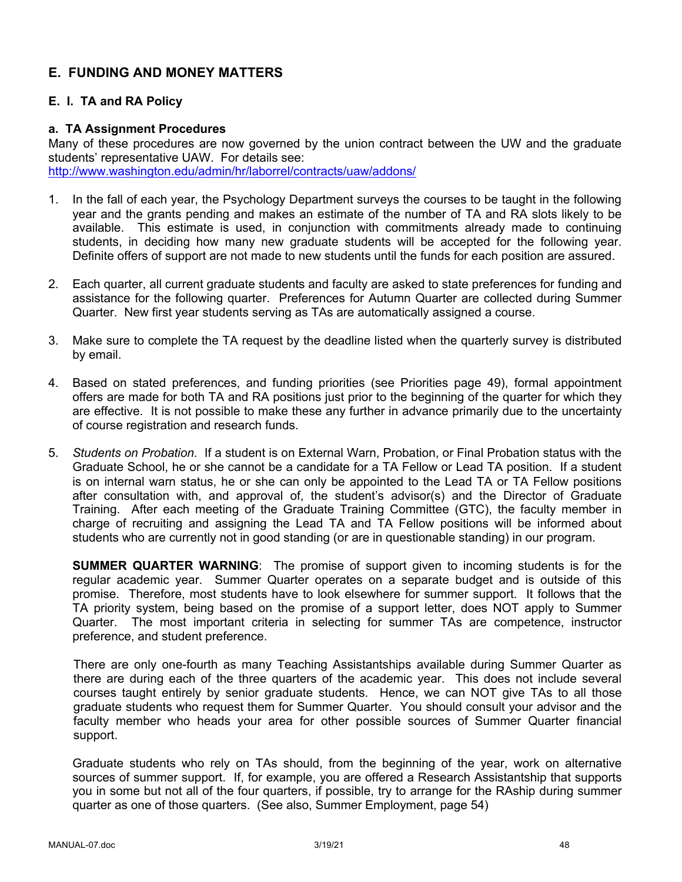# **E. FUNDING AND MONEY MATTERS**

# **E. I. TA and RA Policy**

#### **a. TA Assignment Procedures**

Many of these procedures are now governed by the union contract between the UW and the graduate students' representative UAW. For details see: http://www.washington.edu/admin/hr/laborrel/contracts/uaw/addons/

- 1. In the fall of each year, the Psychology Department surveys the courses to be taught in the following year and the grants pending and makes an estimate of the number of TA and RA slots likely to be available. This estimate is used, in conjunction with commitments already made to continuing students, in deciding how many new graduate students will be accepted for the following year. Definite offers of support are not made to new students until the funds for each position are assured.
- 2. Each quarter, all current graduate students and faculty are asked to state preferences for funding and assistance for the following quarter. Preferences for Autumn Quarter are collected during Summer Quarter. New first year students serving as TAs are automatically assigned a course.
- 3. Make sure to complete the TA request by the deadline listed when the quarterly survey is distributed by email.
- 4. Based on stated preferences, and funding priorities (see Priorities page 49), formal appointment offers are made for both TA and RA positions just prior to the beginning of the quarter for which they are effective. It is not possible to make these any further in advance primarily due to the uncertainty of course registration and research funds.
- 5. *Students on Probation.* If a student is on External Warn, Probation, or Final Probation status with the Graduate School, he or she cannot be a candidate for a TA Fellow or Lead TA position. If a student is on internal warn status, he or she can only be appointed to the Lead TA or TA Fellow positions after consultation with, and approval of, the student's advisor(s) and the Director of Graduate Training. After each meeting of the Graduate Training Committee (GTC), the faculty member in charge of recruiting and assigning the Lead TA and TA Fellow positions will be informed about students who are currently not in good standing (or are in questionable standing) in our program.

**SUMMER QUARTER WARNING**: The promise of support given to incoming students is for the regular academic year. Summer Quarter operates on a separate budget and is outside of this promise. Therefore, most students have to look elsewhere for summer support. It follows that the TA priority system, being based on the promise of a support letter, does NOT apply to Summer Quarter. The most important criteria in selecting for summer TAs are competence, instructor preference, and student preference.

There are only one-fourth as many Teaching Assistantships available during Summer Quarter as there are during each of the three quarters of the academic year. This does not include several courses taught entirely by senior graduate students. Hence, we can NOT give TAs to all those graduate students who request them for Summer Quarter. You should consult your advisor and the faculty member who heads your area for other possible sources of Summer Quarter financial support.

Graduate students who rely on TAs should, from the beginning of the year, work on alternative sources of summer support. If, for example, you are offered a Research Assistantship that supports you in some but not all of the four quarters, if possible, try to arrange for the RAship during summer quarter as one of those quarters. (See also, Summer Employment, page 54)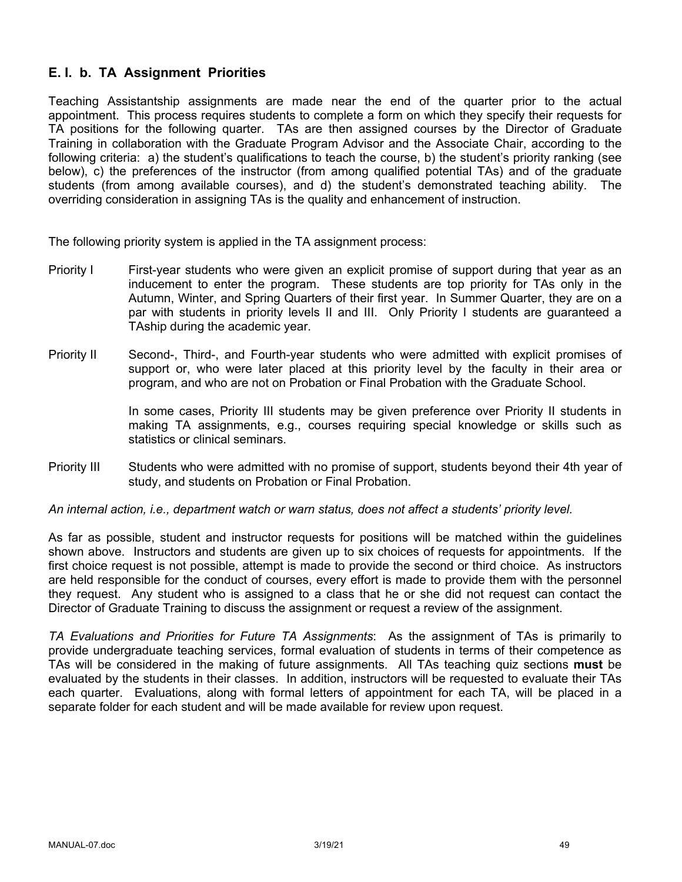# **E. I. b. TA Assignment Priorities**

Teaching Assistantship assignments are made near the end of the quarter prior to the actual appointment. This process requires students to complete a form on which they specify their requests for TA positions for the following quarter. TAs are then assigned courses by the Director of Graduate Training in collaboration with the Graduate Program Advisor and the Associate Chair, according to the following criteria: a) the student's qualifications to teach the course, b) the student's priority ranking (see below), c) the preferences of the instructor (from among qualified potential TAs) and of the graduate students (from among available courses), and d) the student's demonstrated teaching ability. The overriding consideration in assigning TAs is the quality and enhancement of instruction.

The following priority system is applied in the TA assignment process:

- Priority I First-year students who were given an explicit promise of support during that year as an inducement to enter the program. These students are top priority for TAs only in the Autumn, Winter, and Spring Quarters of their first year. In Summer Quarter, they are on a par with students in priority levels II and III. Only Priority I students are guaranteed a TAship during the academic year.
- Priority II Second-, Third-, and Fourth-year students who were admitted with explicit promises of support or, who were later placed at this priority level by the faculty in their area or program, and who are not on Probation or Final Probation with the Graduate School.

In some cases, Priority III students may be given preference over Priority II students in making TA assignments, e.g., courses requiring special knowledge or skills such as statistics or clinical seminars.

Priority III Students who were admitted with no promise of support, students beyond their 4th year of study, and students on Probation or Final Probation.

*An internal action, i.e., department watch or warn status, does not affect a students' priority level.*

As far as possible, student and instructor requests for positions will be matched within the guidelines shown above. Instructors and students are given up to six choices of requests for appointments. If the first choice request is not possible, attempt is made to provide the second or third choice. As instructors are held responsible for the conduct of courses, every effort is made to provide them with the personnel they request. Any student who is assigned to a class that he or she did not request can contact the Director of Graduate Training to discuss the assignment or request a review of the assignment.

*TA Evaluations and Priorities for Future TA Assignments*: As the assignment of TAs is primarily to provide undergraduate teaching services, formal evaluation of students in terms of their competence as TAs will be considered in the making of future assignments. All TAs teaching quiz sections **must** be evaluated by the students in their classes. In addition, instructors will be requested to evaluate their TAs each quarter. Evaluations, along with formal letters of appointment for each TA, will be placed in a separate folder for each student and will be made available for review upon request.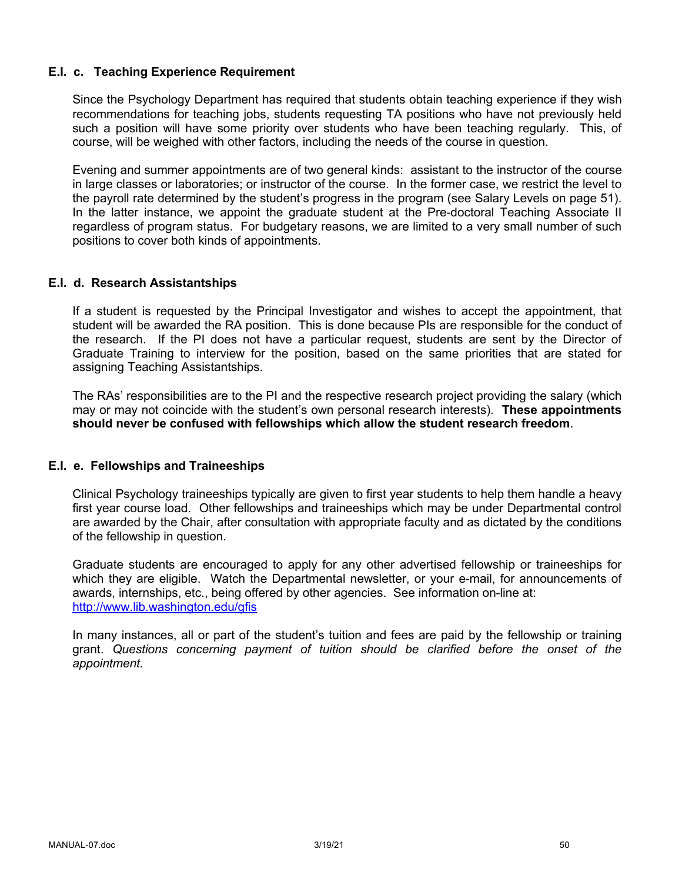#### **E.I. c. Teaching Experience Requirement**

Since the Psychology Department has required that students obtain teaching experience if they wish recommendations for teaching jobs, students requesting TA positions who have not previously held such a position will have some priority over students who have been teaching regularly. This, of course, will be weighed with other factors, including the needs of the course in question.

Evening and summer appointments are of two general kinds: assistant to the instructor of the course in large classes or laboratories; or instructor of the course. In the former case, we restrict the level to the payroll rate determined by the student's progress in the program (see Salary Levels on page 51). In the latter instance, we appoint the graduate student at the Pre-doctoral Teaching Associate II regardless of program status. For budgetary reasons, we are limited to a very small number of such positions to cover both kinds of appointments.

#### **E.I. d. Research Assistantships**

If a student is requested by the Principal Investigator and wishes to accept the appointment, that student will be awarded the RA position. This is done because PIs are responsible for the conduct of the research. If the PI does not have a particular request, students are sent by the Director of Graduate Training to interview for the position, based on the same priorities that are stated for assigning Teaching Assistantships.

The RAs' responsibilities are to the PI and the respective research project providing the salary (which may or may not coincide with the student's own personal research interests). **These appointments should never be confused with fellowships which allow the student research freedom**.

### **E.I. e. Fellowships and Traineeships**

Clinical Psychology traineeships typically are given to first year students to help them handle a heavy first year course load. Other fellowships and traineeships which may be under Departmental control are awarded by the Chair, after consultation with appropriate faculty and as dictated by the conditions of the fellowship in question.

Graduate students are encouraged to apply for any other advertised fellowship or traineeships for which they are eligible. Watch the Departmental newsletter, or your e-mail, for announcements of awards, internships, etc., being offered by other agencies. See information on-line at: http://www.lib.washington.edu/gfis

In many instances, all or part of the student's tuition and fees are paid by the fellowship or training grant. *Questions concerning payment of tuition should be clarified before the onset of the appointment.*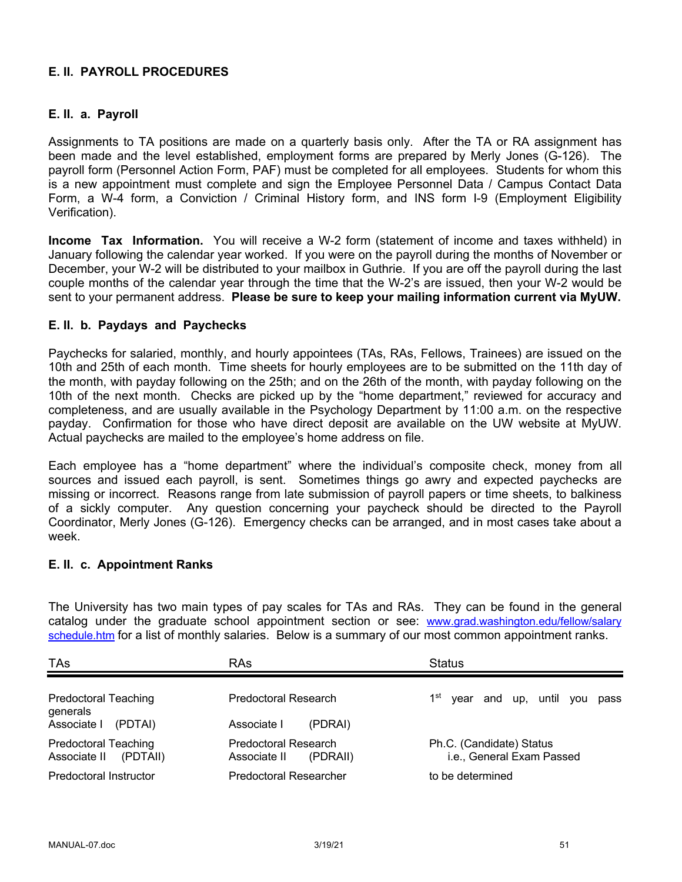# **E. II. PAYROLL PROCEDURES**

### **E. II. a. Payroll**

Assignments to TA positions are made on a quarterly basis only. After the TA or RA assignment has been made and the level established, employment forms are prepared by Merly Jones (G-126). The payroll form (Personnel Action Form, PAF) must be completed for all employees. Students for whom this is a new appointment must complete and sign the Employee Personnel Data / Campus Contact Data Form, a W-4 form, a Conviction / Criminal History form, and INS form I-9 (Employment Eligibility Verification).

**Income Tax Information.** You will receive a W-2 form (statement of income and taxes withheld) in January following the calendar year worked. If you were on the payroll during the months of November or December, your W-2 will be distributed to your mailbox in Guthrie. If you are off the payroll during the last couple months of the calendar year through the time that the W-2's are issued, then your W-2 would be sent to your permanent address. **Please be sure to keep your mailing information current via MyUW.**

### **E. II. b. Paydays and Paychecks**

Paychecks for salaried, monthly, and hourly appointees (TAs, RAs, Fellows, Trainees) are issued on the 10th and 25th of each month. Time sheets for hourly employees are to be submitted on the 11th day of the month, with payday following on the 25th; and on the 26th of the month, with payday following on the 10th of the next month. Checks are picked up by the "home department," reviewed for accuracy and completeness, and are usually available in the Psychology Department by 11:00 a.m. on the respective payday. Confirmation for those who have direct deposit are available on the UW website at MyUW. Actual paychecks are mailed to the employee's home address on file.

Each employee has a "home department" where the individual's composite check, money from all sources and issued each payroll, is sent. Sometimes things go awry and expected paychecks are missing or incorrect. Reasons range from late submission of payroll papers or time sheets, to balkiness of a sickly computer. Any question concerning your paycheck should be directed to the Payroll Coordinator, Merly Jones (G-126). Emergency checks can be arranged, and in most cases take about a week.

#### **E. II. c. Appointment Ranks**

The University has two main types of pay scales for TAs and RAs. They can be found in the general catalog under the graduate school appointment section or see: www.grad.washington.edu/fellow/salary schedule.htm for a list of monthly salaries. Below is a summary of our most common appointment ranks.

| <b>TAs</b>                                              | <b>RAs</b>                                       | <b>Status</b>                                         |
|---------------------------------------------------------|--------------------------------------------------|-------------------------------------------------------|
| <b>Predoctoral Teaching</b><br>generals                 | Predoctoral Research                             | 1 <sup>st</sup><br>year and up, until you<br>pass     |
| Associate I<br>(PDTAI)                                  | Associate I<br>(PDRAI)                           |                                                       |
| <b>Predoctoral Teaching</b><br>Associate II<br>(PDTAII) | Predoctoral Research<br>Associate II<br>(PDRAII) | Ph.C. (Candidate) Status<br>i.e., General Exam Passed |
| Predoctoral Instructor                                  | <b>Predoctoral Researcher</b>                    | to be determined                                      |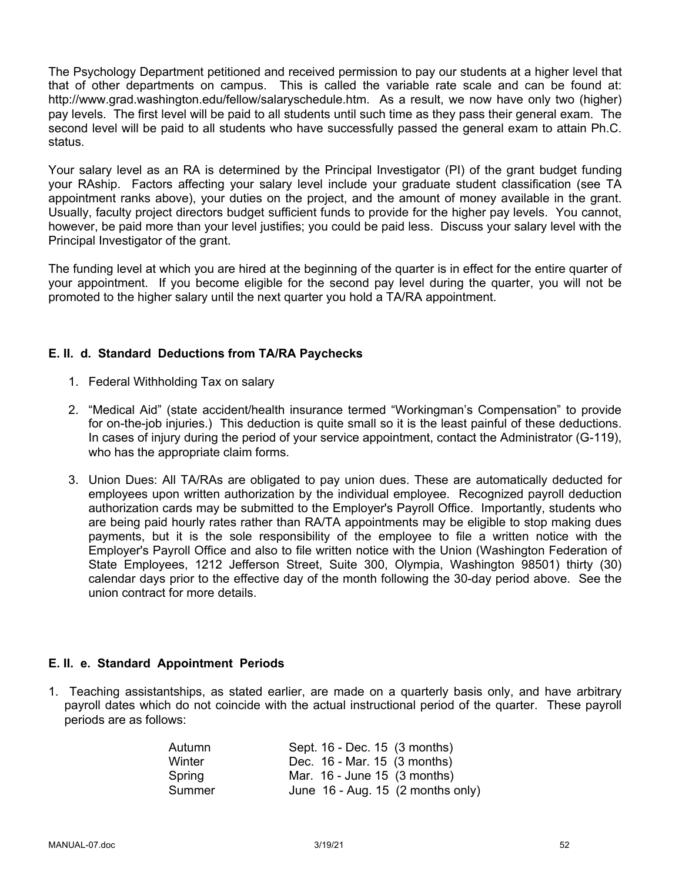The Psychology Department petitioned and received permission to pay our students at a higher level that that of other departments on campus. This is called the variable rate scale and can be found at: http://www.grad.washington.edu/fellow/salaryschedule.htm. As a result, we now have only two (higher) pay levels. The first level will be paid to all students until such time as they pass their general exam. The second level will be paid to all students who have successfully passed the general exam to attain Ph.C. status.

Your salary level as an RA is determined by the Principal Investigator (PI) of the grant budget funding your RAship. Factors affecting your salary level include your graduate student classification (see TA appointment ranks above), your duties on the project, and the amount of money available in the grant. Usually, faculty project directors budget sufficient funds to provide for the higher pay levels. You cannot, however, be paid more than your level justifies; you could be paid less. Discuss your salary level with the Principal Investigator of the grant.

The funding level at which you are hired at the beginning of the quarter is in effect for the entire quarter of your appointment. If you become eligible for the second pay level during the quarter, you will not be promoted to the higher salary until the next quarter you hold a TA/RA appointment.

### **E. II. d. Standard Deductions from TA/RA Paychecks**

- 1. Federal Withholding Tax on salary
- 2. "Medical Aid" (state accident/health insurance termed "Workingman's Compensation" to provide for on-the-job injuries.) This deduction is quite small so it is the least painful of these deductions. In cases of injury during the period of your service appointment, contact the Administrator (G-119), who has the appropriate claim forms.
- 3. Union Dues: All TA/RAs are obligated to pay union dues. These are automatically deducted for employees upon written authorization by the individual employee. Recognized payroll deduction authorization cards may be submitted to the Employer's Payroll Office. Importantly, students who are being paid hourly rates rather than RA/TA appointments may be eligible to stop making dues payments, but it is the sole responsibility of the employee to file a written notice with the Employer's Payroll Office and also to file written notice with the Union (Washington Federation of State Employees, 1212 Jefferson Street, Suite 300, Olympia, Washington 98501) thirty (30) calendar days prior to the effective day of the month following the 30-day period above. See the union contract for more details.

#### **E. II. e. Standard Appointment Periods**

1. Teaching assistantships, as stated earlier, are made on a quarterly basis only, and have arbitrary payroll dates which do not coincide with the actual instructional period of the quarter. These payroll periods are as follows:

| Autumn | Sept. 16 - Dec. 15 (3 months)                 |
|--------|-----------------------------------------------|
| Winter | Dec. 16 - Mar. 15 (3 months)                  |
| Spring | Mar. 16 - June 15 (3 months)                  |
| Summer | June $16$ - Aug. 15 $(2 \text{ months only})$ |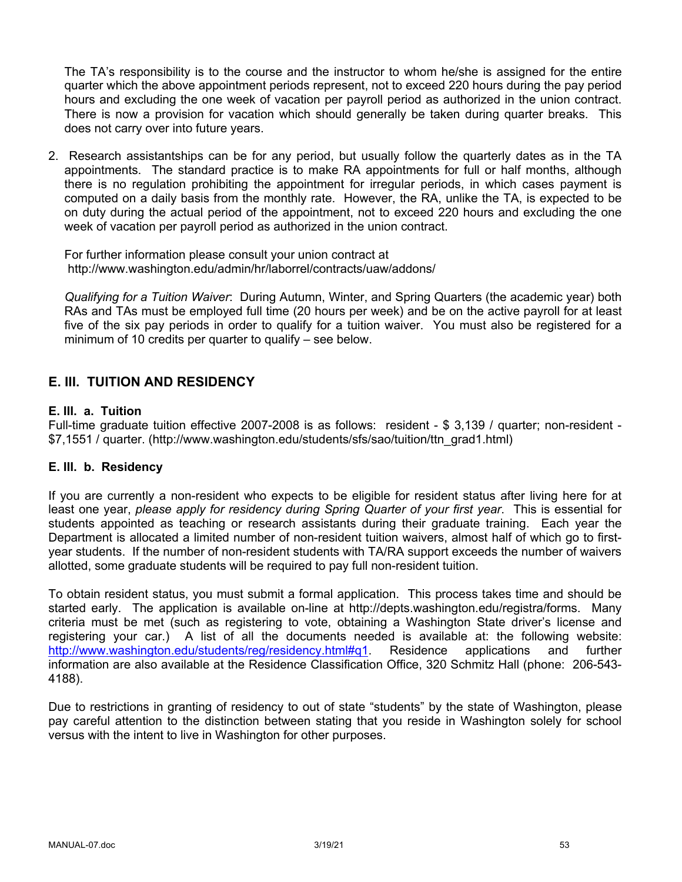The TA's responsibility is to the course and the instructor to whom he/she is assigned for the entire quarter which the above appointment periods represent, not to exceed 220 hours during the pay period hours and excluding the one week of vacation per payroll period as authorized in the union contract. There is now a provision for vacation which should generally be taken during quarter breaks. This does not carry over into future years.

2. Research assistantships can be for any period, but usually follow the quarterly dates as in the TA appointments. The standard practice is to make RA appointments for full or half months, although there is no regulation prohibiting the appointment for irregular periods, in which cases payment is computed on a daily basis from the monthly rate. However, the RA, unlike the TA, is expected to be on duty during the actual period of the appointment, not to exceed 220 hours and excluding the one week of vacation per payroll period as authorized in the union contract.

For further information please consult your union contract at http://www.washington.edu/admin/hr/laborrel/contracts/uaw/addons/

*Qualifying for a Tuition Waiver*: During Autumn, Winter, and Spring Quarters (the academic year) both RAs and TAs must be employed full time (20 hours per week) and be on the active payroll for at least five of the six pay periods in order to qualify for a tuition waiver. You must also be registered for a minimum of 10 credits per quarter to qualify – see below.

# **E. III. TUITION AND RESIDENCY**

### **E. III. a. Tuition**

Full-time graduate tuition effective 2007-2008 is as follows: resident - \$ 3,139 / quarter; non-resident - \$7,1551 / quarter. (http://www.washington.edu/students/sfs/sao/tuition/ttn\_grad1.html)

#### **E. III. b. Residency**

If you are currently a non-resident who expects to be eligible for resident status after living here for at least one year, *please apply for residency during Spring Quarter of your first year*. This is essential for students appointed as teaching or research assistants during their graduate training. Each year the Department is allocated a limited number of non-resident tuition waivers, almost half of which go to firstyear students. If the number of non-resident students with TA/RA support exceeds the number of waivers allotted, some graduate students will be required to pay full non-resident tuition.

To obtain resident status, you must submit a formal application. This process takes time and should be started early. The application is available on-line at http://depts.washington.edu/registra/forms. Many criteria must be met (such as registering to vote, obtaining a Washington State driver's license and registering your car.) A list of all the documents needed is available at: the following website: http://www.washington.edu/students/reg/residency.html#q1. Residence applications and further information are also available at the Residence Classification Office, 320 Schmitz Hall (phone: 206-543- 4188).

Due to restrictions in granting of residency to out of state "students" by the state of Washington, please pay careful attention to the distinction between stating that you reside in Washington solely for school versus with the intent to live in Washington for other purposes.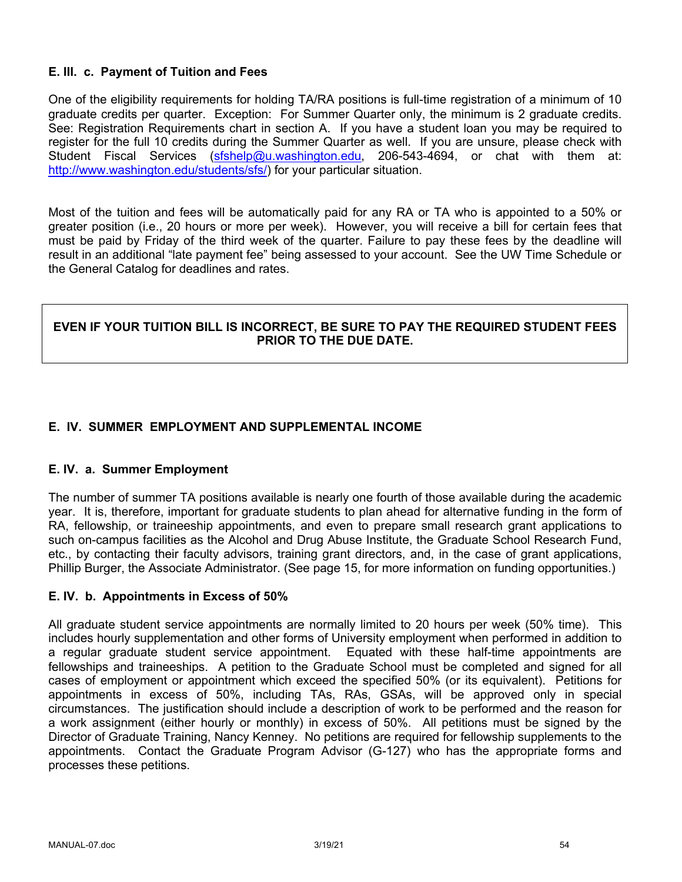### **E. III. c. Payment of Tuition and Fees**

One of the eligibility requirements for holding TA/RA positions is full-time registration of a minimum of 10 graduate credits per quarter. Exception: For Summer Quarter only, the minimum is 2 graduate credits. See: Registration Requirements chart in section A. If you have a student loan you may be required to register for the full 10 credits during the Summer Quarter as well. If you are unsure, please check with Student Fiscal Services (sfshelp@u.washington.edu, 206-543-4694, or chat with them at: http://www.washington.edu/students/sfs/) for your particular situation.

Most of the tuition and fees will be automatically paid for any RA or TA who is appointed to a 50% or greater position (i.e., 20 hours or more per week). However, you will receive a bill for certain fees that must be paid by Friday of the third week of the quarter. Failure to pay these fees by the deadline will result in an additional "late payment fee" being assessed to your account. See the UW Time Schedule or the General Catalog for deadlines and rates.

#### **EVEN IF YOUR TUITION BILL IS INCORRECT, BE SURE TO PAY THE REQUIRED STUDENT FEES PRIOR TO THE DUE DATE.**

# **E. IV. SUMMER EMPLOYMENT AND SUPPLEMENTAL INCOME**

#### **E. IV. a. Summer Employment**

The number of summer TA positions available is nearly one fourth of those available during the academic year. It is, therefore, important for graduate students to plan ahead for alternative funding in the form of RA, fellowship, or traineeship appointments, and even to prepare small research grant applications to such on-campus facilities as the Alcohol and Drug Abuse Institute, the Graduate School Research Fund, etc., by contacting their faculty advisors, training grant directors, and, in the case of grant applications, Phillip Burger, the Associate Administrator. (See page 15, for more information on funding opportunities.)

#### **E. IV. b. Appointments in Excess of 50%**

All graduate student service appointments are normally limited to 20 hours per week (50% time). This includes hourly supplementation and other forms of University employment when performed in addition to a regular graduate student service appointment. Equated with these half-time appointments are fellowships and traineeships. A petition to the Graduate School must be completed and signed for all cases of employment or appointment which exceed the specified 50% (or its equivalent). Petitions for appointments in excess of 50%, including TAs, RAs, GSAs, will be approved only in special circumstances. The justification should include a description of work to be performed and the reason for a work assignment (either hourly or monthly) in excess of 50%. All petitions must be signed by the Director of Graduate Training, Nancy Kenney. No petitions are required for fellowship supplements to the appointments. Contact the Graduate Program Advisor (G-127) who has the appropriate forms and processes these petitions.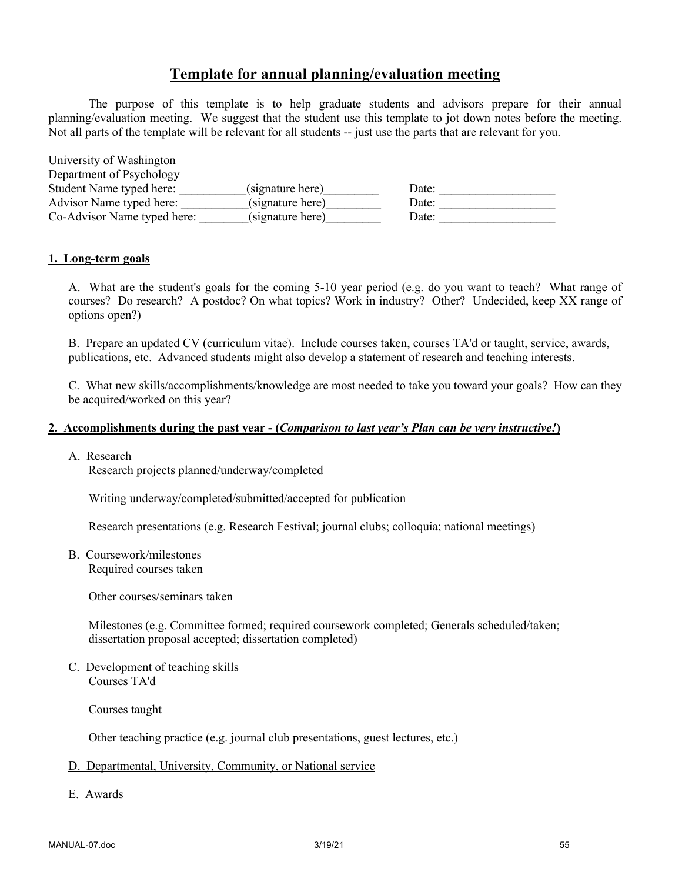# **Template for annual planning/evaluation meeting**

The purpose of this template is to help graduate students and advisors prepare for their annual planning/evaluation meeting. We suggest that the student use this template to jot down notes before the meeting. Not all parts of the template will be relevant for all students -- just use the parts that are relevant for you.

| University of Washington    |                  |       |
|-----------------------------|------------------|-------|
| Department of Psychology    |                  |       |
| Student Name typed here:    | (signature here) | Date: |
| Advisor Name typed here:    | (signature here) | Date: |
| Co-Advisor Name typed here: | (signature here) | Date: |

#### **1. Long-term goals**

A. What are the student's goals for the coming 5-10 year period (e.g. do you want to teach? What range of courses? Do research? A postdoc? On what topics? Work in industry? Other? Undecided, keep XX range of options open?)

B. Prepare an updated CV (curriculum vitae). Include courses taken, courses TA'd or taught, service, awards, publications, etc. Advanced students might also develop a statement of research and teaching interests.

C. What new skills/accomplishments/knowledge are most needed to take you toward your goals? How can they be acquired/worked on this year?

#### **2. Accomplishments during the past year - (***Comparison to last year's Plan can be very instructive!***)**

#### A. Research

Research projects planned/underway/completed

Writing underway/completed/submitted/accepted for publication

Research presentations (e.g. Research Festival; journal clubs; colloquia; national meetings)

B. Coursework/milestones

Required courses taken

Other courses/seminars taken

Milestones (e.g. Committee formed; required coursework completed; Generals scheduled/taken; dissertation proposal accepted; dissertation completed)

C. Development of teaching skills Courses TA'd

Courses taught

Other teaching practice (e.g. journal club presentations, guest lectures, etc.)

#### D. Departmental, University, Community, or National service

E. Awards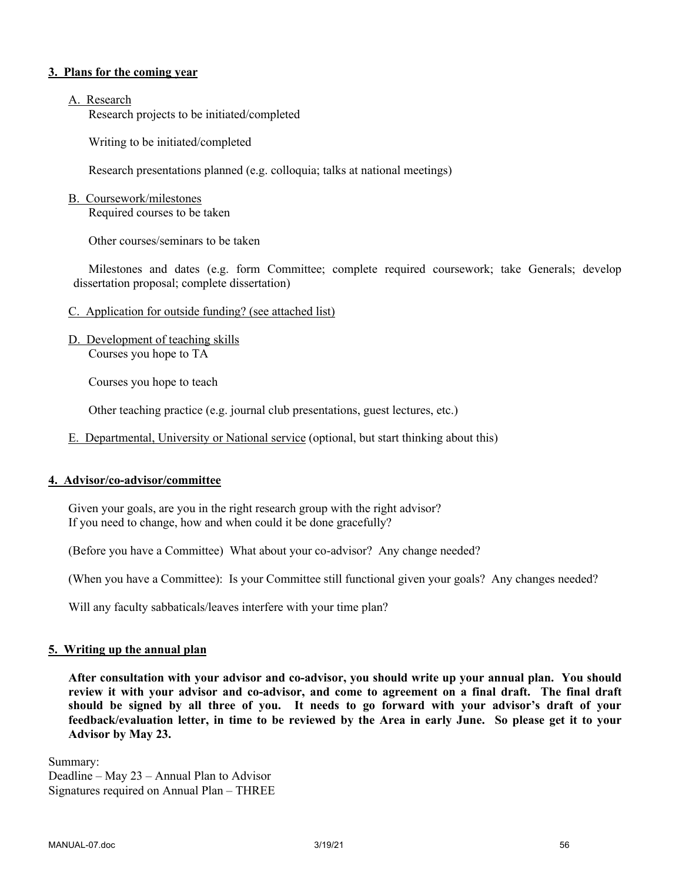#### **3. Plans for the coming year**

#### A. Research

Research projects to be initiated/completed

Writing to be initiated/completed

Research presentations planned (e.g. colloquia; talks at national meetings)

#### B. Coursework/milestones

Required courses to be taken

Other courses/seminars to be taken

Milestones and dates (e.g. form Committee; complete required coursework; take Generals; develop dissertation proposal; complete dissertation)

- C. Application for outside funding? (see attached list)
- D. Development of teaching skills Courses you hope to TA

Courses you hope to teach

Other teaching practice (e.g. journal club presentations, guest lectures, etc.)

E. Departmental, University or National service (optional, but start thinking about this)

#### **4. Advisor/co-advisor/committee**

Given your goals, are you in the right research group with the right advisor? If you need to change, how and when could it be done gracefully?

(Before you have a Committee) What about your co-advisor? Any change needed?

(When you have a Committee): Is your Committee still functional given your goals? Any changes needed?

Will any faculty sabbaticals/leaves interfere with your time plan?

#### **5. Writing up the annual plan**

**After consultation with your advisor and co-advisor, you should write up your annual plan. You should review it with your advisor and co-advisor, and come to agreement on a final draft. The final draft should be signed by all three of you. It needs to go forward with your advisor's draft of your feedback/evaluation letter, in time to be reviewed by the Area in early June. So please get it to your Advisor by May 23.**

Summary: Deadline – May 23 – Annual Plan to Advisor Signatures required on Annual Plan – THREE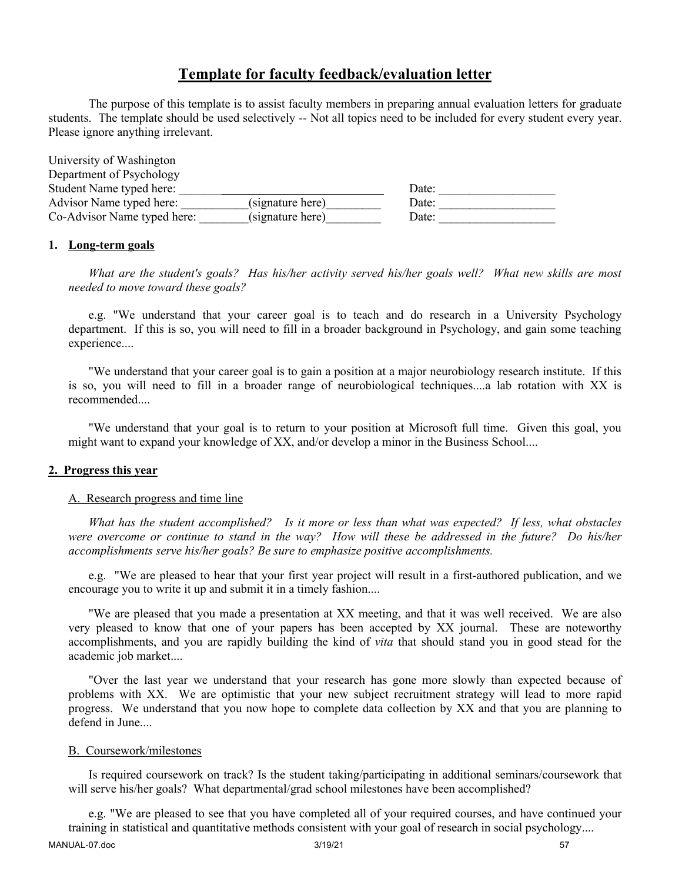# **Template for faculty feedback/evaluation letter**

The purpose of this template is to assist faculty members in preparing annual evaluation letters for graduate students. The template should be used selectively -- Not all topics need to be included for every student every year. Please ignore anything irrelevant.

| University of Washington    |                  |       |  |
|-----------------------------|------------------|-------|--|
| Department of Psychology    |                  |       |  |
| Student Name typed here:    |                  | Date: |  |
| Advisor Name typed here:    | (signature here) | Date: |  |
| Co-Advisor Name typed here: | (signature here) | Date: |  |

#### **1. Long-term goals**

*What are the student's goals? Has his/her activity served his/her goals well? What new skills are most needed to move toward these goals?*

e.g. "We understand that your career goal is to teach and do research in a University Psychology department. If this is so, you will need to fill in a broader background in Psychology, and gain some teaching experience....

"We understand that your career goal is to gain a position at a major neurobiology research institute. If this is so, you will need to fill in a broader range of neurobiological techniques....a lab rotation with XX is recommended....

"We understand that your goal is to return to your position at Microsoft full time. Given this goal, you might want to expand your knowledge of XX, and/or develop a minor in the Business School....

#### **2. Progress this year**

#### A. Research progress and time line

*What has the student accomplished? Is it more or less than what was expected? If less, what obstacles were overcome or continue to stand in the way? How will these be addressed in the future? Do his/her accomplishments serve his/her goals? Be sure to emphasize positive accomplishments.*

e.g. "We are pleased to hear that your first year project will result in a first-authored publication, and we encourage you to write it up and submit it in a timely fashion....

"We are pleased that you made a presentation at XX meeting, and that it was well received. We are also very pleased to know that one of your papers has been accepted by XX journal. These are noteworthy accomplishments, and you are rapidly building the kind of *vita* that should stand you in good stead for the academic job market....

"Over the last year we understand that your research has gone more slowly than expected because of problems with XX. We are optimistic that your new subject recruitment strategy will lead to more rapid progress. We understand that you now hope to complete data collection by XX and that you are planning to defend in June....

#### B. Coursework/milestones

Is required coursework on track? Is the student taking/participating in additional seminars/coursework that will serve his/her goals? What departmental/grad school milestones have been accomplished?

e.g. "We are pleased to see that you have completed all of your required courses, and have continued your training in statistical and quantitative methods consistent with your goal of research in social psychology....